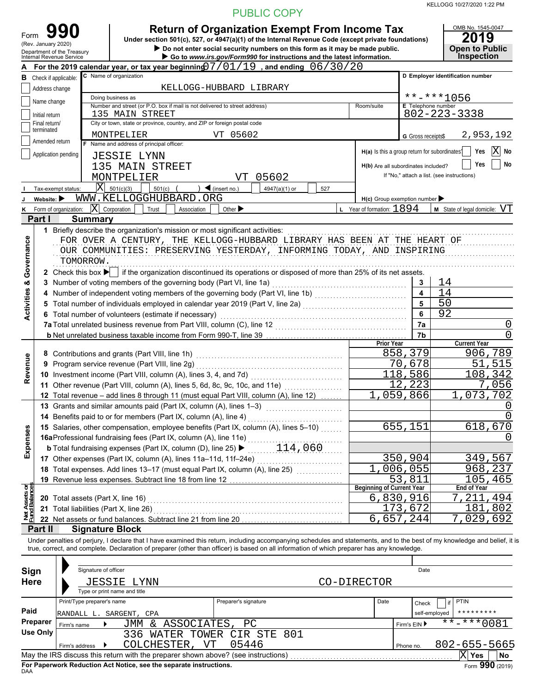KELLOGG 10/27/2020 1:22 PM

|                                |                                |                                                        |                                                      |                                                                               |                              | <b>PUBLIC COPY</b>                                                                                                                                                                                                                                                                                                  |     |                           |                                               |                                                                                                                                                                         |
|--------------------------------|--------------------------------|--------------------------------------------------------|------------------------------------------------------|-------------------------------------------------------------------------------|------------------------------|---------------------------------------------------------------------------------------------------------------------------------------------------------------------------------------------------------------------------------------------------------------------------------------------------------------------|-----|---------------------------|-----------------------------------------------|-------------------------------------------------------------------------------------------------------------------------------------------------------------------------|
| Form                           | (Rev. January 2020)            | Department of the Treasury<br>Internal Revenue Service |                                                      |                                                                               |                              | <b>Return of Organization Exempt From Income Tax</b><br>Under section 501(c), 527, or 4947(a)(1) of the Internal Revenue Code (except private foundations)<br>Do not enter social security numbers on this form as it may be made public.<br>Go to www.irs.gov/Form990 for instructions and the latest information. |     |                           |                                               | OMB No. 1545-0047<br>2019<br><b>Open to Public</b><br><b>Inspection</b>                                                                                                 |
|                                |                                |                                                        |                                                      |                                                                               |                              | For the 2019 calendar year, or tax year beginning $7/01/19$ , and ending $06/30/20$                                                                                                                                                                                                                                 |     |                           |                                               |                                                                                                                                                                         |
|                                | <b>B</b> Check if applicable:  |                                                        | C Name of organization                               |                                                                               |                              |                                                                                                                                                                                                                                                                                                                     |     |                           |                                               | D Employer identification number                                                                                                                                        |
|                                | Address change                 |                                                        |                                                      |                                                                               | KELLOGG-HUBBARD LIBRARY      |                                                                                                                                                                                                                                                                                                                     |     |                           |                                               |                                                                                                                                                                         |
|                                |                                |                                                        | Doing business as                                    |                                                                               | $***$ -***1056               |                                                                                                                                                                                                                                                                                                                     |     |                           |                                               |                                                                                                                                                                         |
|                                | Name change                    |                                                        |                                                      | Number and street (or P.O. box if mail is not delivered to street address)    |                              |                                                                                                                                                                                                                                                                                                                     |     | Room/suite                | <b>E</b> Telephone number                     |                                                                                                                                                                         |
|                                | Initial return                 |                                                        | 135 MAIN STREET                                      |                                                                               |                              |                                                                                                                                                                                                                                                                                                                     |     |                           |                                               | 802-223-3338                                                                                                                                                            |
|                                | Final return/                  |                                                        |                                                      | City or town, state or province, country, and ZIP or foreign postal code      |                              |                                                                                                                                                                                                                                                                                                                     |     |                           |                                               |                                                                                                                                                                         |
|                                | terminated                     |                                                        | MONTPELIER                                           |                                                                               | VT 05602                     |                                                                                                                                                                                                                                                                                                                     |     |                           | G Gross receipts\$                            | 2,953,192                                                                                                                                                               |
|                                | Amended return                 |                                                        | F Name and address of principal officer:             |                                                                               |                              |                                                                                                                                                                                                                                                                                                                     |     |                           |                                               |                                                                                                                                                                         |
|                                | Application pending            |                                                        | JESSIE LYNN                                          |                                                                               |                              |                                                                                                                                                                                                                                                                                                                     |     |                           | H(a) Is this a group return for subordinates? | ΙX<br>Yes<br>No                                                                                                                                                         |
|                                |                                |                                                        |                                                      | 135 MAIN STREET                                                               |                              |                                                                                                                                                                                                                                                                                                                     |     |                           | H(b) Are all subordinates included?           | Yes<br>No                                                                                                                                                               |
|                                |                                |                                                        | MONTPELIER                                           |                                                                               | VT                           | 05602                                                                                                                                                                                                                                                                                                               |     |                           |                                               | If "No," attach a list. (see instructions)                                                                                                                              |
|                                | Tax-exempt status:             |                                                        | $ X $ 501(c)(3)                                      | 501(c)                                                                        | $\triangleleft$ (insert no.) | 4947(a)(1) or                                                                                                                                                                                                                                                                                                       | 527 |                           |                                               |                                                                                                                                                                         |
|                                | Website: $\blacktriangleright$ |                                                        |                                                      | WWW.KELLOGGHUBBARD.ORG                                                        |                              |                                                                                                                                                                                                                                                                                                                     |     |                           |                                               |                                                                                                                                                                         |
|                                |                                |                                                        |                                                      |                                                                               |                              |                                                                                                                                                                                                                                                                                                                     |     |                           | $H(c)$ Group exemption number                 |                                                                                                                                                                         |
| κ                              | Part I                         | Form of organization:<br><b>Summary</b>                | $ \mathbf{X} $ Corporation                           | Trust<br>Association                                                          | Other $\blacktriangleright$  |                                                                                                                                                                                                                                                                                                                     |     | L Year of formation: 1894 |                                               | M State of legal domicile: VT                                                                                                                                           |
| Governance                     |                                | TOMORROW.                                              | FOR OVER A CENTURY,                                  | 1 Briefly describe the organization's mission or most significant activities: |                              | THE KELLOGG-HUBBARD LIBRARY HAS BEEN AT THE HEART OF<br>OUR COMMUNITIES: PRESERVING YESTERDAY, INFORMING TODAY, AND INSPIRING                                                                                                                                                                                       |     |                           |                                               |                                                                                                                                                                         |
|                                |                                | 2 Check this box $\blacktriangleright$                 |                                                      |                                                                               |                              | if the organization discontinued its operations or disposed of more than 25% of its net assets.                                                                                                                                                                                                                     |     |                           |                                               |                                                                                                                                                                         |
|                                |                                |                                                        |                                                      |                                                                               |                              |                                                                                                                                                                                                                                                                                                                     |     |                           | 3                                             | 14                                                                                                                                                                      |
| <b>Activities &amp;</b>        |                                |                                                        |                                                      |                                                                               |                              | 4 Number of independent voting members of the governing body (Part VI, line 1b) [11] [11] Number of independent voting members of the governing body (Part VI, line 1b)                                                                                                                                             |     |                           | $\overline{\mathbf{A}}$                       | 14                                                                                                                                                                      |
|                                |                                |                                                        |                                                      |                                                                               | 5                            | 50                                                                                                                                                                                                                                                                                                                  |     |                           |                                               |                                                                                                                                                                         |
|                                |                                |                                                        | 6 Total number of volunteers (estimate if necessary) |                                                                               | 6                            | 92                                                                                                                                                                                                                                                                                                                  |     |                           |                                               |                                                                                                                                                                         |
|                                |                                |                                                        |                                                      | 7a Total unrelated business revenue from Part VIII, column (C), line 12       |                              |                                                                                                                                                                                                                                                                                                                     |     |                           | 7a                                            | 0                                                                                                                                                                       |
|                                |                                |                                                        |                                                      |                                                                               |                              | <b>b</b> Net unrelated business taxable income from Form 990-T, line 39 <i>mummummmmm</i>                                                                                                                                                                                                                           |     |                           | 7b                                            | $\Omega$                                                                                                                                                                |
|                                |                                |                                                        |                                                      |                                                                               |                              |                                                                                                                                                                                                                                                                                                                     |     | Prior Year                |                                               | <b>Current Year</b>                                                                                                                                                     |
|                                |                                |                                                        |                                                      |                                                                               |                              |                                                                                                                                                                                                                                                                                                                     |     |                           | 858,379                                       | 906,789                                                                                                                                                                 |
|                                |                                | 9 Program service revenue (Part VIII, line 2g)         |                                                      |                                                                               |                              |                                                                                                                                                                                                                                                                                                                     |     |                           |                                               | 515<br>51                                                                                                                                                               |
| Revenue                        |                                |                                                        |                                                      |                                                                               |                              |                                                                                                                                                                                                                                                                                                                     |     |                           | 70,678<br>118,586                             | .342<br>108                                                                                                                                                             |
|                                |                                |                                                        |                                                      |                                                                               |                              |                                                                                                                                                                                                                                                                                                                     |     |                           | 12<br>,223                                    | 056                                                                                                                                                                     |
|                                |                                |                                                        |                                                      |                                                                               |                              |                                                                                                                                                                                                                                                                                                                     |     |                           |                                               |                                                                                                                                                                         |
|                                |                                |                                                        |                                                      |                                                                               |                              | 12 Total revenue – add lines 8 through 11 (must equal Part VIII, column (A), line 12)                                                                                                                                                                                                                               |     |                           | 059,866                                       | 073,702                                                                                                                                                                 |
|                                |                                |                                                        |                                                      | 13 Grants and similar amounts paid (Part IX, column (A), lines 1–3)           |                              | <u> 1966 - Johann Stoff, martin Amerikaansk kanton (</u>                                                                                                                                                                                                                                                            |     |                           |                                               | U                                                                                                                                                                       |
|                                |                                |                                                        |                                                      | 14 Benefits paid to or for members (Part IX, column (A), line 4)              |                              |                                                                                                                                                                                                                                                                                                                     |     |                           |                                               | $\Omega$                                                                                                                                                                |
|                                |                                |                                                        |                                                      |                                                                               |                              | 15 Salaries, other compensation, employee benefits (Part IX, column (A), lines 5-10)                                                                                                                                                                                                                                |     |                           | 655,151                                       | 618,670                                                                                                                                                                 |
|                                |                                |                                                        |                                                      | 16aProfessional fundraising fees (Part IX, column (A), line 11e)              |                              |                                                                                                                                                                                                                                                                                                                     |     |                           |                                               | $\left( \right)$                                                                                                                                                        |
| Expenses                       |                                |                                                        |                                                      |                                                                               |                              |                                                                                                                                                                                                                                                                                                                     |     |                           |                                               |                                                                                                                                                                         |
|                                |                                |                                                        |                                                      |                                                                               |                              | 17 Other expenses (Part IX, column (A), lines 11a-11d, 11f-24e)                                                                                                                                                                                                                                                     |     |                           | 350,904                                       | 349,567                                                                                                                                                                 |
|                                |                                |                                                        |                                                      |                                                                               |                              | 18 Total expenses. Add lines 13-17 (must equal Part IX, column (A), line 25)                                                                                                                                                                                                                                        |     |                           | ,006,055                                      | 968,237                                                                                                                                                                 |
|                                |                                |                                                        |                                                      | 19 Revenue less expenses. Subtract line 18 from line 12                       |                              |                                                                                                                                                                                                                                                                                                                     |     |                           | 53,811                                        | 105,465                                                                                                                                                                 |
| Net Assets or<br>Fund Balances |                                |                                                        |                                                      |                                                                               |                              |                                                                                                                                                                                                                                                                                                                     |     | Beginning of Current Year |                                               | End of Year                                                                                                                                                             |
|                                |                                |                                                        | 20 Total assets (Part X, line 16)                    |                                                                               |                              |                                                                                                                                                                                                                                                                                                                     |     |                           | 6,830,916                                     | , 211, 494                                                                                                                                                              |
|                                |                                |                                                        | 21 Total liabilities (Part X, line 26)               |                                                                               |                              |                                                                                                                                                                                                                                                                                                                     |     |                           | 173,672                                       | 181,802                                                                                                                                                                 |
|                                |                                |                                                        |                                                      | 22 Net assets or fund balances. Subtract line 21 from line 20                 |                              |                                                                                                                                                                                                                                                                                                                     |     |                           | 6,657,244                                     | 029,692                                                                                                                                                                 |
|                                | Part II                        |                                                        | <b>Signature Block</b>                               |                                                                               |                              |                                                                                                                                                                                                                                                                                                                     |     |                           |                                               |                                                                                                                                                                         |
| Sign<br><b>Here</b>            |                                |                                                        | Signature of officer<br><b>JESSIE LYNN</b>           |                                                                               |                              | true, correct, and complete. Declaration of preparer (other than officer) is based on all information of which preparer has any knowledge.                                                                                                                                                                          |     | CO-DIRECTOR               | Date                                          | Under penalties of perjury, I declare that I have examined this return, including accompanying schedules and statements, and to the best of my knowledge and belief, it |
|                                |                                |                                                        | Type or print name and title                         |                                                                               |                              |                                                                                                                                                                                                                                                                                                                     |     |                           |                                               |                                                                                                                                                                         |
|                                |                                | Print/Type preparer's name                             |                                                      |                                                                               | Preparer's signature         |                                                                                                                                                                                                                                                                                                                     |     | Date                      |                                               | PTIN                                                                                                                                                                    |
| Paid                           |                                |                                                        |                                                      |                                                                               |                              |                                                                                                                                                                                                                                                                                                                     |     |                           | Check                                         |                                                                                                                                                                         |
|                                |                                |                                                        | RANDALL L. SARGENT, CPA                              |                                                                               |                              |                                                                                                                                                                                                                                                                                                                     |     |                           |                                               | self-employed<br>*****                                                                                                                                                  |
|                                | Preparer                       | Firm's name                                            |                                                      | JMM & ASSOCIATES                                                              |                              | ${\rm PC}$                                                                                                                                                                                                                                                                                                          |     |                           | Firm's EIN ▶                                  | -***0081<br>* *                                                                                                                                                         |
|                                | Use Only                       |                                                        |                                                      |                                                                               |                              | 336 WATER TOWER CIR STE 801                                                                                                                                                                                                                                                                                         |     |                           |                                               |                                                                                                                                                                         |
|                                |                                | Firm's address                                         | ▸                                                    | COLCHESTER, VT                                                                | 05446                        |                                                                                                                                                                                                                                                                                                                     |     |                           | Phone no.                                     | 802-655-5665                                                                                                                                                            |
|                                |                                |                                                        |                                                      |                                                                               |                              |                                                                                                                                                                                                                                                                                                                     |     |                           |                                               | $\overline{X}$ Yes<br>No                                                                                                                                                |

#### 20 Total assets (Part X, line 16) **21 22** Total assets (Part X, line 16) . . . . . . . . . . . . . . . . . . . . . . . . . . . . . . . . . . . . . . . . . . . . . . . . . . . . . . . . . . . . . . . . Total liabilities (Part X, line 26) . . . . . . . . . . . . . . . . . . . . . . . . . . . . . . . . . . . . . . . . . . . . . . . . . . . . . . . . . . . . . . Net assets or fund balances. Subtract line 21 from line 20 . . . . . . . . . . . . . . . . . . . . . . . . . . . . . . . . . 6,830,916 7,211,494 173,672 181,802<br>657,244 7,029,692 6,657

| Sign<br><b>Here</b> | Signature of officer<br>Type or print name and title                                                    | JESSIE LYNN                       |                            | CO-DIRECTOR |      | Date          |                   |  |  |  |
|---------------------|---------------------------------------------------------------------------------------------------------|-----------------------------------|----------------------------|-------------|------|---------------|-------------------|--|--|--|
|                     | Print/Type preparer's name                                                                              |                                   | Preparer's signature       |             | Date | Check         | <b>PTIN</b><br>if |  |  |  |
| Paid                | RANDALL L.                                                                                              | SARGENT, CPA                      |                            |             |      | self-employed | *********         |  |  |  |
| Preparer            | Firm's name                                                                                             | & ASSOCIATES, PC<br><b>TMM</b>    |                            |             |      | Firm's $EIN$  | $***$ $***$ 0081  |  |  |  |
| Use Only            | Firm's address                                                                                          | WATER<br>336<br>COLCHESTER,<br>VT | TOWER CIR STE 801<br>05446 |             |      | Phone no.     | 802-655-5665      |  |  |  |
|                     | May the IRS discuss this return with the preparer shown above? (see instructions)<br>ΙXΙ<br>Yes<br>l No |                                   |                            |             |      |               |                   |  |  |  |
|                     | Form 990 (2019)<br>For Paperwork Reduction Act Notice, see the separate instructions.                   |                                   |                            |             |      |               |                   |  |  |  |

# PUBLIC COPY

DAA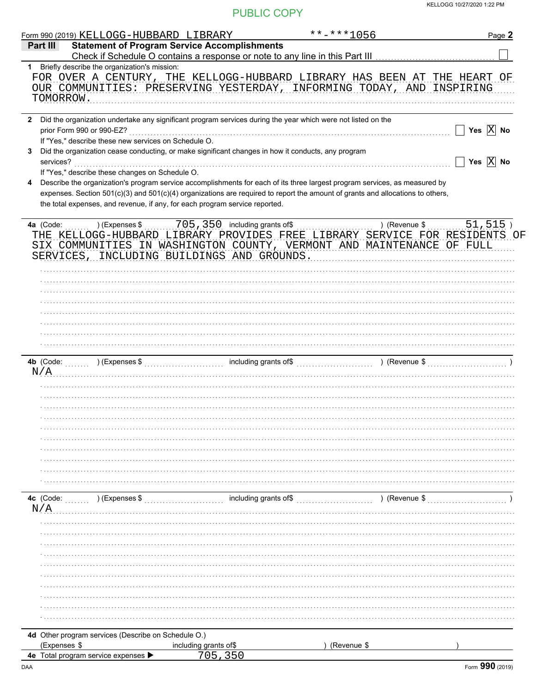|                | Form 990 (2019) KELLOGG-HUBBARD LIBRARY                                                                                                                                                                                                                                                                                                                      |                                  | $***$ $***$ 1056 | Page 2                                         |
|----------------|--------------------------------------------------------------------------------------------------------------------------------------------------------------------------------------------------------------------------------------------------------------------------------------------------------------------------------------------------------------|----------------------------------|------------------|------------------------------------------------|
| Part III       | <b>Statement of Program Service Accomplishments</b>                                                                                                                                                                                                                                                                                                          |                                  |                  |                                                |
| TOMORROW.      | 1 Briefly describe the organization's mission:<br>FOR OVER A CENTURY, THE KELLOGG-HUBBARD LIBRARY HAS BEEN AT THE HEART OF<br>OUR COMMUNITIES: PRESERVING YESTERDAY, INFORMING TODAY, AND INSPIRING                                                                                                                                                          |                                  |                  |                                                |
| 3<br>services? | 2 Did the organization undertake any significant program services during the year which were not listed on the<br>prior Form 990 or 990-EZ?<br>If "Yes," describe these new services on Schedule O.<br>Did the organization cease conducting, or make significant changes in how it conducts, any program<br>If "Yes," describe these changes on Schedule O. |                                  |                  | Yes $\overline{X}$ No<br>Yes $\overline{X}$ No |
| 4              | Describe the organization's program service accomplishments for each of its three largest program services, as measured by<br>expenses. Section 501(c)(3) and 501(c)(4) organizations are required to report the amount of grants and allocations to others,<br>the total expenses, and revenue, if any, for each program service reported.                  |                                  |                  |                                                |
|                | THE KELLOGG-HUBBARD LIBRARY PROVIDES FREE LIBRARY SERVICE FOR RESIDENTS OF<br>SIX COMMUNITIES IN WASHINGTON COUNTY, VERMONT AND MAINTENANCE OF FULL<br>SERVICES, INCLUDING BUILDINGS AND GROUNDS.                                                                                                                                                            |                                  |                  |                                                |
|                |                                                                                                                                                                                                                                                                                                                                                              |                                  |                  |                                                |
|                | N/A                                                                                                                                                                                                                                                                                                                                                          |                                  |                  |                                                |
|                |                                                                                                                                                                                                                                                                                                                                                              |                                  |                  |                                                |
| N/A            |                                                                                                                                                                                                                                                                                                                                                              |                                  |                  |                                                |
|                |                                                                                                                                                                                                                                                                                                                                                              |                                  |                  |                                                |
|                |                                                                                                                                                                                                                                                                                                                                                              |                                  |                  |                                                |
|                | 4d Other program services (Describe on Schedule O.)                                                                                                                                                                                                                                                                                                          |                                  |                  |                                                |
| (Expenses \$   | 4e Total program service expenses ▶                                                                                                                                                                                                                                                                                                                          | including grants of\$<br>705,350 | (Revenue \$      |                                                |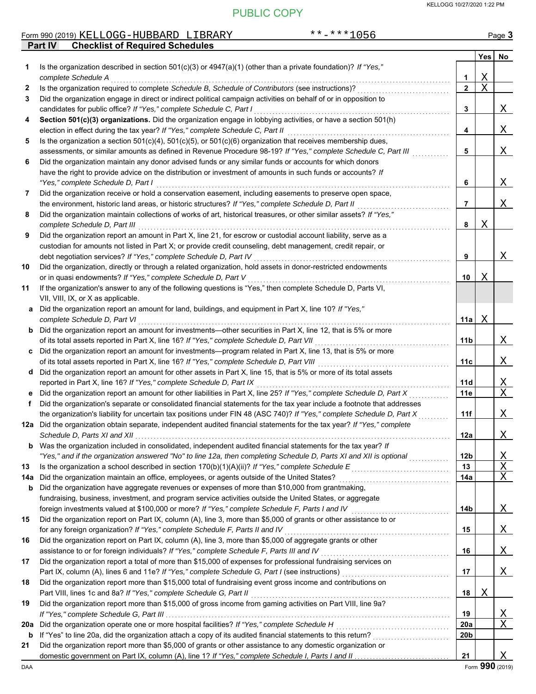#### KELLOGG 10/27/2020 1:22 PM

# PUBLIC COPY

|     | $******1056$<br>Form 990 (2019) KELLOGG-HUBBARD LIBRARY                                                                                                                                                 |                 |                       | Page 3                |
|-----|---------------------------------------------------------------------------------------------------------------------------------------------------------------------------------------------------------|-----------------|-----------------------|-----------------------|
|     | <b>Checklist of Required Schedules</b><br><b>Part IV</b>                                                                                                                                                |                 |                       |                       |
|     |                                                                                                                                                                                                         |                 |                       | Yes No                |
| 1   | Is the organization described in section 501(c)(3) or $4947(a)(1)$ (other than a private foundation)? If "Yes,"                                                                                         |                 |                       |                       |
|     | complete Schedule A                                                                                                                                                                                     | $\mathbf{1}$    | $\mathbf X$           |                       |
| 2   | Is the organization required to complete Schedule B, Schedule of Contributors (see instructions)?                                                                                                       | $\mathbf{2}$    | $\overline{\text{X}}$ |                       |
| 3   | Did the organization engage in direct or indirect political campaign activities on behalf of or in opposition to                                                                                        |                 |                       |                       |
|     | candidates for public office? If "Yes," complete Schedule C, Part I                                                                                                                                     | 3               |                       | X                     |
| 4   | Section 501(c)(3) organizations. Did the organization engage in lobbying activities, or have a section 501(h)                                                                                           |                 |                       |                       |
|     | election in effect during the tax year? If "Yes," complete Schedule C, Part II                                                                                                                          | 4               |                       | Χ                     |
| 5   | Is the organization a section $501(c)(4)$ , $501(c)(5)$ , or $501(c)(6)$ organization that receives membership dues,                                                                                    |                 |                       |                       |
|     | assessments, or similar amounts as defined in Revenue Procedure 98-19? If "Yes," complete Schedule C, Part III                                                                                          | 5               |                       | Χ                     |
| 6   | Did the organization maintain any donor advised funds or any similar funds or accounts for which donors                                                                                                 |                 |                       |                       |
|     | have the right to provide advice on the distribution or investment of amounts in such funds or accounts? If                                                                                             |                 |                       |                       |
|     | "Yes," complete Schedule D, Part I                                                                                                                                                                      | 6               |                       | Χ                     |
| 7   | Did the organization receive or hold a conservation easement, including easements to preserve open space,                                                                                               |                 |                       |                       |
|     | the environment, historic land areas, or historic structures? If "Yes," complete Schedule D, Part II                                                                                                    | $\overline{7}$  |                       | Χ                     |
| 8   | Did the organization maintain collections of works of art, historical treasures, or other similar assets? If "Yes,"                                                                                     |                 |                       |                       |
|     | complete Schedule D, Part III                                                                                                                                                                           | 8               | Χ                     |                       |
| 9   | Did the organization report an amount in Part X, line 21, for escrow or custodial account liability, serve as a                                                                                         |                 |                       |                       |
|     | custodian for amounts not listed in Part X; or provide credit counseling, debt management, credit repair, or                                                                                            |                 |                       |                       |
|     | debt negotiation services? If "Yes," complete Schedule D, Part IV                                                                                                                                       | 9               |                       | Χ                     |
| 10  | Did the organization, directly or through a related organization, hold assets in donor-restricted endowments                                                                                            |                 |                       |                       |
| 11  | or in quasi endowments? If "Yes," complete Schedule D, Part V<br>If the organization's answer to any of the following questions is "Yes," then complete Schedule D, Parts VI,                           | 10              | Χ                     |                       |
|     | VII, VIII, IX, or X as applicable.                                                                                                                                                                      |                 |                       |                       |
| a   | Did the organization report an amount for land, buildings, and equipment in Part X, line 10? If "Yes,"                                                                                                  |                 |                       |                       |
|     | complete Schedule D, Part VI                                                                                                                                                                            | 11a             | Χ                     |                       |
|     | <b>b</b> Did the organization report an amount for investments—other securities in Part X, line 12, that is 5% or more                                                                                  |                 |                       |                       |
|     | of its total assets reported in Part X, line 16? If "Yes," complete Schedule D, Part VII                                                                                                                | 11b             |                       | Χ                     |
| c   | Did the organization report an amount for investments—program related in Part X, line 13, that is 5% or more                                                                                            |                 |                       |                       |
|     | of its total assets reported in Part X, line 16? If "Yes," complete Schedule D, Part VIII                                                                                                               | 11c             |                       | Χ                     |
|     | d Did the organization report an amount for other assets in Part X, line 15, that is 5% or more of its total assets                                                                                     |                 |                       |                       |
|     | reported in Part X, line 16? If "Yes," complete Schedule D, Part IX                                                                                                                                     | <b>11d</b>      |                       | <u>X</u>              |
| е   | Did the organization report an amount for other liabilities in Part X, line 25? If "Yes," complete Schedule D, Part X                                                                                   | 11e             |                       | $\overline{X}$        |
| f   | Did the organization's separate or consolidated financial statements for the tax year include a footnote that addresses                                                                                 |                 |                       |                       |
|     | the organization's liability for uncertain tax positions under FIN 48 (ASC 740)? If "Yes," complete Schedule D, Part X                                                                                  | 11f             |                       | X                     |
|     | 12a Did the organization obtain separate, independent audited financial statements for the tax year? If "Yes," complete                                                                                 |                 |                       |                       |
|     | Schedule D, Parts XI and XII                                                                                                                                                                            | 12a             |                       | <u>X</u>              |
|     | <b>b</b> Was the organization included in consolidated, independent audited financial statements for the tax year? If                                                                                   |                 |                       |                       |
|     | "Yes," and if the organization answered "No" to line 12a, then completing Schedule D, Parts XI and XII is optional                                                                                      | 12 <sub>b</sub> |                       | <u>х</u>              |
| 13  |                                                                                                                                                                                                         | 13              |                       | $\overline{\text{X}}$ |
| 14a | Did the organization maintain an office, employees, or agents outside of the United States?                                                                                                             | 14a             |                       | $\mathbf X$           |
| b   | Did the organization have aggregate revenues or expenses of more than \$10,000 from grantmaking,                                                                                                        |                 |                       |                       |
|     | fundraising, business, investment, and program service activities outside the United States, or aggregate                                                                                               |                 |                       |                       |
|     | foreign investments valued at \$100,000 or more? If "Yes," complete Schedule F, Parts I and IV                                                                                                          | 14b             |                       | Χ                     |
| 15  | Did the organization report on Part IX, column (A), line 3, more than \$5,000 of grants or other assistance to or                                                                                       |                 |                       |                       |
|     | for any foreign organization? If "Yes," complete Schedule F, Parts II and IV                                                                                                                            | 15              |                       | Χ                     |
| 16  | Did the organization report on Part IX, column (A), line 3, more than \$5,000 of aggregate grants or other<br>assistance to or for foreign individuals? If "Yes," complete Schedule F, Parts III and IV | 16              |                       | Χ                     |
| 17  | Did the organization report a total of more than \$15,000 of expenses for professional fundraising services on                                                                                          |                 |                       |                       |
|     |                                                                                                                                                                                                         | 17              |                       | X                     |
| 18  | Did the organization report more than \$15,000 total of fundraising event gross income and contributions on                                                                                             |                 |                       |                       |
|     | Part VIII, lines 1c and 8a? If "Yes," complete Schedule G, Part II                                                                                                                                      | 18              | Χ                     |                       |
| 19  | Did the organization report more than \$15,000 of gross income from gaming activities on Part VIII, line 9a?                                                                                            |                 |                       |                       |
|     |                                                                                                                                                                                                         | 19              |                       | <u>X</u>              |
| 20a |                                                                                                                                                                                                         | 20a             |                       | X                     |
| b   |                                                                                                                                                                                                         | 20 <sub>b</sub> |                       |                       |
| 21  | Did the organization report more than \$5,000 of grants or other assistance to any domestic organization or                                                                                             |                 |                       |                       |

domestic government on Part IX, column (A), line 1? If "Yes," complete Schedule I, Parts I and II

**21**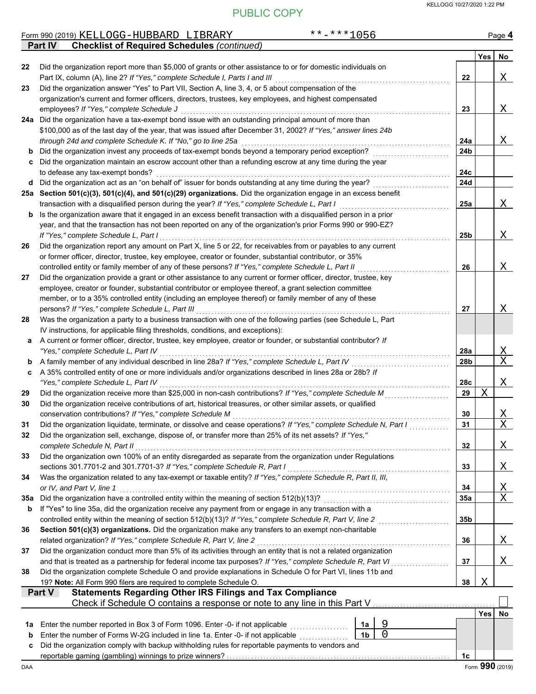|        | **-***1056<br>Form 990 (2019) KELLOGG-HUBBARD LIBRARY                                                                                                                                                                       |                 |             | Page 4                |
|--------|-----------------------------------------------------------------------------------------------------------------------------------------------------------------------------------------------------------------------------|-----------------|-------------|-----------------------|
|        | <b>Checklist of Required Schedules (continued)</b><br><b>Part IV</b>                                                                                                                                                        |                 |             |                       |
| 22     | Did the organization report more than \$5,000 of grants or other assistance to or for domestic individuals on                                                                                                               |                 | Yes         | No                    |
|        | Part IX, column (A), line 2? If "Yes," complete Schedule I, Parts I and III                                                                                                                                                 | 22              |             | X                     |
| 23     | Did the organization answer "Yes" to Part VII, Section A, line 3, 4, or 5 about compensation of the                                                                                                                         |                 |             |                       |
|        | organization's current and former officers, directors, trustees, key employees, and highest compensated                                                                                                                     |                 |             |                       |
|        | employees? If "Yes," complete Schedule J                                                                                                                                                                                    | 23              |             | X                     |
|        | 24a Did the organization have a tax-exempt bond issue with an outstanding principal amount of more than                                                                                                                     |                 |             |                       |
|        | \$100,000 as of the last day of the year, that was issued after December 31, 2002? If "Yes," answer lines 24b                                                                                                               |                 |             |                       |
|        | through 24d and complete Schedule K. If "No," go to line 25a                                                                                                                                                                | 24a             |             | X                     |
| b      | Did the organization invest any proceeds of tax-exempt bonds beyond a temporary period exception?                                                                                                                           | 24 <sub>b</sub> |             |                       |
| c      | Did the organization maintain an escrow account other than a refunding escrow at any time during the year                                                                                                                   |                 |             |                       |
|        | to defease any tax-exempt bonds?                                                                                                                                                                                            | 24c             |             |                       |
| d      | Did the organization act as an "on behalf of" issuer for bonds outstanding at any time during the year?<br>25a Section 501(c)(3), 501(c)(4), and 501(c)(29) organizations. Did the organization engage in an excess benefit | 24d             |             |                       |
|        | transaction with a disqualified person during the year? If "Yes," complete Schedule L, Part I                                                                                                                               | 25a             |             | X                     |
| b      | Is the organization aware that it engaged in an excess benefit transaction with a disqualified person in a prior                                                                                                            |                 |             |                       |
|        | year, and that the transaction has not been reported on any of the organization's prior Forms 990 or 990-EZ?                                                                                                                |                 |             |                       |
|        | If "Yes," complete Schedule L, Part I                                                                                                                                                                                       | 25 <sub>b</sub> |             | X                     |
| 26     | Did the organization report any amount on Part X, line 5 or 22, for receivables from or payables to any current                                                                                                             |                 |             |                       |
|        | or former officer, director, trustee, key employee, creator or founder, substantial contributor, or 35%                                                                                                                     |                 |             |                       |
|        | controlled entity or family member of any of these persons? If "Yes," complete Schedule L, Part II                                                                                                                          | 26              |             | X                     |
| 27     | Did the organization provide a grant or other assistance to any current or former officer, director, trustee, key                                                                                                           |                 |             |                       |
|        | employee, creator or founder, substantial contributor or employee thereof, a grant selection committee                                                                                                                      |                 |             |                       |
|        | member, or to a 35% controlled entity (including an employee thereof) or family member of any of these                                                                                                                      |                 |             |                       |
|        | persons? If "Yes," complete Schedule L, Part III                                                                                                                                                                            | 27              |             | Χ                     |
| 28     | Was the organization a party to a business transaction with one of the following parties (see Schedule L, Part                                                                                                              |                 |             |                       |
|        | IV instructions, for applicable filing thresholds, conditions, and exceptions):                                                                                                                                             |                 |             |                       |
| а      | A current or former officer, director, trustee, key employee, creator or founder, or substantial contributor? If                                                                                                            |                 |             |                       |
|        | "Yes," complete Schedule L, Part IV                                                                                                                                                                                         | 28a             |             | $\frac{X}{X}$         |
| b<br>c | A family member of any individual described in line 28a? If "Yes," complete Schedule L, Part IV<br>A 35% controlled entity of one or more individuals and/or organizations described in lines 28a or 28b? If                | 28b             |             |                       |
|        | "Yes," complete Schedule L, Part IV                                                                                                                                                                                         | 28c             |             | X                     |
| 29     | Did the organization receive more than \$25,000 in non-cash contributions? If "Yes," complete Schedule M                                                                                                                    | 29              | $\mathbf X$ |                       |
| 30     | Did the organization receive contributions of art, historical treasures, or other similar assets, or qualified                                                                                                              |                 |             |                       |
|        | conservation contributions? If "Yes," complete Schedule M                                                                                                                                                                   | 30              |             | <u>X</u>              |
| 31     | Did the organization liquidate, terminate, or dissolve and cease operations? If "Yes," complete Schedule N, Part I                                                                                                          | 31              |             | $\overline{\text{X}}$ |
| 32     | Did the organization sell, exchange, dispose of, or transfer more than 25% of its net assets? If "Yes,"                                                                                                                     |                 |             |                       |
|        | complete Schedule N, Part II                                                                                                                                                                                                | 32              |             | X                     |
| 33     | Did the organization own 100% of an entity disregarded as separate from the organization under Regulations                                                                                                                  |                 |             |                       |
|        | sections 301.7701-2 and 301.7701-3? If "Yes," complete Schedule R, Part I                                                                                                                                                   | 33              |             | X                     |
| 34     | Was the organization related to any tax-exempt or taxable entity? If "Yes," complete Schedule R, Part II, III,                                                                                                              |                 |             |                       |
|        | or IV, and Part V, line 1                                                                                                                                                                                                   | 34              |             | $\frac{X}{X}$         |
| 35а    | Did the organization have a controlled entity within the meaning of section 512(b)(13)?                                                                                                                                     | 35a             |             |                       |
| b      | If "Yes" to line 35a, did the organization receive any payment from or engage in any transaction with a                                                                                                                     |                 |             |                       |
| 36     | controlled entity within the meaning of section 512(b)(13)? If "Yes," complete Schedule R, Part V, line 2<br>Section 501(c)(3) organizations. Did the organization make any transfers to an exempt non-charitable           | 35b             |             |                       |
|        | related organization? If "Yes," complete Schedule R, Part V, line 2                                                                                                                                                         | 36              |             | Χ                     |
| 37     | Did the organization conduct more than 5% of its activities through an entity that is not a related organization                                                                                                            |                 |             |                       |
|        | and that is treated as a partnership for federal income tax purposes? If "Yes," complete Schedule R, Part VI                                                                                                                | 37              |             | Χ                     |
| 38     | Did the organization complete Schedule O and provide explanations in Schedule O for Part VI, lines 11b and                                                                                                                  |                 |             |                       |
|        | 19? Note: All Form 990 filers are required to complete Schedule O.                                                                                                                                                          | 38              | X           |                       |
|        | <b>Statements Regarding Other IRS Filings and Tax Compliance</b><br>Part V                                                                                                                                                  |                 |             |                       |
|        | Check if Schedule O contains a response or note to any line in this Part V                                                                                                                                                  |                 |             |                       |
|        |                                                                                                                                                                                                                             |                 | Yes         | No                    |
| 1a     | 9<br>Enter the number reported in Box 3 of Form 1096. Enter -0- if not applicable<br>1a                                                                                                                                     |                 |             |                       |
| b      | $\overline{0}$<br>1 <sub>b</sub><br>Enter the number of Forms W-2G included in line 1a. Enter -0- if not applicable                                                                                                         |                 |             |                       |
| c      | Did the organization comply with backup withholding rules for reportable payments to vendors and                                                                                                                            |                 |             |                       |
|        |                                                                                                                                                                                                                             | 1c              |             |                       |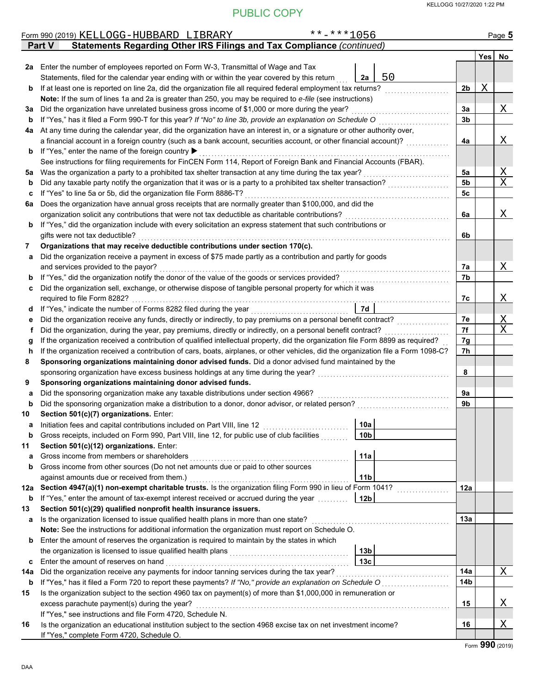|          | **-***1056<br>Form 990 (2019) KELLOGG-HUBBARD LIBRARY                                                                                                                                        |                                    |                |        | Page 5      |  |  |  |  |  |
|----------|----------------------------------------------------------------------------------------------------------------------------------------------------------------------------------------------|------------------------------------|----------------|--------|-------------|--|--|--|--|--|
|          | <b>Statements Regarding Other IRS Filings and Tax Compliance (continued)</b><br><b>Part V</b>                                                                                                |                                    |                |        |             |  |  |  |  |  |
|          |                                                                                                                                                                                              |                                    |                | Yes No |             |  |  |  |  |  |
|          | 2a Enter the number of employees reported on Form W-3, Transmittal of Wage and Tax                                                                                                           |                                    |                |        |             |  |  |  |  |  |
|          | Statements, filed for the calendar year ending with or within the year covered by this return                                                                                                | 50<br>2a                           |                | Χ      |             |  |  |  |  |  |
| b        | If at least one is reported on line 2a, did the organization file all required federal employment tax returns?                                                                               |                                    |                |        |             |  |  |  |  |  |
|          | Note: If the sum of lines 1a and 2a is greater than 250, you may be required to e-file (see instructions)                                                                                    |                                    |                |        |             |  |  |  |  |  |
| За       | Did the organization have unrelated business gross income of \$1,000 or more during the year?                                                                                                |                                    | 3a             |        | Χ           |  |  |  |  |  |
| b        | If "Yes," has it filed a Form 990-T for this year? If "No" to line 3b, provide an explanation on Schedule O                                                                                  |                                    | 3b             |        |             |  |  |  |  |  |
| 4a       | At any time during the calendar year, did the organization have an interest in, or a signature or other authority over,                                                                      |                                    |                |        |             |  |  |  |  |  |
|          | a financial account in a foreign country (such as a bank account, securities account, or other financial account)?                                                                           |                                    | 4a             |        | Χ           |  |  |  |  |  |
| b        | If "Yes," enter the name of the foreign country ▶                                                                                                                                            |                                    |                |        |             |  |  |  |  |  |
|          | See instructions for filing requirements for FinCEN Form 114, Report of Foreign Bank and Financial Accounts (FBAR).                                                                          |                                    |                |        |             |  |  |  |  |  |
| 5a       | Was the organization a party to a prohibited tax shelter transaction at any time during the tax year?                                                                                        |                                    | 5a             |        | Χ           |  |  |  |  |  |
| b        | Did any taxable party notify the organization that it was or is a party to a prohibited tax shelter transaction?                                                                             |                                    | 5 <sub>b</sub> |        | $\mathbf X$ |  |  |  |  |  |
| c        | If "Yes" to line 5a or 5b, did the organization file Form 8886-T?                                                                                                                            |                                    | 5c             |        |             |  |  |  |  |  |
| 6a       | Does the organization have annual gross receipts that are normally greater than \$100,000, and did the                                                                                       |                                    |                |        |             |  |  |  |  |  |
|          | organization solicit any contributions that were not tax deductible as charitable contributions?                                                                                             |                                    | 6a             |        | Χ           |  |  |  |  |  |
| b        | If "Yes," did the organization include with every solicitation an express statement that such contributions or                                                                               |                                    |                |        |             |  |  |  |  |  |
|          | gifts were not tax deductible?                                                                                                                                                               |                                    | 6b             |        |             |  |  |  |  |  |
| 7        | Organizations that may receive deductible contributions under section 170(c).<br>Did the organization receive a payment in excess of \$75 made partly as a contribution and partly for goods |                                    |                |        |             |  |  |  |  |  |
| a        | and services provided to the payor?                                                                                                                                                          |                                    | 7a             |        | Χ           |  |  |  |  |  |
| b        | If "Yes," did the organization notify the donor of the value of the goods or services provided?                                                                                              |                                    | 7b             |        |             |  |  |  |  |  |
| c        | Did the organization sell, exchange, or otherwise dispose of tangible personal property for which it was                                                                                     |                                    |                |        |             |  |  |  |  |  |
|          | required to file Form 8282?                                                                                                                                                                  |                                    | 7c             |        | Χ           |  |  |  |  |  |
| d        |                                                                                                                                                                                              | 7d                                 |                |        |             |  |  |  |  |  |
| е        | Did the organization receive any funds, directly or indirectly, to pay premiums on a personal benefit contract?                                                                              |                                    | 7e             |        | Χ           |  |  |  |  |  |
| f        | Did the organization, during the year, pay premiums, directly or indirectly, on a personal benefit contract?                                                                                 |                                    | 7f             |        | $\mathbf X$ |  |  |  |  |  |
| g        | If the organization received a contribution of qualified intellectual property, did the organization file Form 8899 as required?                                                             |                                    | 7g             |        |             |  |  |  |  |  |
| h        | If the organization received a contribution of cars, boats, airplanes, or other vehicles, did the organization file a Form 1098-C?                                                           |                                    | 7h             |        |             |  |  |  |  |  |
| 8        | Sponsoring organizations maintaining donor advised funds. Did a donor advised fund maintained by the                                                                                         |                                    |                |        |             |  |  |  |  |  |
|          | sponsoring organization have excess business holdings at any time during the year?                                                                                                           |                                    | 8              |        |             |  |  |  |  |  |
| 9        | Sponsoring organizations maintaining donor advised funds.                                                                                                                                    |                                    |                |        |             |  |  |  |  |  |
| a        | Did the sponsoring organization make any taxable distributions under section 4966?                                                                                                           |                                    | 9a             |        |             |  |  |  |  |  |
| b        | Did the sponsoring organization make a distribution to a donor, donor advisor, or related person?                                                                                            |                                    | 9b             |        |             |  |  |  |  |  |
| 10       | Section 501(c)(7) organizations. Enter:                                                                                                                                                      |                                    |                |        |             |  |  |  |  |  |
|          | Initiation fees and capital contributions included on Part VIII, line 12 [10] [10] [10] [10] [10] [10] [11] [1                                                                               | 10a                                |                |        |             |  |  |  |  |  |
| b        | Gross receipts, included on Form 990, Part VIII, line 12, for public use of club facilities                                                                                                  | 10 <sub>b</sub>                    |                |        |             |  |  |  |  |  |
| 11       | Section 501(c)(12) organizations. Enter:                                                                                                                                                     |                                    |                |        |             |  |  |  |  |  |
| a        | Gross income from members or shareholders                                                                                                                                                    | 11a                                |                |        |             |  |  |  |  |  |
| b        | Gross income from other sources (Do not net amounts due or paid to other sources                                                                                                             |                                    |                |        |             |  |  |  |  |  |
|          | against amounts due or received from them.)                                                                                                                                                  | 11 <sub>b</sub>                    |                |        |             |  |  |  |  |  |
| 12a      | Section 4947(a)(1) non-exempt charitable trusts. Is the organization filing Form 990 in lieu of Form 1041?                                                                                   |                                    | 12a            |        |             |  |  |  |  |  |
| b        | If "Yes," enter the amount of tax-exempt interest received or accrued during the year [[[[[[[[[[[[[[[[]]]]]]]                                                                                | 12 <sub>b</sub>                    |                |        |             |  |  |  |  |  |
| 13       | Section 501(c)(29) qualified nonprofit health insurance issuers.                                                                                                                             |                                    |                |        |             |  |  |  |  |  |
| а        | Is the organization licensed to issue qualified health plans in more than one state?                                                                                                         |                                    | 13a            |        |             |  |  |  |  |  |
|          | Note: See the instructions for additional information the organization must report on Schedule O.                                                                                            |                                    |                |        |             |  |  |  |  |  |
| b        | Enter the amount of reserves the organization is required to maintain by the states in which                                                                                                 |                                    |                |        |             |  |  |  |  |  |
|          |                                                                                                                                                                                              | 13 <sub>b</sub><br>13 <sub>c</sub> |                |        |             |  |  |  |  |  |
| c        | Enter the amount of reserves on hand<br>Did the organization receive any payments for indoor tanning services during the tax year?                                                           |                                    | 14a            |        | Χ           |  |  |  |  |  |
| 14a<br>b | If "Yes," has it filed a Form 720 to report these payments? If "No," provide an explanation on Schedule O                                                                                    |                                    | 14b            |        |             |  |  |  |  |  |
| 15       | Is the organization subject to the section 4960 tax on payment(s) of more than \$1,000,000 in remuneration or                                                                                |                                    |                |        |             |  |  |  |  |  |
|          | excess parachute payment(s) during the year?                                                                                                                                                 |                                    | 15             |        | Χ           |  |  |  |  |  |
|          | If "Yes," see instructions and file Form 4720, Schedule N.                                                                                                                                   |                                    |                |        |             |  |  |  |  |  |
| 16       | Is the organization an educational institution subject to the section 4968 excise tax on net investment income?                                                                              |                                    | 16             |        | Χ           |  |  |  |  |  |
|          | If "Yes," complete Form 4720, Schedule O.                                                                                                                                                    |                                    |                |        |             |  |  |  |  |  |
|          |                                                                                                                                                                                              |                                    |                |        |             |  |  |  |  |  |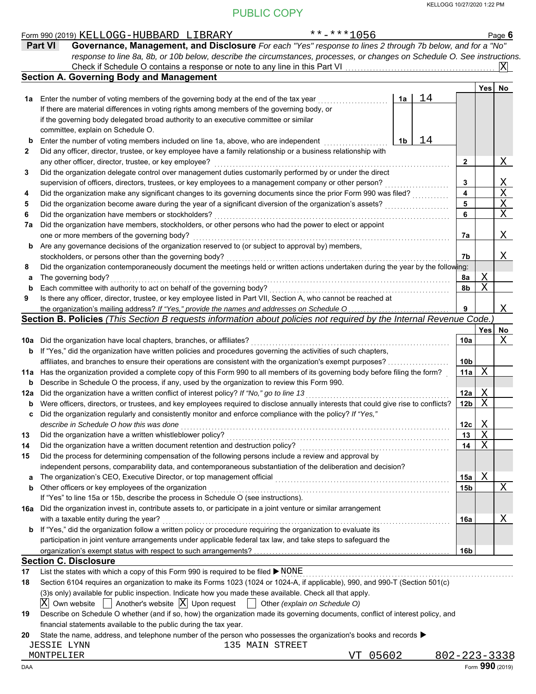#### KELLOGG 10/27/2020 1:22 PM

## PUBLIC COPY

|     | $******1056$<br>Form 990 (2019) KELLOGG-HUBBARD LIBRARY                                                                                                                                   |                 |        | Page 6                |
|-----|-------------------------------------------------------------------------------------------------------------------------------------------------------------------------------------------|-----------------|--------|-----------------------|
|     | Governance, Management, and Disclosure For each "Yes" response to lines 2 through 7b below, and for a "No"<br><b>Part VI</b>                                                              |                 |        |                       |
|     | response to line 8a, 8b, or 10b below, describe the circumstances, processes, or changes on Schedule O. See instructions.                                                                 |                 |        |                       |
|     | Check if Schedule O contains a response or note to any line in this Part VI                                                                                                               |                 |        | ΙXΙ                   |
|     | <b>Section A. Governing Body and Management</b>                                                                                                                                           |                 |        |                       |
|     |                                                                                                                                                                                           |                 | Yes    | No                    |
|     | 14<br>1a Enter the number of voting members of the governing body at the end of the tax year<br>1a                                                                                        |                 |        |                       |
|     | If there are material differences in voting rights among members of the governing body, or                                                                                                |                 |        |                       |
|     | if the governing body delegated broad authority to an executive committee or similar                                                                                                      |                 |        |                       |
|     | committee, explain on Schedule O.                                                                                                                                                         |                 |        |                       |
| b   | 14<br>Enter the number of voting members included on line 1a, above, who are independent<br>1b                                                                                            |                 |        |                       |
| 2   | Did any officer, director, trustee, or key employee have a family relationship or a business relationship with                                                                            |                 |        |                       |
|     | any other officer, director, trustee, or key employee?                                                                                                                                    | $\mathbf{2}$    |        | Χ                     |
| 3   | Did the organization delegate control over management duties customarily performed by or under the direct                                                                                 |                 |        |                       |
|     | supervision of officers, directors, trustees, or key employees to a management company or other person?                                                                                   | 3               |        | $\frac{X}{X}$         |
| 4   | Did the organization make any significant changes to its governing documents since the prior Form 990 was filed?                                                                          | 4               |        |                       |
| 5   | Did the organization become aware during the year of a significant diversion of the organization's assets?                                                                                | 5               |        | $\overline{X}$        |
| 6   | Did the organization have members or stockholders?                                                                                                                                        | 6               |        | $\overline{\text{X}}$ |
| 7a  | Did the organization have members, stockholders, or other persons who had the power to elect or appoint                                                                                   |                 |        |                       |
|     | one or more members of the governing body?                                                                                                                                                | 7а              |        | Χ                     |
| b   | Are any governance decisions of the organization reserved to (or subject to approval by) members,                                                                                         |                 |        |                       |
|     | stockholders, or persons other than the governing body?                                                                                                                                   | 7b              |        | Χ                     |
| 8   | Did the organization contemporaneously document the meetings held or written actions undertaken during the year by the following:                                                         |                 |        |                       |
| a   | The governing body?                                                                                                                                                                       | 8а              | Χ<br>X |                       |
| b   | Each committee with authority to act on behalf of the governing body?<br>Is there any officer, director, trustee, or key employee listed in Part VII, Section A, who cannot be reached at | 8b              |        |                       |
| 9   | the organization's mailing address? If "Yes," provide the names and addresses on Schedule O                                                                                               |                 |        | Χ                     |
|     | Section B. Policies (This Section B requests information about policies not required by the Internal Revenue Code.)                                                                       |                 |        |                       |
|     |                                                                                                                                                                                           |                 | Yesl   | No                    |
|     | 10a Did the organization have local chapters, branches, or affiliates?                                                                                                                    | 10a             |        | X                     |
| b   | If "Yes," did the organization have written policies and procedures governing the activities of such chapters,                                                                            |                 |        |                       |
|     | affiliates, and branches to ensure their operations are consistent with the organization's exempt purposes?                                                                               | 10 <sub>b</sub> |        |                       |
|     | 11a Has the organization provided a complete copy of this Form 990 to all members of its governing body before filing the form?                                                           | 11a             | X      |                       |
| b   | Describe in Schedule O the process, if any, used by the organization to review this Form 990.                                                                                             |                 |        |                       |
| 12a | Did the organization have a written conflict of interest policy? If "No," go to line 13                                                                                                   | 12a             | Χ      |                       |
| b   | Were officers, directors, or trustees, and key employees required to disclose annually interests that could give rise to conflicts?                                                       | 12 <sub>b</sub> | X      |                       |
| c   | Did the organization regularly and consistently monitor and enforce compliance with the policy? If "Yes,"                                                                                 |                 |        |                       |
|     | describe in Schedule O how this was done                                                                                                                                                  | 12c             | Χ      |                       |
| 13  | Did the organization have a written whistleblower policy?                                                                                                                                 | 13              | X      |                       |
| 14  | Did the organization have a written document retention and destruction policy?                                                                                                            | 14              | X      |                       |
| 15  | Did the process for determining compensation of the following persons include a review and approval by                                                                                    |                 |        |                       |
|     | independent persons, comparability data, and contemporaneous substantiation of the deliberation and decision?                                                                             |                 |        |                       |
| a   | The organization's CEO, Executive Director, or top management official                                                                                                                    | 15a             | Χ      |                       |
| b   | Other officers or key employees of the organization                                                                                                                                       | 15b             |        | X                     |
|     | If "Yes" to line 15a or 15b, describe the process in Schedule O (see instructions).                                                                                                       |                 |        |                       |
| 16а | Did the organization invest in, contribute assets to, or participate in a joint venture or similar arrangement                                                                            |                 |        |                       |
|     | with a taxable entity during the year?                                                                                                                                                    | 16a             |        | Χ                     |
| b   | If "Yes," did the organization follow a written policy or procedure requiring the organization to evaluate its                                                                            |                 |        |                       |
|     | participation in joint venture arrangements under applicable federal tax law, and take steps to safeguard the                                                                             |                 |        |                       |
|     |                                                                                                                                                                                           | 16b             |        |                       |
|     | <b>Section C. Disclosure</b>                                                                                                                                                              |                 |        |                       |
| 17  | List the states with which a copy of this Form 990 is required to be filed ▶ NONE                                                                                                         |                 |        |                       |
| 18  | Section 6104 requires an organization to make its Forms 1023 (1024 or 1024-A, if applicable), 990, and 990-T (Section 501(c)                                                              |                 |        |                       |
|     | (3)s only) available for public inspection. Indicate how you made these available. Check all that apply.                                                                                  |                 |        |                       |
|     | $ X $ Own website $ $ Another's website $ X $ Upon request<br>Other (explain on Schedule O)<br>$\sim$                                                                                     |                 |        |                       |
| 19  | Describe on Schedule O whether (and if so, how) the organization made its governing documents, conflict of interest policy, and                                                           |                 |        |                       |
|     | financial statements available to the public during the tax year.                                                                                                                         |                 |        |                       |
| 20  | State the name, address, and telephone number of the person who possesses the organization's books and records $\blacktriangleright$                                                      |                 |        |                       |

|                    | State the name, address, and telephone number of the person who possesses the organizat |  |  |                 |  |
|--------------------|-----------------------------------------------------------------------------------------|--|--|-----------------|--|
| <b>JESSIE LYNN</b> |                                                                                         |  |  | 135 MAIN STREET |  |

| O DOOLD DINN               |  |
|----------------------------|--|
| $17017$ mn $\pi$ $\tau$ mn |  |

MONTPELIER VT 05602 802-223-3338

 $\blacksquare$   $\blacksquare$   $\blacksquare$   $\blacksquare$   $\blacksquare$   $\blacksquare$   $\blacksquare$   $\blacksquare$   $\blacksquare$   $\blacksquare$   $\blacksquare$   $\blacksquare$   $\blacksquare$   $\blacksquare$   $\blacksquare$   $\blacksquare$   $\blacksquare$   $\blacksquare$   $\blacksquare$   $\blacksquare$   $\blacksquare$   $\blacksquare$   $\blacksquare$   $\blacksquare$   $\blacksquare$   $\blacksquare$   $\blacksquare$   $\blacksquare$   $\blacksquare$   $\blacksquare$   $\blacksquare$   $\blacks$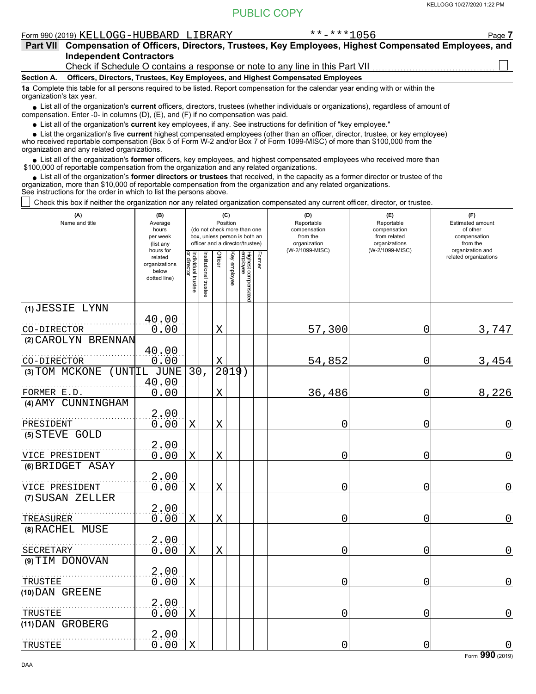|                          | Form 990 (2019) KELLOGG-HUBBARD LIBRARY                                                                                                                                                                                                                     | $***$ $***$ 1056 | Page 7 |
|--------------------------|-------------------------------------------------------------------------------------------------------------------------------------------------------------------------------------------------------------------------------------------------------------|------------------|--------|
| <b>Part VII</b>          | Compensation of Officers, Directors, Trustees, Key Employees, Highest Compensated Employees, and                                                                                                                                                            |                  |        |
|                          | <b>Independent Contractors</b>                                                                                                                                                                                                                              |                  |        |
|                          | Check if Schedule O contains a response or note to any line in this Part VII                                                                                                                                                                                |                  |        |
| Section A.               | Officers, Directors, Trustees, Key Employees, and Highest Compensated Employees                                                                                                                                                                             |                  |        |
| organization's tax year. | 1a Complete this table for all persons required to be listed. Report compensation for the calendar year ending with or within the                                                                                                                           |                  |        |
|                          | • List all of the organization's current officers, directors, trustees (whether individuals or organizations), regardless of amount of<br>compensation. Enter -0- in columns $(D)$ , $(E)$ , and $(F)$ if no compensation was paid.                         |                  |        |
|                          | • List all of the organization's current key employees, if any. See instructions for definition of "key employee."                                                                                                                                          |                  |        |
|                          | • List the organization's five current highest compensated employees (other than an officer, director, trustee, or key employee)<br>who resolved reportable componention (Rey 5 of Ferm W 2 and/or Rey 7 of Ferm 1000 MISC) of mere than \$100,000 from the |                  |        |

who received reportable compensation (Box 5 of Form W-2 and/or Box 7 of Form 1099-MISC) of more than \$100,000 from the organization and any related organizations.

List all of the organization's **former** officers, key employees, and highest compensated employees who received more than • List all of the organization's **former** officers, key employees, and highest compensate \$100,000 of reportable compensation from the organization and any related organizations.

List all of the organization's **former directors or trustees** that received, in the capacity as a former director or trustee of the organization, more than \$10,000 of reportable compensation from the organization and any related organizations. See instructions for the order in which to list the persons above. **•**

Check this box if neither the organization nor any related organization compensated any current officer, director, or trustee.

| (A)<br>Name and title    | (B)<br>Average<br>hours<br>per week<br>(list any<br>hours for |                                   | (C)<br>Position<br>(do not check more than one<br>box, unless person is both an<br>officer and a director/trustee) |             |              |                                 |        | (D)<br>Reportable<br>compensation<br>from the<br>organization<br>(W-2/1099-MISC) | (E)<br>Reportable<br>compensation<br>from related<br>organizations<br>(W-2/1099-MISC) | (F)<br>Estimated amount<br>of other<br>compensation<br>from the<br>organization and |
|--------------------------|---------------------------------------------------------------|-----------------------------------|--------------------------------------------------------------------------------------------------------------------|-------------|--------------|---------------------------------|--------|----------------------------------------------------------------------------------|---------------------------------------------------------------------------------------|-------------------------------------------------------------------------------------|
|                          | related<br>organizations<br>below<br>dotted line)             | Individual trustee<br>or director | Institutional trustee                                                                                              | Officer     | Key employee | Highest compensated<br>employee | Former |                                                                                  |                                                                                       | related organizations                                                               |
| (1) JESSIE LYNN          |                                                               |                                   |                                                                                                                    |             |              |                                 |        |                                                                                  |                                                                                       |                                                                                     |
| CO-DIRECTOR              | 40.00<br>0.00                                                 |                                   |                                                                                                                    | Χ           |              |                                 |        | 57,300                                                                           | 0                                                                                     | 3,747                                                                               |
| (2) CAROLYN BRENNAN      |                                                               |                                   |                                                                                                                    |             |              |                                 |        |                                                                                  |                                                                                       |                                                                                     |
| CO-DIRECTOR              | 40.00<br>0.00                                                 |                                   |                                                                                                                    | $\mathbf X$ |              |                                 |        | 54,852                                                                           | 0                                                                                     | 3,454                                                                               |
| (3) TOM MCKONE<br>(UNTIL | <b>JUNE</b>                                                   | 30,                               |                                                                                                                    |             | 2019)        |                                 |        |                                                                                  |                                                                                       |                                                                                     |
| FORMER E.D.              | 40.00<br>0.00                                                 |                                   |                                                                                                                    | X           |              |                                 |        | 36,486                                                                           | 0                                                                                     | 8,226                                                                               |
| (4) AMY CUNNINGHAM       |                                                               |                                   |                                                                                                                    |             |              |                                 |        |                                                                                  |                                                                                       |                                                                                     |
| PRESIDENT                | 2.00<br>0.00                                                  | X                                 |                                                                                                                    | X           |              |                                 |        | 0                                                                                | 0                                                                                     | $\mathbf 0$                                                                         |
| (5) STEVE GOLD           |                                                               |                                   |                                                                                                                    |             |              |                                 |        |                                                                                  |                                                                                       |                                                                                     |
| VICE PRESIDENT           | 2.00<br>0.00                                                  | $\mathbf X$                       |                                                                                                                    | $\rm X$     |              |                                 |        | 0                                                                                | 0                                                                                     | $\mathbf 0$                                                                         |
| (6) BRIDGET ASAY         |                                                               |                                   |                                                                                                                    |             |              |                                 |        |                                                                                  |                                                                                       |                                                                                     |
| VICE PRESIDENT           | 2.00<br>0.00                                                  | $\mathbf X$                       |                                                                                                                    | $\mathbf X$ |              |                                 |        | 0                                                                                | 0                                                                                     | $\mathsf{O}\xspace$                                                                 |
| (7) SUSAN ZELLER         |                                                               |                                   |                                                                                                                    |             |              |                                 |        |                                                                                  |                                                                                       |                                                                                     |
| TREASURER                | 2.00<br>0.00                                                  | $\mathbf X$                       |                                                                                                                    | $\mathbf X$ |              |                                 |        | 0                                                                                | $\overline{0}$                                                                        | $\overline{0}$                                                                      |
| (8) RACHEL MUSE          |                                                               |                                   |                                                                                                                    |             |              |                                 |        |                                                                                  |                                                                                       |                                                                                     |
| SECRETARY                | 2.00<br>0.00                                                  | $\mathbf X$                       |                                                                                                                    | $\mathbf X$ |              |                                 |        | 0                                                                                | 0                                                                                     | $\mathbf 0$                                                                         |
| (9) TIM DONOVAN          |                                                               |                                   |                                                                                                                    |             |              |                                 |        |                                                                                  |                                                                                       |                                                                                     |
| TRUSTEE                  | 2.00<br>0.00                                                  | Χ                                 |                                                                                                                    |             |              |                                 |        | 0                                                                                | 0                                                                                     | $\mathbf 0$                                                                         |
| (10) DAN GREENE          |                                                               |                                   |                                                                                                                    |             |              |                                 |        |                                                                                  |                                                                                       |                                                                                     |
| TRUSTEE                  | 2.00<br>0.00                                                  | $\mathbf X$                       |                                                                                                                    |             |              |                                 |        | 0                                                                                | 0                                                                                     | $\Omega$                                                                            |
| (11) DAN GROBERG         |                                                               |                                   |                                                                                                                    |             |              |                                 |        |                                                                                  |                                                                                       |                                                                                     |
| TRUSTEE                  | 2.00<br>0.00                                                  | X                                 |                                                                                                                    |             |              |                                 |        | 0                                                                                | 0                                                                                     | $\mathbf 0$                                                                         |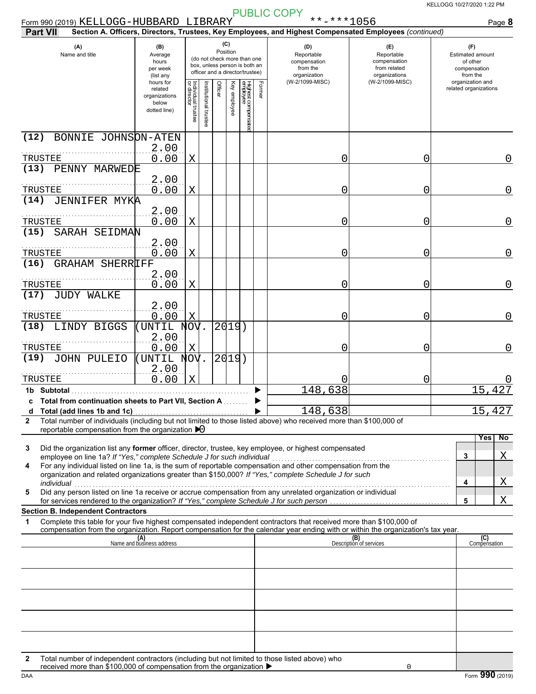| Form 990 (2019) KELLOGG-HUBBARD LIBRARY                                                                                                                                                                                                                                                                                                                                                                                                                                                                                                               |                                                                |                                   |                                                                                                 |         |              |                                 |        | $******1056$                                                                                           |                                                                    | Page 8                                                          |
|-------------------------------------------------------------------------------------------------------------------------------------------------------------------------------------------------------------------------------------------------------------------------------------------------------------------------------------------------------------------------------------------------------------------------------------------------------------------------------------------------------------------------------------------------------|----------------------------------------------------------------|-----------------------------------|-------------------------------------------------------------------------------------------------|---------|--------------|---------------------------------|--------|--------------------------------------------------------------------------------------------------------|--------------------------------------------------------------------|-----------------------------------------------------------------|
| <b>Part VII</b>                                                                                                                                                                                                                                                                                                                                                                                                                                                                                                                                       |                                                                |                                   |                                                                                                 |         | (C)          |                                 |        | Section A. Officers, Directors, Trustees, Key Employees, and Highest Compensated Employees (continued) |                                                                    |                                                                 |
| (A)<br>Name and title                                                                                                                                                                                                                                                                                                                                                                                                                                                                                                                                 | (B)<br>Average<br>hours<br>per week<br>(list any               |                                   | (do not check more than one<br>box, unless person is both an<br>officer and a director/trustee) |         | Position     |                                 |        | (D)<br>Reportable<br>compensation<br>from the<br>organization                                          | (E)<br>Reportable<br>compensation<br>from related<br>organizations | (F)<br>Estimated amount<br>of other<br>compensation<br>from the |
|                                                                                                                                                                                                                                                                                                                                                                                                                                                                                                                                                       | hours for<br>related<br>organizations<br>below<br>dotted line) | Individual trustee<br>or director | Institutional trustee                                                                           | Officer | Key employee | Highest compensatec<br>employee | Former | (W-2/1099-MISC)                                                                                        | (W-2/1099-MISC)                                                    | organization and<br>related organizations                       |
| (12)<br>BONNIE JOHNSON-ATEN                                                                                                                                                                                                                                                                                                                                                                                                                                                                                                                           | 2.00                                                           |                                   |                                                                                                 |         |              |                                 |        |                                                                                                        |                                                                    |                                                                 |
| TRUSTEE                                                                                                                                                                                                                                                                                                                                                                                                                                                                                                                                               | 0.00                                                           | X                                 |                                                                                                 |         |              |                                 |        | 0                                                                                                      | 0                                                                  | 0                                                               |
| PENNY MARWEDE<br>(13)                                                                                                                                                                                                                                                                                                                                                                                                                                                                                                                                 |                                                                |                                   |                                                                                                 |         |              |                                 |        |                                                                                                        |                                                                    |                                                                 |
|                                                                                                                                                                                                                                                                                                                                                                                                                                                                                                                                                       | 2.00                                                           |                                   |                                                                                                 |         |              |                                 |        |                                                                                                        |                                                                    |                                                                 |
| TRUSTEE<br>(14)<br>JENNIFER MYKA                                                                                                                                                                                                                                                                                                                                                                                                                                                                                                                      | 0.00                                                           | X                                 |                                                                                                 |         |              |                                 |        | 0                                                                                                      | 0                                                                  | $\mathbf 0$                                                     |
| TRUSTEE                                                                                                                                                                                                                                                                                                                                                                                                                                                                                                                                               | 2.00<br>0.00                                                   | X                                 |                                                                                                 |         |              |                                 |        | 0                                                                                                      | 0                                                                  | $\overline{0}$                                                  |
| (15)<br>SARAH SEIDMAN                                                                                                                                                                                                                                                                                                                                                                                                                                                                                                                                 |                                                                |                                   |                                                                                                 |         |              |                                 |        |                                                                                                        |                                                                    |                                                                 |
|                                                                                                                                                                                                                                                                                                                                                                                                                                                                                                                                                       | 2.00                                                           |                                   |                                                                                                 |         |              |                                 |        |                                                                                                        |                                                                    |                                                                 |
| TRUSTEE<br>(16)<br>GRAHAM SHERRIFF                                                                                                                                                                                                                                                                                                                                                                                                                                                                                                                    | 0.00                                                           | Χ                                 |                                                                                                 |         |              |                                 |        | 0                                                                                                      | 0                                                                  | $\Omega$                                                        |
| TRUSTEE                                                                                                                                                                                                                                                                                                                                                                                                                                                                                                                                               | 2.00<br>0.00                                                   | X                                 |                                                                                                 |         |              |                                 |        | 0                                                                                                      | 0                                                                  | $\Omega$                                                        |
| JUDY WALKE<br>(17)                                                                                                                                                                                                                                                                                                                                                                                                                                                                                                                                    |                                                                |                                   |                                                                                                 |         |              |                                 |        |                                                                                                        |                                                                    |                                                                 |
| TRUSTEE                                                                                                                                                                                                                                                                                                                                                                                                                                                                                                                                               | 2.00<br>0.00                                                   | Χ                                 |                                                                                                 |         |              |                                 |        | 0                                                                                                      | 0                                                                  | $\Omega$                                                        |
| LINDY BIGGS<br>(18)                                                                                                                                                                                                                                                                                                                                                                                                                                                                                                                                   | UNTIL NOV.                                                     |                                   |                                                                                                 |         | 2019)        |                                 |        |                                                                                                        |                                                                    |                                                                 |
| TRUSTEE                                                                                                                                                                                                                                                                                                                                                                                                                                                                                                                                               | 2.00<br>0.00                                                   | Χ                                 |                                                                                                 |         |              |                                 |        | 0                                                                                                      | 0                                                                  | $\overline{0}$                                                  |
| (19)<br>JOHN PULEIO                                                                                                                                                                                                                                                                                                                                                                                                                                                                                                                                   | UNTIL NOV.                                                     |                                   |                                                                                                 |         | $2019$ )     |                                 |        |                                                                                                        |                                                                    |                                                                 |
|                                                                                                                                                                                                                                                                                                                                                                                                                                                                                                                                                       | 2.00                                                           |                                   |                                                                                                 |         |              |                                 |        |                                                                                                        |                                                                    |                                                                 |
| TRUSTEE<br>1b Subtotal                                                                                                                                                                                                                                                                                                                                                                                                                                                                                                                                | 0.00                                                           | X                                 |                                                                                                 |         |              |                                 |        | 148,638                                                                                                | 0                                                                  | 15,427                                                          |
| c Total from continuation sheets to Part VII, Section A                                                                                                                                                                                                                                                                                                                                                                                                                                                                                               |                                                                |                                   |                                                                                                 |         |              |                                 |        |                                                                                                        |                                                                    |                                                                 |
| d Total (add lines 1b and 1c)                                                                                                                                                                                                                                                                                                                                                                                                                                                                                                                         |                                                                |                                   |                                                                                                 |         |              |                                 |        | 148,638                                                                                                |                                                                    | 427<br>15,                                                      |
| Total number of individuals (including but not limited to those listed above) who received more than \$100,000 of<br>2<br>reportable compensation from the organization ▶ 0                                                                                                                                                                                                                                                                                                                                                                           |                                                                |                                   |                                                                                                 |         |              |                                 |        |                                                                                                        |                                                                    |                                                                 |
| Did the organization list any former officer, director, trustee, key employee, or highest compensated<br>3<br>employee on line 1a? If "Yes," complete Schedule J for such individual<br>For any individual listed on line 1a, is the sum of reportable compensation and other compensation from the<br>4<br>organization and related organizations greater than \$150,000? If "Yes," complete Schedule J for such<br>individual<br>Did any person listed on line 1a receive or accrue compensation from any unrelated organization or individual<br>5 |                                                                |                                   |                                                                                                 |         |              |                                 |        |                                                                                                        |                                                                    | Yes<br>No<br>Χ<br>3<br><u>X</u><br>4                            |
| for services rendered to the organization? If "Yes," complete Schedule J for such person<br><b>Section B. Independent Contractors</b>                                                                                                                                                                                                                                                                                                                                                                                                                 |                                                                |                                   |                                                                                                 |         |              |                                 |        |                                                                                                        |                                                                    | Χ<br>5                                                          |
| Complete this table for your five highest compensated independent contractors that received more than \$100,000 of<br>1<br>compensation from the organization. Report compensation for the calendar year ending with or within the organization's tax year.                                                                                                                                                                                                                                                                                           |                                                                |                                   |                                                                                                 |         |              |                                 |        |                                                                                                        |                                                                    |                                                                 |
|                                                                                                                                                                                                                                                                                                                                                                                                                                                                                                                                                       | (A)<br>Name and business address                               |                                   |                                                                                                 |         |              |                                 |        |                                                                                                        | (B)<br>Description of services                                     | (C)<br>Compensation                                             |
|                                                                                                                                                                                                                                                                                                                                                                                                                                                                                                                                                       |                                                                |                                   |                                                                                                 |         |              |                                 |        |                                                                                                        |                                                                    |                                                                 |
|                                                                                                                                                                                                                                                                                                                                                                                                                                                                                                                                                       |                                                                |                                   |                                                                                                 |         |              |                                 |        |                                                                                                        |                                                                    |                                                                 |
|                                                                                                                                                                                                                                                                                                                                                                                                                                                                                                                                                       |                                                                |                                   |                                                                                                 |         |              |                                 |        |                                                                                                        |                                                                    |                                                                 |
|                                                                                                                                                                                                                                                                                                                                                                                                                                                                                                                                                       |                                                                |                                   |                                                                                                 |         |              |                                 |        |                                                                                                        |                                                                    |                                                                 |
|                                                                                                                                                                                                                                                                                                                                                                                                                                                                                                                                                       |                                                                |                                   |                                                                                                 |         |              |                                 |        |                                                                                                        |                                                                    |                                                                 |
| Total number of independent contractors (including but not limited to those listed above) who<br>2<br>received more than \$100,000 of compensation from the organization ▶                                                                                                                                                                                                                                                                                                                                                                            |                                                                |                                   |                                                                                                 |         |              |                                 |        |                                                                                                        | 0                                                                  |                                                                 |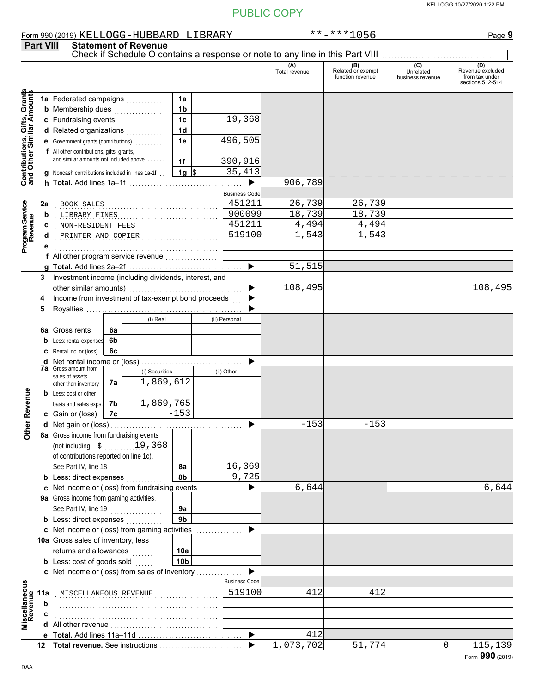|                                                           |                  | Form 990 (2019) KELLOGG-HUBBARD LIBRARY                |          |                             |                 |                                |                                                                                      | $******1056$                                 |                               | Page 9                                                 |
|-----------------------------------------------------------|------------------|--------------------------------------------------------|----------|-----------------------------|-----------------|--------------------------------|--------------------------------------------------------------------------------------|----------------------------------------------|-------------------------------|--------------------------------------------------------|
|                                                           | <b>Part VIII</b> |                                                        |          | <b>Statement of Revenue</b> |                 |                                |                                                                                      |                                              |                               |                                                        |
|                                                           |                  |                                                        |          |                             |                 |                                | Check if Schedule O contains a response or note to any line in this Part VIII<br>(A) |                                              | $\overline{c}$                | (D)                                                    |
|                                                           |                  |                                                        |          |                             |                 |                                | Total revenue                                                                        | (B)<br>Related or exempt<br>function revenue | Unrelated<br>business revenue | Revenue excluded<br>from tax under<br>sections 512-514 |
| Contributions, Gifts, Grants<br>and Other Similar Amounts |                  | 1a Federated campaigns                                 |          |                             | 1a              |                                |                                                                                      |                                              |                               |                                                        |
|                                                           |                  | <b>b</b> Membership dues <i></i>                       |          |                             | 1 <sub>b</sub>  |                                |                                                                                      |                                              |                               |                                                        |
|                                                           |                  | c Fundraising events                                   |          |                             | 1 <sub>c</sub>  | 19,368                         |                                                                                      |                                              |                               |                                                        |
|                                                           |                  | d Related organizations                                |          |                             | 1 <sub>d</sub>  |                                |                                                                                      |                                              |                               |                                                        |
|                                                           |                  | e Government grants (contributions)                    |          |                             | 1e              | 496,505                        |                                                                                      |                                              |                               |                                                        |
|                                                           |                  | f All other contributions, gifts, grants,              |          |                             |                 |                                |                                                                                      |                                              |                               |                                                        |
|                                                           |                  | and similar amounts not included above                 |          |                             | 1f              | 390,916                        |                                                                                      |                                              |                               |                                                        |
|                                                           |                  | <b>q</b> Noncash contributions included in lines 1a-1f |          |                             | 1g   \$         | 35,413                         |                                                                                      |                                              |                               |                                                        |
|                                                           |                  | h Total. Add lines 1a-1f                               |          |                             |                 |                                | 906,789                                                                              |                                              |                               |                                                        |
|                                                           |                  |                                                        |          |                             |                 | <b>Business Code</b><br>451211 | 26,739                                                                               | 26,739                                       |                               |                                                        |
|                                                           | 2a<br>b          | BOOK SALES<br>LIBRARY FINES                            |          |                             |                 | 900099                         | 18,739                                                                               | 18,739                                       |                               |                                                        |
|                                                           |                  | NON-RESIDENT FEES                                      |          |                             |                 | 451211                         | 4,494                                                                                | 4,494                                        |                               |                                                        |
|                                                           |                  | PRINTER AND COPIER                                     |          |                             |                 | 519100                         | 1,543                                                                                | 1,543                                        |                               |                                                        |
| Program Service<br>Revenue                                |                  |                                                        |          |                             |                 |                                |                                                                                      |                                              |                               |                                                        |
|                                                           |                  | f All other program service revenue                    |          |                             |                 |                                |                                                                                      |                                              |                               |                                                        |
|                                                           |                  |                                                        |          |                             |                 |                                | 51,515                                                                               |                                              |                               |                                                        |
|                                                           | 3                | Investment income (including dividends, interest, and  |          |                             |                 |                                |                                                                                      |                                              |                               |                                                        |
|                                                           |                  |                                                        |          |                             |                 |                                | 108,495                                                                              |                                              |                               | 108,495                                                |
|                                                           | 4                | Income from investment of tax-exempt bond proceeds     |          |                             |                 |                                |                                                                                      |                                              |                               |                                                        |
|                                                           | 5                |                                                        |          |                             |                 |                                |                                                                                      |                                              |                               |                                                        |
|                                                           |                  |                                                        |          | (i) Real                    |                 | (ii) Personal                  |                                                                                      |                                              |                               |                                                        |
|                                                           |                  | <b>6a</b> Gross rents                                  | 6a       |                             |                 |                                |                                                                                      |                                              |                               |                                                        |
|                                                           | b                | Less: rental expenses                                  | 6b<br>6c |                             |                 |                                |                                                                                      |                                              |                               |                                                        |
|                                                           | d                | Rental inc. or (loss)<br>Net rental income or (loss)   |          |                             |                 |                                |                                                                                      |                                              |                               |                                                        |
|                                                           |                  | <b>7a</b> Gross amount from                            |          | (i) Securities              |                 | (ii) Other                     |                                                                                      |                                              |                               |                                                        |
|                                                           |                  | sales of assets<br>other than inventory                | 7a       | 1,869,612                   |                 |                                |                                                                                      |                                              |                               |                                                        |
|                                                           |                  | <b>b</b> Less: cost or other                           |          |                             |                 |                                |                                                                                      |                                              |                               |                                                        |
| Revenue                                                   |                  | basis and sales exps.                                  | 7b       | 1,869,765                   |                 |                                |                                                                                      |                                              |                               |                                                        |
|                                                           |                  | c Gain or (loss)                                       | 7c       |                             | $-153$          |                                |                                                                                      |                                              |                               |                                                        |
| Other                                                     |                  |                                                        |          |                             |                 |                                | -153                                                                                 | $-153$                                       |                               |                                                        |
|                                                           |                  | 8a Gross income from fundraising events                |          |                             |                 |                                |                                                                                      |                                              |                               |                                                        |
|                                                           |                  | (not including $\frac{19}{368}$ , 368                  |          |                             |                 |                                |                                                                                      |                                              |                               |                                                        |
|                                                           |                  | of contributions reported on line 1c).                 |          |                             |                 |                                |                                                                                      |                                              |                               |                                                        |
|                                                           |                  | See Part IV, line 18<br><b>b</b> Less: direct expenses |          | .                           | 8a<br>8b        | 16,369<br>9,725                |                                                                                      |                                              |                               |                                                        |
|                                                           |                  | <b>c</b> Net income or (loss) from fundraising events  |          |                             |                 |                                | 6,644                                                                                |                                              |                               | 6,644                                                  |
|                                                           |                  | 9a Gross income from gaming activities.                |          |                             |                 |                                |                                                                                      |                                              |                               |                                                        |
|                                                           |                  | See Part IV, line 19                                   |          |                             | 9a              |                                |                                                                                      |                                              |                               |                                                        |
|                                                           |                  | <b>b</b> Less: direct expenses                         |          |                             | 9 <sub>b</sub>  |                                |                                                                                      |                                              |                               |                                                        |
|                                                           |                  | c Net income or (loss) from gaming activities          |          |                             |                 |                                |                                                                                      |                                              |                               |                                                        |
|                                                           |                  | 10a Gross sales of inventory, less                     |          |                             |                 |                                |                                                                                      |                                              |                               |                                                        |
|                                                           |                  | returns and allowances                                 |          | .                           | 10a             |                                |                                                                                      |                                              |                               |                                                        |
|                                                           |                  | <b>b</b> Less: cost of goods sold                      |          |                             | 10 <sub>b</sub> |                                |                                                                                      |                                              |                               |                                                        |
|                                                           |                  | <b>c</b> Net income or (loss) from sales of inventory  |          |                             |                 |                                |                                                                                      |                                              |                               |                                                        |
| Miscellaneous<br>Revenue                                  |                  |                                                        |          |                             |                 | <b>Business Code</b><br>519100 | 412                                                                                  | 412                                          |                               |                                                        |
|                                                           | 11a<br>b         | MISCELLANEOUS REVENUE                                  |          |                             |                 |                                |                                                                                      |                                              |                               |                                                        |
|                                                           |                  |                                                        |          |                             |                 |                                |                                                                                      |                                              |                               |                                                        |
|                                                           |                  |                                                        |          |                             |                 |                                |                                                                                      |                                              |                               |                                                        |
|                                                           |                  |                                                        |          |                             |                 |                                | 412                                                                                  |                                              |                               |                                                        |
|                                                           |                  |                                                        |          |                             |                 |                                | 1,073,702                                                                            | 51,774                                       | 0                             | 115,139                                                |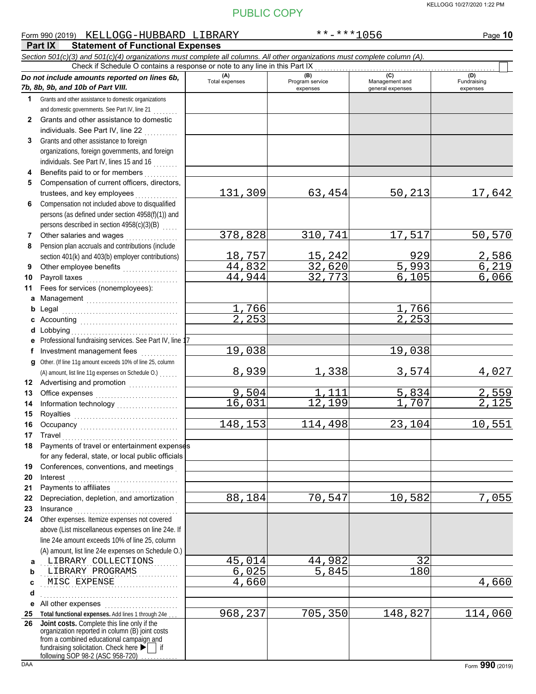# **Part IX Statement of Functional Expenses** Form 990 (2019) Page **10** KELLOGG-HUBBARD LIBRARY \*\*-\*\*\*1056

*Section 501(c)(3) and 501(c)(4) organizations must complete all columns. All other organizations must complete column (A).* Check if Schedule O contains a response or note to any line in this Part IX

|              | Check if Schedule O contains a response or note to any line in this Part IX                       |                       |                                    |                                           |                                |
|--------------|---------------------------------------------------------------------------------------------------|-----------------------|------------------------------------|-------------------------------------------|--------------------------------|
|              | Do not include amounts reported on lines 6b,<br>7b, 8b, 9b, and 10b of Part VIII.                 | (A)<br>Total expenses | (B)<br>Program service<br>expenses | (C)<br>Management and<br>general expenses | (D)<br>Fundraising<br>expenses |
|              | 1 Grants and other assistance to domestic organizations                                           |                       |                                    |                                           |                                |
|              | and domestic governments. See Part IV, line 21                                                    |                       |                                    |                                           |                                |
| $\mathbf{2}$ | Grants and other assistance to domestic                                                           |                       |                                    |                                           |                                |
|              | individuals. See Part IV, line 22                                                                 |                       |                                    |                                           |                                |
| 3            | Grants and other assistance to foreign                                                            |                       |                                    |                                           |                                |
|              | organizations, foreign governments, and foreign                                                   |                       |                                    |                                           |                                |
|              | individuals. See Part IV, lines 15 and 16                                                         |                       |                                    |                                           |                                |
| 4            | Benefits paid to or for members                                                                   |                       |                                    |                                           |                                |
| 5            | Compensation of current officers, directors,                                                      |                       |                                    |                                           |                                |
|              | trustees, and key employees                                                                       | 131,309               | 63,454                             | 50, 213                                   | 17,642                         |
| 6            | Compensation not included above to disqualified                                                   |                       |                                    |                                           |                                |
|              | persons (as defined under section 4958(f)(1)) and                                                 |                       |                                    |                                           |                                |
|              | persons described in section 4958(c)(3)(B)                                                        |                       |                                    |                                           |                                |
| 7            | Other salaries and wages                                                                          | 378,828               | 310,741                            | 17,517                                    | 50,570                         |
| 8            | Pension plan accruals and contributions (include                                                  |                       |                                    |                                           |                                |
|              | section 401(k) and 403(b) employer contributions)                                                 | 18,757                | 15,242                             | 929                                       | 2,586                          |
| 9            |                                                                                                   | 44,832                | 32,620                             | 5,993                                     | 6,219                          |
| 10           |                                                                                                   | 44,944                | 32,773                             | 6,105                                     | 6,066                          |
| 11           | Fees for services (nonemployees):                                                                 |                       |                                    |                                           |                                |
|              |                                                                                                   |                       |                                    |                                           |                                |
| b            |                                                                                                   | 1,766                 |                                    | 1,766                                     |                                |
|              |                                                                                                   | 2,253                 |                                    | $\frac{2}{2}$ , 253                       |                                |
| d            | Lobbying                                                                                          |                       |                                    |                                           |                                |
|              | e Professional fundraising services. See Part IV, line 17                                         |                       |                                    |                                           |                                |
| f            | Investment management fees                                                                        | 19,038                |                                    | 19,038                                    |                                |
| g            | Other. (If line 11g amount exceeds 10% of line 25, column                                         |                       |                                    |                                           |                                |
|              | (A) amount, list line 11g expenses on Schedule O.)                                                | 8,939                 | 1,338                              | 3,574                                     | 4,027                          |
| 12           |                                                                                                   |                       |                                    |                                           |                                |
| 13           |                                                                                                   | 9,504                 | 1,111                              | 5,834                                     | $\frac{2,559}{2,125}$          |
| 14           |                                                                                                   | 16,031                | 12,199                             | 1,707                                     |                                |
| 15           |                                                                                                   |                       |                                    |                                           |                                |
| 16           |                                                                                                   | 148,153               | 114,498                            | 23,104                                    | 10,551                         |
| 17           | Travel                                                                                            |                       |                                    |                                           |                                |
| 18           | Payments of travel or entertainment expenses                                                      |                       |                                    |                                           |                                |
|              | for any federal, state, or local public officials                                                 |                       |                                    |                                           |                                |
| 19           | Conferences, conventions, and meetings                                                            |                       |                                    |                                           |                                |
| 20           | Interest                                                                                          |                       |                                    |                                           |                                |
| 21           | Payments to affiliates [111] [11] Payments to affiliate successive                                |                       |                                    |                                           |                                |
| 22           | Depreciation, depletion, and amortization                                                         | 88,184                | 70,547                             | 10,582                                    | 7,055                          |
| 23           | Insurance <b>Manual</b>                                                                           |                       |                                    |                                           |                                |
| 24           | Other expenses. Itemize expenses not covered                                                      |                       |                                    |                                           |                                |
|              | above (List miscellaneous expenses on line 24e. If                                                |                       |                                    |                                           |                                |
|              | line 24e amount exceeds 10% of line 25, column                                                    |                       |                                    |                                           |                                |
|              | (A) amount, list line 24e expenses on Schedule O.)                                                |                       |                                    |                                           |                                |
| a            | LIBRARY COLLECTIONS                                                                               | 45,014                | 44,982                             | 32                                        |                                |
| b            | LIBRARY PROGRAMS                                                                                  | 6,025                 | 5,845                              | 180                                       |                                |
| C            | MISC EXPENSE<br>.                                                                                 | 4,660                 |                                    |                                           | 4,660                          |
| d            |                                                                                                   |                       |                                    |                                           |                                |
| е            | All other expenses                                                                                |                       |                                    |                                           |                                |
| 25           | Total functional expenses. Add lines 1 through 24e<br>Joint costs. Complete this line only if the | 968,237               | 705,350                            | 148,827                                   | 114,060                        |
| 26           | organization reported in column (B) joint costs                                                   |                       |                                    |                                           |                                |
|              | from a combined educational campaign and                                                          |                       |                                    |                                           |                                |
|              | fundraising solicitation. Check here ▶<br>following SOP 98-2 (ASC 958-720)                        |                       |                                    |                                           |                                |
| DAA          |                                                                                                   |                       |                                    |                                           | Form 990 (2019)                |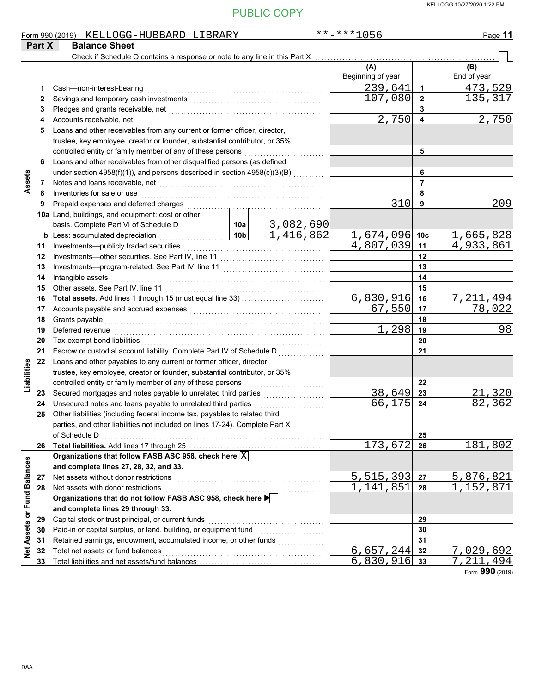|                             |        | Form 990 (2019) KELLOGG-HUBBARD LIBRARY                                      |                 |           | $******1056$             |                | Page 11                |
|-----------------------------|--------|------------------------------------------------------------------------------|-----------------|-----------|--------------------------|----------------|------------------------|
|                             | Part X | <b>Balance Sheet</b>                                                         |                 |           |                          |                |                        |
|                             |        | Check if Schedule O contains a response or note to any line in this Part X   |                 |           |                          |                |                        |
|                             |        |                                                                              |                 |           | (A)<br>Beginning of year |                | (B)<br>End of year     |
|                             | 1.     | Cash-non-interest-bearing                                                    |                 |           | 239,641                  | 1              | <u>473,529</u>         |
|                             | 2      |                                                                              |                 |           | 107,080                  | $\overline{2}$ | 135,317                |
|                             | 3      |                                                                              |                 |           |                          | 3              |                        |
|                             | 4      | Accounts receivable, net                                                     |                 |           | 2,750                    | 4              | 2,750                  |
|                             | 5      | Loans and other receivables from any current or former officer, director,    |                 |           |                          |                |                        |
|                             |        | trustee, key employee, creator or founder, substantial contributor, or 35%   |                 |           |                          |                |                        |
|                             |        | controlled entity or family member of any of these persons                   |                 |           |                          | 5              |                        |
|                             | 6      | Loans and other receivables from other disqualified persons (as defined      |                 |           |                          |                |                        |
|                             |        | under section 4958(f)(1)), and persons described in section 4958(c)(3)(B)    |                 |           |                          | 6              |                        |
| Assets                      | 7      | Notes and loans receivable, net                                              |                 |           |                          | 7              |                        |
|                             | 8      | Inventories for sale or use                                                  |                 |           |                          | 8              |                        |
|                             | 9      | Prepaid expenses and deferred charges                                        |                 |           | 310                      | 9              | 209                    |
|                             |        | 10a Land, buildings, and equipment: cost or other                            |                 |           |                          |                |                        |
|                             |        | basis. Complete Part VI of Schedule D<br><u> 10a  </u>                       |                 | 3,082,690 |                          |                |                        |
|                             | b      | Less: accumulated depreciation<br>.                                          | 10 <sub>b</sub> | 1,416,862 | <u>1,674,096 10c</u>     |                | <u>1,665,828</u>       |
|                             | 11     | Investments-publicly traded securities                                       |                 |           | 4,807,039                | 11             | 4,933,861              |
|                             | 12     | Investments-other securities. See Part IV, line 11                           |                 | 12        |                          |                |                        |
|                             | 13     | Investments-program-related. See Part IV, line 11                            |                 | 13        |                          |                |                        |
|                             | 14     | Intangible assets                                                            |                 | 14        |                          |                |                        |
|                             | 15     | Other assets. See Part IV, line 11                                           |                 |           |                          | 15             |                        |
|                             | 16     |                                                                              |                 |           | 6,830,916                | 16             | , 211, 494             |
|                             | 17     |                                                                              |                 |           | 67,550                   | 17             | 78,022                 |
|                             | 18     | Grants payable                                                               |                 | 18        |                          |                |                        |
|                             | 19     | Deferred revenue                                                             |                 |           | 1,298                    | 19             | 98                     |
|                             | 20     | Tax-exempt bond liabilities                                                  |                 |           |                          | 20             |                        |
|                             | 21     | Escrow or custodial account liability. Complete Part IV of Schedule D        |                 |           |                          | 21             |                        |
|                             | 22     | Loans and other payables to any current or former officer, director,         |                 |           |                          |                |                        |
| Liabilities                 |        | trustee, key employee, creator or founder, substantial contributor, or 35%   |                 |           |                          |                |                        |
|                             |        | controlled entity or family member of any of these persons                   |                 |           |                          | 22             |                        |
|                             | 23     | Secured mortgages and notes payable to unrelated third parties               |                 |           | 38,649                   | 23             | 21,320                 |
|                             | 24     | Unsecured notes and loans payable to unrelated third parties                 |                 | .         | 66,175                   | 24             | 82,362                 |
|                             | 25     | Other liabilities (including federal income tax, payables to related third   |                 |           |                          |                |                        |
|                             |        | parties, and other liabilities not included on lines 17-24). Complete Part X |                 |           |                          |                |                        |
|                             |        | of Schedule D                                                                |                 |           |                          | 25             |                        |
|                             | 26     |                                                                              |                 |           | 173,672                  | 26             | 181,802                |
|                             |        | Organizations that follow FASB ASC 958, check here X                         |                 |           |                          |                |                        |
|                             |        | and complete lines 27, 28, 32, and 33.                                       |                 |           |                          |                |                        |
|                             | 27     | Net assets without donor restrictions                                        |                 |           | 5,515,393                | 27             | <u>5,876,821</u>       |
|                             | 28     | Net assets with donor restrictions                                           |                 |           | 1,141,851                | 28             | ,152,871               |
|                             |        | Organizations that do not follow FASB ASC 958, check here                    |                 |           |                          |                |                        |
| Net Assets or Fund Balances |        | and complete lines 29 through 33.                                            |                 |           |                          |                |                        |
|                             | 29     | Capital stock or trust principal, or current funds                           |                 |           |                          | 29             |                        |
|                             | 30     | Paid-in or capital surplus, or land, building, or equipment fund             |                 |           |                          | 30             |                        |
|                             | 31     | Retained earnings, endowment, accumulated income, or other funds             |                 |           |                          | 31             |                        |
|                             | 32     | Total net assets or fund balances                                            |                 |           | 6,657,244                | 32             | 7,029,692<br>7,211,494 |
|                             | 33     |                                                                              |                 |           | 6,830,916                | 33             |                        |

Form **990** (2019)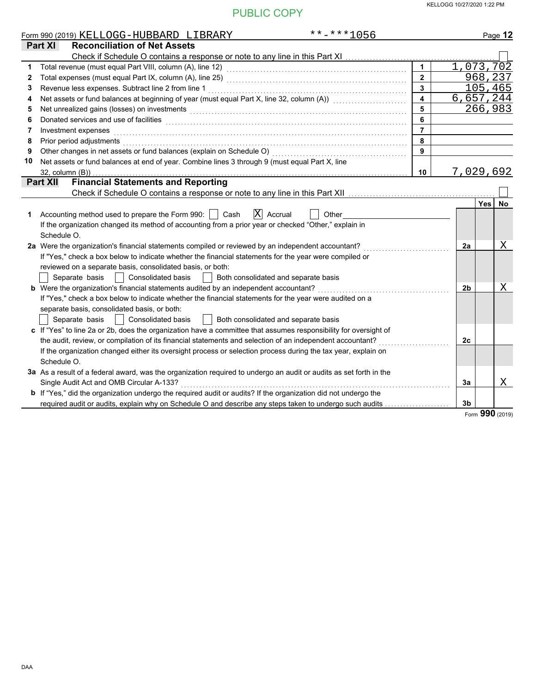|    | $******1056$<br>Form 990 (2019) KELLOGG-HUBBARD LIBRARY                                                                                                                                                                        |                         |                | Page 12   |
|----|--------------------------------------------------------------------------------------------------------------------------------------------------------------------------------------------------------------------------------|-------------------------|----------------|-----------|
|    | <b>Reconciliation of Net Assets</b><br><b>Part XI</b>                                                                                                                                                                          |                         |                |           |
|    |                                                                                                                                                                                                                                |                         |                |           |
| 1  | Total revenue (must equal Part VIII, column (A), line 12)                                                                                                                                                                      | $\mathbf{1}$            |                | 1,073,702 |
| 2  |                                                                                                                                                                                                                                | $\overline{2}$          |                | 968,237   |
| 3  | Revenue less expenses. Subtract line 2 from line 1                                                                                                                                                                             | $\overline{3}$          |                | 105, 465  |
| 4  | Net assets or fund balances at beginning of year (must equal Part X, line 32, column (A)) [[[[[[[[[[[[[[[[[[[                                                                                                                  | $\overline{\mathbf{4}}$ |                | 6,657,244 |
| 5  | Net unrealized gains (losses) on investments [11] production and the contract of the set of the set of the set of the set of the set of the set of the set of the set of the set of the set of the set of the set of the set o | 5                       |                | 266,983   |
| 6  | Donated services and use of facilities <b>constructs</b> and the construction of the services and use of facilities <b>constructs</b>                                                                                          | 6                       |                |           |
| 7  | Investment expenses                                                                                                                                                                                                            | $\overline{7}$          |                |           |
| 8  | Prior period adjustments entertainments and a series of the contract of the contract of the contract of the contract of the contract of the contract of the contract of the contract of the contract of the contract of the co | 8                       |                |           |
| 9  | Other changes in net assets or fund balances (explain on Schedule O)                                                                                                                                                           | 9                       |                |           |
| 10 | Net assets or fund balances at end of year. Combine lines 3 through 9 (must equal Part X, line                                                                                                                                 |                         |                |           |
|    | 32, column (B))                                                                                                                                                                                                                | 10                      |                | 7,029,692 |
|    | <b>Financial Statements and Reporting</b><br><b>Part XII</b>                                                                                                                                                                   |                         |                |           |
|    |                                                                                                                                                                                                                                |                         |                |           |
|    |                                                                                                                                                                                                                                |                         |                | Yes<br>No |
| 1  | $ X $ Accrual<br>Accounting method used to prepare the Form 990:     Cash<br>Other                                                                                                                                             |                         |                |           |
|    | If the organization changed its method of accounting from a prior year or checked "Other," explain in                                                                                                                          |                         |                |           |
|    | Schedule O.                                                                                                                                                                                                                    |                         |                |           |
|    | 2a Were the organization's financial statements compiled or reviewed by an independent accountant?                                                                                                                             |                         | 2a             | Χ         |
|    | If "Yes," check a box below to indicate whether the financial statements for the year were compiled or                                                                                                                         |                         |                |           |
|    | reviewed on a separate basis, consolidated basis, or both:                                                                                                                                                                     |                         |                |           |
|    | Separate basis   Consolidated basis<br>Both consolidated and separate basis                                                                                                                                                    |                         |                |           |
|    | <b>b</b> Were the organization's financial statements audited by an independent accountant?                                                                                                                                    |                         | 2b             | Χ         |
|    | If "Yes," check a box below to indicate whether the financial statements for the year were audited on a                                                                                                                        |                         |                |           |
|    | separate basis, consolidated basis, or both:                                                                                                                                                                                   |                         |                |           |
|    | Separate basis<br>  Consolidated basis<br>Both consolidated and separate basis                                                                                                                                                 |                         |                |           |
|    | c If "Yes" to line 2a or 2b, does the organization have a committee that assumes responsibility for oversight of                                                                                                               |                         |                |           |
|    | the audit, review, or compilation of its financial statements and selection of an independent accountant?                                                                                                                      |                         | 2 <sub>c</sub> |           |
|    | If the organization changed either its oversight process or selection process during the tax year, explain on                                                                                                                  |                         |                |           |
|    | Schedule O.                                                                                                                                                                                                                    |                         |                |           |
|    | 3a As a result of a federal award, was the organization required to undergo an audit or audits as set forth in the                                                                                                             |                         |                |           |
|    | Single Audit Act and OMB Circular A-133?                                                                                                                                                                                       |                         | 3a             | Χ         |
|    | <b>b</b> If "Yes," did the organization undergo the required audit or audits? If the organization did not undergo the                                                                                                          |                         |                |           |
|    | required audit or audits, explain why on Schedule O and describe any steps taken to undergo such audits                                                                                                                        |                         | 3 <sub>b</sub> |           |

Form **990** (2019)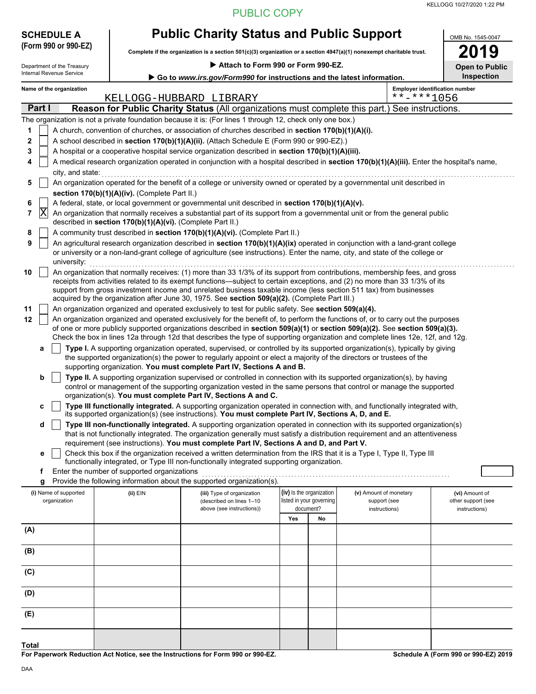OMB No. 1545-0047

#### PUBLIC COPY

**SCHEDULE A Public Charity Status and Public Support**

| (Form 990 or 990-EZ)              |                                                            | Complete if the organization is a section 501(c)(3) organization or a section 4947(a)(1) nonexempt charitable trust.                                                                                                                                           |                          |    |                        | 2019                                  |
|-----------------------------------|------------------------------------------------------------|----------------------------------------------------------------------------------------------------------------------------------------------------------------------------------------------------------------------------------------------------------------|--------------------------|----|------------------------|---------------------------------------|
| Department of the Treasury        |                                                            | Attach to Form 990 or Form 990-EZ.                                                                                                                                                                                                                             |                          |    |                        | <b>Open to Public</b>                 |
| Internal Revenue Service          |                                                            | Go to www.irs.gov/Form990 for instructions and the latest information.                                                                                                                                                                                         |                          |    |                        | Inspection                            |
| Name of the organization          |                                                            |                                                                                                                                                                                                                                                                |                          |    | $******1056$           | <b>Employer identification number</b> |
| Part I                            |                                                            | KELLOGG-HUBBARD LIBRARY<br>Reason for Public Charity Status (All organizations must complete this part.) See instructions.                                                                                                                                     |                          |    |                        |                                       |
|                                   |                                                            | The organization is not a private foundation because it is: (For lines 1 through 12, check only one box.)                                                                                                                                                      |                          |    |                        |                                       |
| 1                                 |                                                            | A church, convention of churches, or association of churches described in section 170(b)(1)(A)(i).                                                                                                                                                             |                          |    |                        |                                       |
| 2                                 |                                                            | A school described in section 170(b)(1)(A)(ii). (Attach Schedule E (Form 990 or 990-EZ).)                                                                                                                                                                      |                          |    |                        |                                       |
| 3                                 |                                                            | A hospital or a cooperative hospital service organization described in section 170(b)(1)(A)(iii).                                                                                                                                                              |                          |    |                        |                                       |
| 4                                 |                                                            | A medical research organization operated in conjunction with a hospital described in section 170(b)(1)(A)(iii). Enter the hospital's name,                                                                                                                     |                          |    |                        |                                       |
| city, and state:                  |                                                            |                                                                                                                                                                                                                                                                |                          |    |                        |                                       |
| 5                                 |                                                            | An organization operated for the benefit of a college or university owned or operated by a governmental unit described in                                                                                                                                      |                          |    |                        |                                       |
| 6                                 | section 170(b)(1)(A)(iv). (Complete Part II.)              | A federal, state, or local government or governmental unit described in section 170(b)(1)(A)(v).                                                                                                                                                               |                          |    |                        |                                       |
| $\vert X \vert$<br>$\overline{7}$ |                                                            | An organization that normally receives a substantial part of its support from a governmental unit or from the general public                                                                                                                                   |                          |    |                        |                                       |
|                                   | described in section 170(b)(1)(A)(vi). (Complete Part II.) |                                                                                                                                                                                                                                                                |                          |    |                        |                                       |
| 8                                 |                                                            | A community trust described in section 170(b)(1)(A)(vi). (Complete Part II.)                                                                                                                                                                                   |                          |    |                        |                                       |
| 9                                 |                                                            | An agricultural research organization described in section 170(b)(1)(A)(ix) operated in conjunction with a land-grant college                                                                                                                                  |                          |    |                        |                                       |
| university:                       |                                                            | or university or a non-land-grant college of agriculture (see instructions). Enter the name, city, and state of the college or                                                                                                                                 |                          |    |                        |                                       |
| 10                                |                                                            | An organization that normally receives: (1) more than 33 1/3% of its support from contributions, membership fees, and gross                                                                                                                                    |                          |    |                        |                                       |
|                                   |                                                            | receipts from activities related to its exempt functions—subject to certain exceptions, and (2) no more than 33 1/3% of its                                                                                                                                    |                          |    |                        |                                       |
|                                   |                                                            | support from gross investment income and unrelated business taxable income (less section 511 tax) from businesses<br>acquired by the organization after June 30, 1975. See section 509(a)(2). (Complete Part III.)                                             |                          |    |                        |                                       |
| 11                                |                                                            | An organization organized and operated exclusively to test for public safety. See section 509(a)(4).                                                                                                                                                           |                          |    |                        |                                       |
| 12                                |                                                            | An organization organized and operated exclusively for the benefit of, to perform the functions of, or to carry out the purposes                                                                                                                               |                          |    |                        |                                       |
|                                   |                                                            | of one or more publicly supported organizations described in section 509(a)(1) or section 509(a)(2). See section 509(a)(3).                                                                                                                                    |                          |    |                        |                                       |
|                                   |                                                            | Check the box in lines 12a through 12d that describes the type of supporting organization and complete lines 12e, 12f, and 12g.<br>Type I. A supporting organization operated, supervised, or controlled by its supported organization(s), typically by giving |                          |    |                        |                                       |
| a                                 |                                                            | the supported organization(s) the power to regularly appoint or elect a majority of the directors or trustees of the                                                                                                                                           |                          |    |                        |                                       |
|                                   |                                                            | supporting organization. You must complete Part IV, Sections A and B.                                                                                                                                                                                          |                          |    |                        |                                       |
| b                                 |                                                            | Type II. A supporting organization supervised or controlled in connection with its supported organization(s), by having                                                                                                                                        |                          |    |                        |                                       |
|                                   |                                                            | control or management of the supporting organization vested in the same persons that control or manage the supported<br>organization(s). You must complete Part IV, Sections A and C.                                                                          |                          |    |                        |                                       |
| c                                 |                                                            | Type III functionally integrated. A supporting organization operated in connection with, and functionally integrated with,                                                                                                                                     |                          |    |                        |                                       |
|                                   |                                                            | its supported organization(s) (see instructions). You must complete Part IV, Sections A, D, and E.                                                                                                                                                             |                          |    |                        |                                       |
| d                                 |                                                            | Type III non-functionally integrated. A supporting organization operated in connection with its supported organization(s)                                                                                                                                      |                          |    |                        |                                       |
|                                   |                                                            | that is not functionally integrated. The organization generally must satisfy a distribution requirement and an attentiveness<br>requirement (see instructions). You must complete Part IV, Sections A and D, and Part V.                                       |                          |    |                        |                                       |
| е                                 |                                                            | Check this box if the organization received a written determination from the IRS that it is a Type I, Type II, Type III                                                                                                                                        |                          |    |                        |                                       |
|                                   |                                                            | functionally integrated, or Type III non-functionally integrated supporting organization.                                                                                                                                                                      |                          |    |                        |                                       |
| f<br>g                            | Enter the number of supported organizations                | Provide the following information about the supported organization(s).                                                                                                                                                                                         |                          |    |                        |                                       |
| (i) Name of supported             | (ii) EIN                                                   | (iii) Type of organization                                                                                                                                                                                                                                     | (iv) Is the organization |    | (v) Amount of monetary | (vi) Amount of                        |
| organization                      |                                                            | (described on lines 1-10                                                                                                                                                                                                                                       | listed in your governing |    | support (see           | other support (see                    |
|                                   |                                                            | above (see instructions))                                                                                                                                                                                                                                      | document?<br>Yes         | No | instructions)          | instructions)                         |
| (A)                               |                                                            |                                                                                                                                                                                                                                                                |                          |    |                        |                                       |
|                                   |                                                            |                                                                                                                                                                                                                                                                |                          |    |                        |                                       |
| (B)                               |                                                            |                                                                                                                                                                                                                                                                |                          |    |                        |                                       |
|                                   |                                                            |                                                                                                                                                                                                                                                                |                          |    |                        |                                       |
| (C)                               |                                                            |                                                                                                                                                                                                                                                                |                          |    |                        |                                       |
|                                   |                                                            |                                                                                                                                                                                                                                                                |                          |    |                        |                                       |
| (D)                               |                                                            |                                                                                                                                                                                                                                                                |                          |    |                        |                                       |
| (E)                               |                                                            |                                                                                                                                                                                                                                                                |                          |    |                        |                                       |
|                                   |                                                            |                                                                                                                                                                                                                                                                |                          |    |                        |                                       |
|                                   |                                                            |                                                                                                                                                                                                                                                                |                          |    |                        |                                       |
| <b>Total</b>                      |                                                            |                                                                                                                                                                                                                                                                |                          |    |                        |                                       |

**For Paperwork Reduction Act Notice, see the Instructions for Form 990 or 990-EZ.**

**Schedule A (Form 990 or 990-EZ) 2019**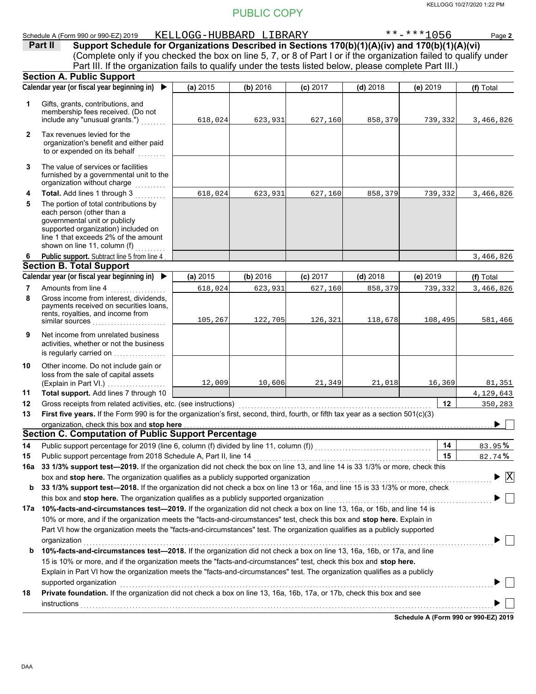Schedule A (Form 990 or 990-EZ) 2019 KELLOGG-HUBBARD LIBRARY \*\*-\*\*\*1056 Page **2 Part II** Support Schedule for Organizations Described in Sections 170(b)(1)(A)(iv) and 170(b)(1)(A)(vi) (Complete only if you checked the box on line 5, 7, or 8 of Part I or if the organization failed to qualify under Part III. If the organization fails to qualify under the tests listed below, please complete Part III.) **Section A. Public Support Calendar year (or fiscal year beginning in) (f)** Total **(a)** 2015 **(b)** 2016 **(c)** 2017 **(d)** 2018 **(e)** 2019 **1** Gifts, grants, contributions, and membership fees received. (Do not include any "unusual grants.") ......... 618,024 623,931 627,160 858,379 739,332 3,466,826 **2** Tax revenues levied for the organization's benefit and either paid to or expended on its behalf **3** The value of services or facilities furnished by a governmental unit to the organization without charge **Total.** Add lines 1 through 3 . . . . . . . . . 618,024 623,931 627,160 858,379 739,332 3,466,826 **4 5** The portion of total contributions by each person (other than a governmental unit or publicly supported organization) included on line 1 that exceeds 2% of the amount shown on line 11, column  $(f)$ Public support. Subtract line 5 from line 4 3,466,826 **6 Section B. Total Support** Calendar year (or fiscal year beginning in)  $\blacktriangleright$  (a) 2015 (b) 2016 (c) 2017 (d) 2018 (e) 2019 (f) Total **(b)** 2016 **(c)** 2017 **(d)** 2018 **(e)** 2019 **(a)** 2015 **7** Amounts from line 4 618,024 623,931 627,160 858,379 739,332 3,466,826 **8** Gross income from interest, dividends, payments received on securities loans, rents, royalties, and income from similar sources . . . . . . . . . . . . . . . . . . . . . . . . 105,267 122,705 126,321 118,678 108,495 581,466 **9** Net income from unrelated business activities, whether or not the business is regularly carried on . . . . . . . . . . . . . . . . . Other income. Do not include gain or **10** loss from the sale of capital assets (Explain in Part VI.) . . . . . . . . . . . . . . . . . . 12,009 10,606 21,349 21,018 16,369 81,351 **11 Total support.** Add lines 7 through 10 4,129,643 Gross receipts from related activities, etc. (see instructions) .......... **12 12** 350,283 **13** First five years. If the Form 990 is for the organization's first, second, third, fourth, or fifth tax year as a section 501(c)(3) organization, check this box and stop here  $\blacktriangleright$   $\vdash$ **Section C. Computation of Public Support Percentage 14** Public support percentage for 2019 (line 6, column (f) divided by line 11, column (f)) . . . . . . . . . . . . . . . . . . . . . . . . . . . . . . . . . . . . . . **14 %** 83.95 Public support percentage from 2018 Schedule A, Part II, line 14 . . . . . . . . . . . . . . . . . . . . . . . . . . . . . . . . . . . . . . . . . . . . . . . . . . . . . . . . . . **15 15 %** 82.74 **16a 33 1/3% support test—2019.** If the organization did not check the box on line 13, and line 14 is 33 1/3% or more, check this box and stop here. The organization qualifies as a publicly supported organization .........  $|{\rm X}|$ **b 33 1/3% support test—2018.** If the organization did not check a box on line 13 or 16a, and line 15 is 33 1/3% or more, check this box and stop here. The organization qualifies as a publicly supported organization **17a 10%-facts-and-circumstances test—2019.** If the organization did not check a box on line 13, 16a, or 16b, and line 14 is 10% or more, and if the organization meets the "facts-and-circumstances" test, check this box and **stop here.** Explain in Part VI how the organization meets the "facts-and-circumstances" test. The organization qualifies as a publicly supported organization . . . . . . . . . . . . . . . . . . . . . . . . . . . . . . . . . . . . . . . . . . . . . . . . . . . . . . . . . . . . . . . . . . . . . . . . . . . . . . . . . . . . . . . . . . . . . . . . . . . . . . . . . . . . . . . . . . . . . . . . . . . . . . . . . . . . . . **b 10%-facts-and-circumstances test—2018.** If the organization did not check a box on line 13, 16a, 16b, or 17a, and line 15 is 10% or more, and if the organization meets the "facts-and-circumstances" test, check this box and **stop here.** Explain in Part VI how the organization meets the "facts-and-circumstances" test. The organization qualifies as a publicly supported organization **18 Private foundation.** If the organization did not check a box on line 13, 16a, 16b, 17a, or 17b, check this box and see instructions . . . . . . . . . . . . . . . . . . . . . . . . . . . . . . . . . . . . . . . . . . . . . . . . . . . . . . . . . . . . . . . . . . . . . . . . . . . . . . . . . . . . . . . . . . . . . . . . . . . . . . . . . . . . . . . . . . . . . . . . . . . . . . . . . . . . . . . **Schedule A (Form 990 or 990-EZ) 2019**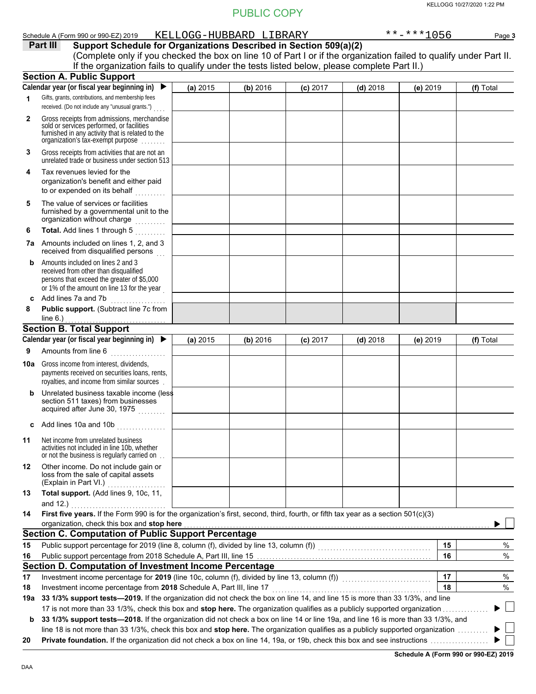|              | Schedule A (Form 990 or 990-EZ) 2019                                                                                                                                                                                                                            |          | KELLOGG-HUBBARD LIBRARY |            |            | $******1056$ | Page 3    |
|--------------|-----------------------------------------------------------------------------------------------------------------------------------------------------------------------------------------------------------------------------------------------------------------|----------|-------------------------|------------|------------|--------------|-----------|
|              | Part III<br>Support Schedule for Organizations Described in Section 509(a)(2)                                                                                                                                                                                   |          |                         |            |            |              |           |
|              | (Complete only if you checked the box on line 10 of Part I or if the organization failed to qualify under Part II.                                                                                                                                              |          |                         |            |            |              |           |
|              | If the organization fails to qualify under the tests listed below, please complete Part II.)                                                                                                                                                                    |          |                         |            |            |              |           |
|              | <b>Section A. Public Support</b>                                                                                                                                                                                                                                |          |                         |            |            |              |           |
|              | Calendar year (or fiscal year beginning in)<br>$\blacktriangleright$                                                                                                                                                                                            | (a) 2015 | (b) 2016                | $(c)$ 2017 | $(d)$ 2018 | $(e)$ 2019   | (f) Total |
| 1            | Gifts, grants, contributions, and membership fees                                                                                                                                                                                                               |          |                         |            |            |              |           |
|              | received. (Do not include any "unusual grants.")                                                                                                                                                                                                                |          |                         |            |            |              |           |
| $\mathbf{2}$ | Gross receipts from admissions, merchandise                                                                                                                                                                                                                     |          |                         |            |            |              |           |
|              | sold or services performed, or facilities<br>furnished in any activity that is related to the<br>organization's tax-exempt purpose                                                                                                                              |          |                         |            |            |              |           |
| 3            | Gross receipts from activities that are not an<br>unrelated trade or business under section 513                                                                                                                                                                 |          |                         |            |            |              |           |
| 4            | Tax revenues levied for the<br>organization's benefit and either paid<br>to or expended on its behalf                                                                                                                                                           |          |                         |            |            |              |           |
| 5            | The value of services or facilities<br>furnished by a governmental unit to the<br>organization without charge                                                                                                                                                   |          |                         |            |            |              |           |
| 6            | Total. Add lines 1 through 5                                                                                                                                                                                                                                    |          |                         |            |            |              |           |
|              | 7a Amounts included on lines 1, 2, and 3<br>received from disqualified persons                                                                                                                                                                                  |          |                         |            |            |              |           |
| b            | Amounts included on lines 2 and 3<br>received from other than disqualified<br>persons that exceed the greater of \$5,000<br>or 1% of the amount on line 13 for the year                                                                                         |          |                         |            |            |              |           |
| c            | Add lines 7a and 7b<br>. <b>.</b> .                                                                                                                                                                                                                             |          |                         |            |            |              |           |
| 8            | Public support. (Subtract line 7c from<br>line $6.$ )                                                                                                                                                                                                           |          |                         |            |            |              |           |
|              | <b>Section B. Total Support</b>                                                                                                                                                                                                                                 |          |                         |            |            |              |           |
|              | Calendar year (or fiscal year beginning in) $\blacktriangleright$                                                                                                                                                                                               | (a) 2015 | (b) 2016                | $(c)$ 2017 | $(d)$ 2018 | (e) 2019     | (f) Total |
| 9            | Amounts from line 6<br>an an an Dùbhlachd an Dùbhaidh.<br>Bailtean an Dùbhaidh an Dùbhaidh an Dùbhaidh an Dùbhaidh an Dùbhaidh an Dùbhaidh an Dùbhaidh an Dùbhaidh.                                                                                             |          |                         |            |            |              |           |
| 10a          | Gross income from interest, dividends,<br>payments received on securities loans, rents,<br>royalties, and income from similar sources                                                                                                                           |          |                         |            |            |              |           |
| b            | Unrelated business taxable income (less<br>section 511 taxes) from businesses<br>acquired after June 30, 1975                                                                                                                                                   |          |                         |            |            |              |           |
|              | c Add lines 10a and 10b $\ldots$                                                                                                                                                                                                                                |          |                         |            |            |              |           |
| 11           | Net income from unrelated business<br>activities not included in line 10b, whether<br>or not the business is regularly carried on.                                                                                                                              |          |                         |            |            |              |           |
| 12           | Other income. Do not include gain or<br>loss from the sale of capital assets<br>(Explain in Part VI.)                                                                                                                                                           |          |                         |            |            |              |           |
| 13           | Total support. (Add lines 9, 10c, 11,<br>and 12.)                                                                                                                                                                                                               |          |                         |            |            |              |           |
| 14           | First five years. If the Form 990 is for the organization's first, second, third, fourth, or fifth tax year as a section 501(c)(3)<br>organization, check this box and stop here                                                                                |          |                         |            |            |              |           |
|              | <b>Section C. Computation of Public Support Percentage</b>                                                                                                                                                                                                      |          |                         |            |            |              |           |
| 15           | Public support percentage for 2019 (line 8, column (f), divided by line 13, column (f)) [[[[[[[[[[[[[[[[[[[[[                                                                                                                                                   |          |                         |            |            | 15           | $\%$      |
| 16           |                                                                                                                                                                                                                                                                 |          |                         |            |            | 16           | $\%$      |
|              | Section D. Computation of Investment Income Percentage                                                                                                                                                                                                          |          |                         |            |            |              |           |
|              |                                                                                                                                                                                                                                                                 |          |                         |            |            | 17           |           |
| 17           | Investment income percentage for 2019 (line 10c, column (f), divided by line 13, column (f)) [[[[[[[[[[[[[[[[                                                                                                                                                   |          |                         |            |            |              | $\%$      |
| 18           | Investment income percentage from 2018 Schedule A, Part III, line 17                                                                                                                                                                                            |          |                         |            |            | 18           | %         |
|              | 19a 33 1/3% support tests-2019. If the organization did not check the box on line 14, and line 15 is more than 33 1/3%, and line                                                                                                                                |          |                         |            |            |              |           |
|              | 17 is not more than 33 1/3%, check this box and stop here. The organization qualifies as a publicly supported organization<br>33 1/3% support tests-2018. If the organization did not check a box on line 14 or line 19a, and line 16 is more than 33 1/3%, and |          |                         |            |            |              |           |
| b            | line 18 is not more than 33 1/3%, check this box and stop here. The organization qualifies as a publicly supported organization                                                                                                                                 |          |                         |            |            |              |           |

**20 Private foundation.** If the organization did not check a box on line 14, 19a, or 19b, check this box and see instructions . . . . . . . . . . . . . . . . . . .

**Schedule A (Form 990 or 990-EZ) 2019**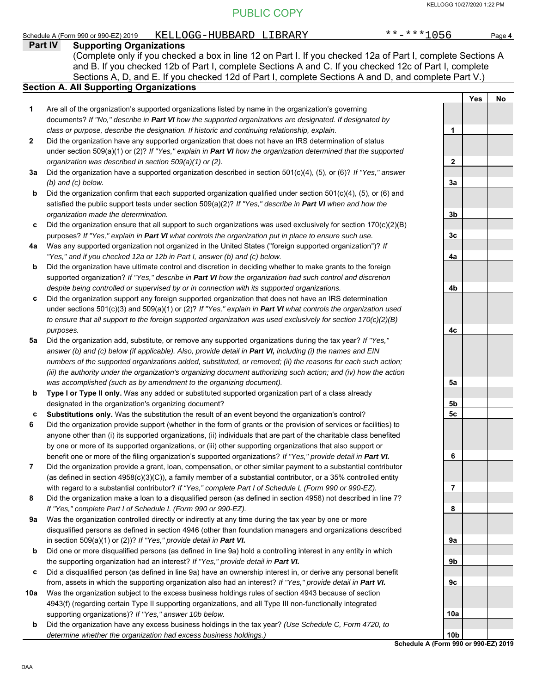**Part IV Supporting Organizations** Sections A, D, and E. If you checked 12d of Part I, complete Sections A and D, and complete Part V.) Schedule A (Form 990 or 990-EZ) 2019 KELLOGG-HUBBARD LIBRARY \*\*-\*\*\*1056 Page 4 **Section A. All Supporting Organizations** (Complete only if you checked a box in line 12 on Part I. If you checked 12a of Part I, complete Sections A and B. If you checked 12b of Part I, complete Sections A and C. If you checked 12c of Part I, complete Are all of the organization's supported organizations listed by name in the organization's governing documents? *If "No," describe in Part VI how the supported organizations are designated. If designated by class or purpose, describe the designation. If historic and continuing relationship, explain.* Did the organization have any supported organization that does not have an IRS determination of status under section 509(a)(1) or (2)? *If "Yes," explain in Part VI how the organization determined that the supported organization was described in section 509(a)(1) or (2).* **1 2 3a** Did the organization have a supported organization described in section 501(c)(4), (5), or (6)? *If "Yes," answer* **b c** Did the organization ensure that all support to such organizations was used exclusively for section 170(c)(2)(B) **4a** Was any supported organization not organized in the United States ("foreign supported organization")? *If* **b c** Did the organization support any foreign supported organization that does not have an IRS determination **5a** Did the organization add, substitute, or remove any supported organizations during the tax year? *If "Yes,"* **b c 6 7 8 9a b c** Did a disqualified person (as defined in line 9a) have an ownership interest in, or derive any personal benefit **10a b** *(b) and (c) below.* Did the organization confirm that each supported organization qualified under section 501(c)(4), (5), or (6) and satisfied the public support tests under section 509(a)(2)? *If "Yes," describe in Part VI when and how the organization made the determination.* purposes? *If "Yes," explain in Part VI what controls the organization put in place to ensure such use. "Yes," and if you checked 12a or 12b in Part I, answer (b) and (c) below.* Did the organization have ultimate control and discretion in deciding whether to make grants to the foreign supported organization? *If "Yes," describe in Part VI how the organization had such control and discretion despite being controlled or supervised by or in connection with its supported organizations.* under sections 501(c)(3) and 509(a)(1) or (2)? *If "Yes," explain in Part VI what controls the organization used to ensure that all support to the foreign supported organization was used exclusively for section 170(c)(2)(B) purposes.* answer (b) and (c) below (if applicable). Also, provide detail in **Part VI**, *including (i)* the names and EIN *numbers of the supported organizations added, substituted, or removed; (ii) the reasons for each such action; (iii) the authority under the organization's organizing document authorizing such action; and (iv) how the action was accomplished (such as by amendment to the organizing document).* **Type I or Type II only.** Was any added or substituted supported organization part of a class already designated in the organization's organizing document? **Substitutions only.** Was the substitution the result of an event beyond the organization's control? Did the organization provide support (whether in the form of grants or the provision of services or facilities) to anyone other than (i) its supported organizations, (ii) individuals that are part of the charitable class benefited by one or more of its supported organizations, or (iii) other supporting organizations that also support or benefit one or more of the filing organization's supported organizations? *If "Yes," provide detail in Part VI.* Did the organization provide a grant, loan, compensation, or other similar payment to a substantial contributor (as defined in section 4958(c)(3)(C)), a family member of a substantial contributor, or a 35% controlled entity with regard to a substantial contributor? *If "Yes," complete Part I of Schedule L (Form 990 or 990-EZ).* Did the organization make a loan to a disqualified person (as defined in section 4958) not described in line 7? *If "Yes," complete Part I of Schedule L (Form 990 or 990-EZ).* Was the organization controlled directly or indirectly at any time during the tax year by one or more disqualified persons as defined in section 4946 (other than foundation managers and organizations described in section 509(a)(1) or (2))? *If "Yes," provide detail in Part VI.* Did one or more disqualified persons (as defined in line 9a) hold a controlling interest in any entity in which the supporting organization had an interest? *If "Yes," provide detail in Part VI.* from, assets in which the supporting organization also had an interest? *If "Yes," provide detail in Part VI.* Was the organization subject to the excess business holdings rules of section 4943 because of section 4943(f) (regarding certain Type II supporting organizations, and all Type III non-functionally integrated supporting organizations)? *If "Yes," answer 10b below.* Did the organization have any excess business holdings in the tax year? *(Use Schedule C, Form 4720, to determine whether the organization had excess business holdings.)* **Yes No 1 2 3a 3b 3c 4a 4b 4c 5a 5b 5c 6 7 8 9a 9b 9c 10a 10b**

**Schedule A (Form 990 or 990-EZ) 2019**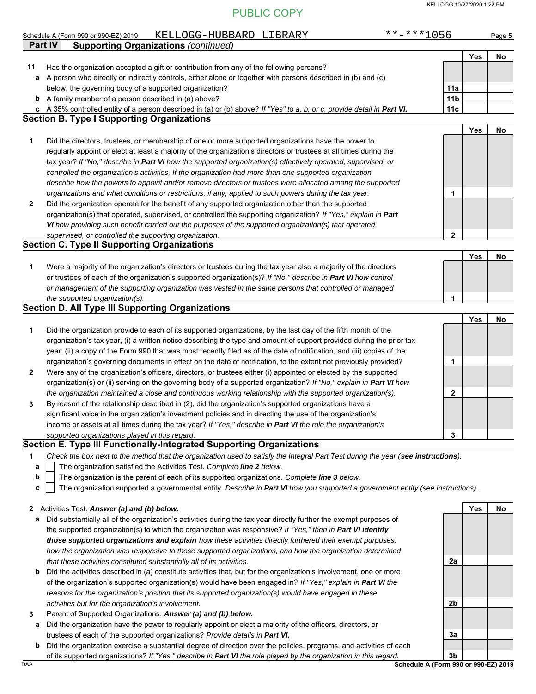#### KELLOGG 10/27/2020 1:22 PM

#### PUBLIC COPY

|    | **-***1056<br>KELLOGG-HUBBARD LIBRARY<br>Schedule A (Form 990 or 990-EZ) 2019                                                     |            | Page 5 |
|----|-----------------------------------------------------------------------------------------------------------------------------------|------------|--------|
|    | Part IV<br><b>Supporting Organizations (continued)</b>                                                                            |            |        |
|    |                                                                                                                                   | <b>Yes</b> | No     |
| 11 | Has the organization accepted a gift or contribution from any of the following persons?                                           |            |        |
| a  | A person who directly or indirectly controls, either alone or together with persons described in (b) and (c)                      |            |        |
|    | below, the governing body of a supported organization?<br>11a                                                                     |            |        |
|    | 11 <sub>b</sub><br><b>b</b> A family member of a person described in (a) above?                                                   |            |        |
| c  | 11c<br>A 35% controlled entity of a person described in (a) or (b) above? If "Yes" to a, b, or c, provide detail in Part VI.      |            |        |
|    | <b>Section B. Type I Supporting Organizations</b>                                                                                 |            |        |
|    |                                                                                                                                   | <b>Yes</b> | No     |
| 1  | Did the directors, trustees, or membership of one or more supported organizations have the power to                               |            |        |
|    | regularly appoint or elect at least a majority of the organization's directors or trustees at all times during the                |            |        |
|    | tax year? If "No," describe in Part VI how the supported organization(s) effectively operated, supervised, or                     |            |        |
|    | controlled the organization's activities. If the organization had more than one supported organization,                           |            |        |
|    | describe how the powers to appoint and/or remove directors or trustees were allocated among the supported                         |            |        |
|    | organizations and what conditions or restrictions, if any, applied to such powers during the tax year.<br>1                       |            |        |
| 2  | Did the organization operate for the benefit of any supported organization other than the supported                               |            |        |
|    | organization(s) that operated, supervised, or controlled the supporting organization? If "Yes," explain in Part                   |            |        |
|    | VI how providing such benefit carried out the purposes of the supported organization(s) that operated,                            |            |        |
|    | 2<br>supervised, or controlled the supporting organization.                                                                       |            |        |
|    | <b>Section C. Type II Supporting Organizations</b>                                                                                |            |        |
|    |                                                                                                                                   | <b>Yes</b> | No     |
| 1  | Were a majority of the organization's directors or trustees during the tax year also a majority of the directors                  |            |        |
|    | or trustees of each of the organization's supported organization(s)? If "No," describe in Part VI how control                     |            |        |
|    |                                                                                                                                   |            |        |
|    | or management of the supporting organization was vested in the same persons that controlled or managed                            |            |        |
|    | the supported organization(s).<br>1<br><b>Section D. All Type III Supporting Organizations</b>                                    |            |        |
|    |                                                                                                                                   |            |        |
|    |                                                                                                                                   | <b>Yes</b> | No     |
| 1  | Did the organization provide to each of its supported organizations, by the last day of the fifth month of the                    |            |        |
|    | organization's tax year, (i) a written notice describing the type and amount of support provided during the prior tax             |            |        |
|    | year, (ii) a copy of the Form 990 that was most recently filed as of the date of notification, and (iii) copies of the            |            |        |
|    | organization's governing documents in effect on the date of notification, to the extent not previously provided?<br>1             |            |        |
| 2  | Were any of the organization's officers, directors, or trustees either (i) appointed or elected by the supported                  |            |        |
|    | organization(s) or (ii) serving on the governing body of a supported organization? If "No," explain in Part VI how                |            |        |
|    | the organization maintained a close and continuous working relationship with the supported organization(s).<br>2                  |            |        |
| 3  | By reason of the relationship described in (2), did the organization's supported organizations have a                             |            |        |
|    | significant voice in the organization's investment policies and in directing the use of the organization's                        |            |        |
|    | income or assets at all times during the tax year? If "Yes," describe in Part VI the role the organization's                      |            |        |
|    | 3<br>supported organizations played in this regard.                                                                               |            |        |
|    | Section E. Type III Functionally-Integrated Supporting Organizations                                                              |            |        |
| 1  | Check the box next to the method that the organization used to satisfy the Integral Part Test during the year (see instructions). |            |        |
| a  | The organization satisfied the Activities Test. Complete line 2 below.                                                            |            |        |
| b  | The organization is the parent of each of its supported organizations. Complete line 3 below.                                     |            |        |
| C  | The organization supported a governmental entity. Describe in Part VI how you supported a government entity (see instructions).   |            |        |
|    | 2 Activities Test. Answer (a) and (b) below.                                                                                      | Yes        | No     |
| а  | Did substantially all of the organization's activities during the tax year directly further the exempt purposes of                |            |        |
|    | the supported organization(s) to which the organization was responsive? If "Yes," then in Part VI identify                        |            |        |
|    | those supported organizations and explain how these activities directly furthered their exempt purposes,                          |            |        |

**b** Did the activities described in (a) constitute activities that, but for the organization's involvement, one or more *that these activities constituted substantially all of its activities.* of the organization's supported organization(s) would have been engaged in? *If "Yes," explain in Part VI the reasons for the organization's position that its supported organization(s) would have engaged in these* 

*how the organization was responsive to those supported organizations, and how the organization determined* 

- **3** *activities but for the organization's involvement.* Parent of Supported Organizations. *Answer (a) and (b) below.*
- **a** Did the organization have the power to regularly appoint or elect a majority of the officers, directors, or trustees of each of the supported organizations? *Provide details in Part VI.*
- **b** Did the organization exercise a substantial degree of direction over the policies, programs, and activities of each of its supported organizations? *If "Yes," describe in Part VI the role played by the organization in this regard.*

DAA **Schedule A (Form 990 or 990-EZ) 2019 3b**

**2a**

**2b**

**3a**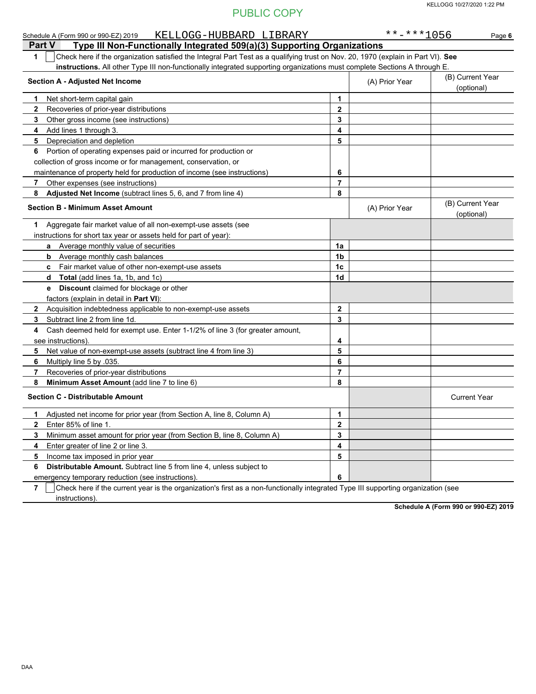| KELLOGG-HUBBARD LIBRARY<br>Schedule A (Form 990 or 990-EZ) 2019                                                                                     |                         | $******1056$   | Page 6                         |
|-----------------------------------------------------------------------------------------------------------------------------------------------------|-------------------------|----------------|--------------------------------|
| Type III Non-Functionally Integrated 509(a)(3) Supporting Organizations<br><b>Part V</b>                                                            |                         |                |                                |
| Check here if the organization satisfied the Integral Part Test as a qualifying trust on Nov. 20, 1970 (explain in Part VI). See<br>1               |                         |                |                                |
| instructions. All other Type III non-functionally integrated supporting organizations must complete Sections A through E.                           |                         |                |                                |
| <b>Section A - Adjusted Net Income</b>                                                                                                              |                         | (A) Prior Year | (B) Current Year<br>(optional) |
| Net short-term capital gain<br>1                                                                                                                    | 1                       |                |                                |
| $\mathbf{2}$<br>Recoveries of prior-year distributions                                                                                              | $\mathbf{2}$            |                |                                |
| Other gross income (see instructions)<br>3.                                                                                                         | 3                       |                |                                |
| Add lines 1 through 3.<br>4                                                                                                                         | 4                       |                |                                |
| Depreciation and depletion<br>5                                                                                                                     | 5                       |                |                                |
| Portion of operating expenses paid or incurred for production or<br>6                                                                               |                         |                |                                |
| collection of gross income or for management, conservation, or                                                                                      |                         |                |                                |
| maintenance of property held for production of income (see instructions)                                                                            | 6                       |                |                                |
| Other expenses (see instructions)<br>7                                                                                                              | $\overline{7}$          |                |                                |
| Adjusted Net Income (subtract lines 5, 6, and 7 from line 4)<br>8                                                                                   | 8                       |                |                                |
| <b>Section B - Minimum Asset Amount</b>                                                                                                             |                         | (A) Prior Year | (B) Current Year<br>(optional) |
| Aggregate fair market value of all non-exempt-use assets (see<br>1.                                                                                 |                         |                |                                |
| instructions for short tax year or assets held for part of year):                                                                                   |                         |                |                                |
| a Average monthly value of securities                                                                                                               | 1a                      |                |                                |
| <b>b</b> Average monthly cash balances                                                                                                              | 1 <sub>b</sub>          |                |                                |
| c Fair market value of other non-exempt-use assets                                                                                                  | 1c                      |                |                                |
| Total (add lines 1a, 1b, and 1c)<br>d                                                                                                               | 1d                      |                |                                |
| e Discount claimed for blockage or other                                                                                                            |                         |                |                                |
| factors (explain in detail in Part VI):                                                                                                             |                         |                |                                |
| Acquisition indebtedness applicable to non-exempt-use assets<br>$\mathbf{2}$                                                                        | $\mathbf{2}$            |                |                                |
| Subtract line 2 from line 1d.<br>3                                                                                                                  | 3                       |                |                                |
| Cash deemed held for exempt use. Enter 1-1/2% of line 3 (for greater amount,<br>4                                                                   |                         |                |                                |
| see instructions)                                                                                                                                   | 4                       |                |                                |
| Net value of non-exempt-use assets (subtract line 4 from line 3)<br>5                                                                               | 5                       |                |                                |
| Multiply line 5 by 035.<br>6.                                                                                                                       | 6                       |                |                                |
| Recoveries of prior-year distributions<br>7                                                                                                         | $\overline{7}$          |                |                                |
| Minimum Asset Amount (add line 7 to line 6)<br>8                                                                                                    | 8                       |                |                                |
| <b>Section C - Distributable Amount</b>                                                                                                             |                         |                | <b>Current Year</b>            |
| Adjusted net income for prior year (from Section A, line 8, Column A)<br>1.                                                                         | 1                       |                |                                |
| Enter 85% of line 1.<br>2                                                                                                                           | 2                       |                |                                |
| 3<br>Minimum asset amount for prior year (from Section B, line 8, Column A)                                                                         | 3                       |                |                                |
| Enter greater of line 2 or line 3.<br>4                                                                                                             | $\overline{\mathbf{4}}$ |                |                                |
| 5<br>Income tax imposed in prior year                                                                                                               | 5                       |                |                                |
| 6<br>Distributable Amount. Subtract line 5 from line 4, unless subject to                                                                           |                         |                |                                |
| emergency temporary reduction (see instructions).                                                                                                   | 6                       |                |                                |
| $\overline{7}$<br>Check here if the current year is the organization's first as a non-functionally integrated Type III supporting organization (see |                         |                |                                |

instructions).

**Schedule A (Form 990 or 990-EZ) 2019**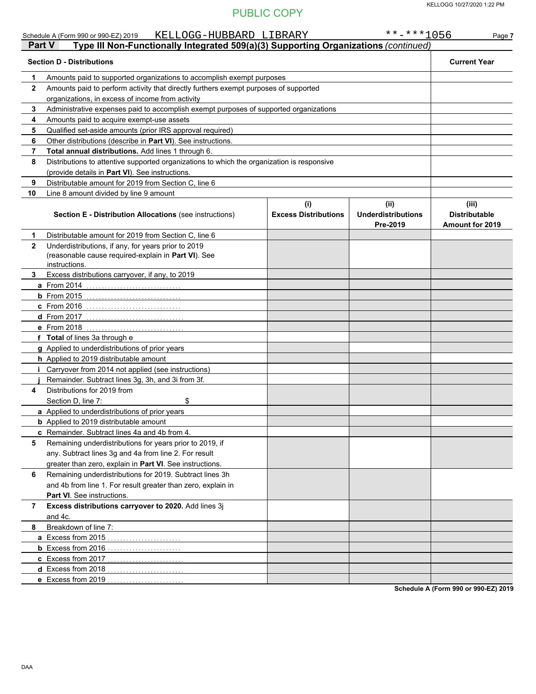|               | KELLOGG-HUBBARD LIBRARY<br>Schedule A (Form 990 or 990-EZ) 2019                                                                               |                             | **-***1056                            | Page 7                                         |
|---------------|-----------------------------------------------------------------------------------------------------------------------------------------------|-----------------------------|---------------------------------------|------------------------------------------------|
| <b>Part V</b> | Type III Non-Functionally Integrated 509(a)(3) Supporting Organizations (continued)                                                           |                             |                                       |                                                |
|               | <b>Section D - Distributions</b>                                                                                                              |                             |                                       | <b>Current Year</b>                            |
| 1             | Amounts paid to supported organizations to accomplish exempt purposes                                                                         |                             |                                       |                                                |
| $\mathbf{2}$  | Amounts paid to perform activity that directly furthers exempt purposes of supported                                                          |                             |                                       |                                                |
|               | organizations, in excess of income from activity                                                                                              |                             |                                       |                                                |
| 3             | Administrative expenses paid to accomplish exempt purposes of supported organizations                                                         |                             |                                       |                                                |
| 4             | Amounts paid to acquire exempt-use assets                                                                                                     |                             |                                       |                                                |
| 5             | Qualified set-aside amounts (prior IRS approval required)                                                                                     |                             |                                       |                                                |
| 6             | Other distributions (describe in Part VI). See instructions.                                                                                  |                             |                                       |                                                |
| 7             | Total annual distributions. Add lines 1 through 6.                                                                                            |                             |                                       |                                                |
| 8             | Distributions to attentive supported organizations to which the organization is responsive<br>(provide details in Part VI). See instructions. |                             |                                       |                                                |
| 9             | Distributable amount for 2019 from Section C, line 6                                                                                          |                             |                                       |                                                |
| 10            | Line 8 amount divided by line 9 amount                                                                                                        |                             |                                       |                                                |
|               |                                                                                                                                               | (i)                         | (ii)                                  | (iii)                                          |
|               | <b>Section E - Distribution Allocations (see instructions)</b>                                                                                | <b>Excess Distributions</b> | <b>Underdistributions</b><br>Pre-2019 | <b>Distributable</b><br><b>Amount for 2019</b> |
| 1             | Distributable amount for 2019 from Section C, line 6                                                                                          |                             |                                       |                                                |
| $\mathbf{2}$  | Underdistributions, if any, for years prior to 2019<br>(reasonable cause required-explain in Part VI). See<br>instructions.                   |                             |                                       |                                                |
| 3             | Excess distributions carryover, if any, to 2019                                                                                               |                             |                                       |                                                |
|               | <b>a</b> From 2014                                                                                                                            |                             |                                       |                                                |
|               | $b$ From 2015                                                                                                                                 |                             |                                       |                                                |
|               | C From 2016                                                                                                                                   |                             |                                       |                                                |
|               | d From 2017                                                                                                                                   |                             |                                       |                                                |
|               | e From 2018                                                                                                                                   |                             |                                       |                                                |
|               | f Total of lines 3a through e                                                                                                                 |                             |                                       |                                                |
|               | g Applied to underdistributions of prior years                                                                                                |                             |                                       |                                                |
|               | h Applied to 2019 distributable amount                                                                                                        |                             |                                       |                                                |
|               | <i>i</i> Carryover from 2014 not applied (see instructions)                                                                                   |                             |                                       |                                                |
|               | Remainder. Subtract lines 3g, 3h, and 3i from 3f.                                                                                             |                             |                                       |                                                |
| 4             | Distributions for 2019 from                                                                                                                   |                             |                                       |                                                |
|               | \$<br>Section D, line 7:                                                                                                                      |                             |                                       |                                                |
|               | a Applied to underdistributions of prior years                                                                                                |                             |                                       |                                                |
|               | <b>b</b> Applied to 2019 distributable amount                                                                                                 |                             |                                       |                                                |
|               | c Remainder. Subtract lines 4a and 4b from 4.                                                                                                 |                             |                                       |                                                |
| 5             | Remaining underdistributions for years prior to 2019, if                                                                                      |                             |                                       |                                                |
|               | any. Subtract lines 3g and 4a from line 2. For result                                                                                         |                             |                                       |                                                |
|               | greater than zero, explain in Part VI. See instructions.                                                                                      |                             |                                       |                                                |
| 6             | Remaining underdistributions for 2019. Subtract lines 3h                                                                                      |                             |                                       |                                                |
|               | and 4b from line 1. For result greater than zero, explain in<br><b>Part VI.</b> See instructions.                                             |                             |                                       |                                                |
|               |                                                                                                                                               |                             |                                       |                                                |
| 7             | Excess distributions carryover to 2020. Add lines 3j<br>and 4c.                                                                               |                             |                                       |                                                |
| 8             | Breakdown of line 7:                                                                                                                          |                             |                                       |                                                |
|               | a Excess from 2015                                                                                                                            |                             |                                       |                                                |
|               |                                                                                                                                               |                             |                                       |                                                |
|               | c Excess from 2017                                                                                                                            |                             |                                       |                                                |
|               | d Excess from 2018<br>.                                                                                                                       |                             |                                       |                                                |
|               | e Excess from 2019                                                                                                                            |                             |                                       |                                                |
|               |                                                                                                                                               |                             |                                       |                                                |

**Schedule A (Form 990 or 990-EZ) 2019**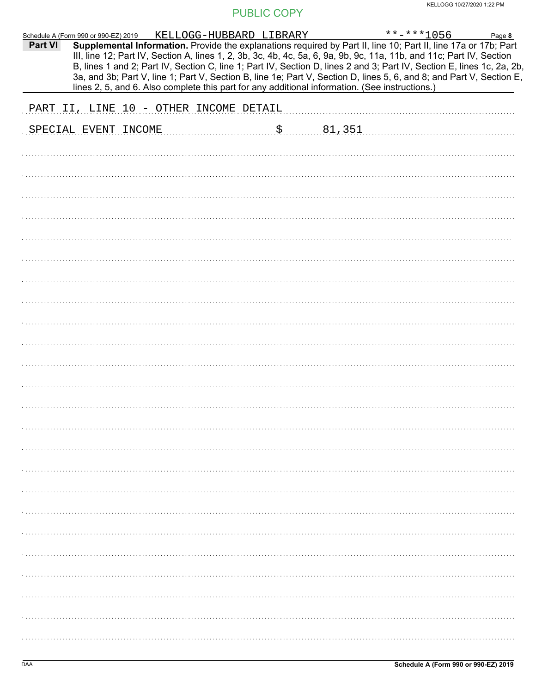|         | Schedule A (Form 990 or 990-EZ) 2019   |  | KELLOGG-HUBBARD LIBRARY                                                                        |       |  | $******1056$ |                                                                                                                                                                                                                                                | Page 8 |
|---------|----------------------------------------|--|------------------------------------------------------------------------------------------------|-------|--|--------------|------------------------------------------------------------------------------------------------------------------------------------------------------------------------------------------------------------------------------------------------|--------|
| Part VI |                                        |  |                                                                                                |       |  |              | Supplemental Information. Provide the explanations required by Part II, line 10; Part II, line 17a or 17b; Part                                                                                                                                |        |
|         |                                        |  |                                                                                                |       |  |              | III, line 12; Part IV, Section A, lines 1, 2, 3b, 3c, 4b, 4c, 5a, 6, 9a, 9b, 9c, 11a, 11b, and 11c; Part IV, Section<br>B, lines 1 and 2; Part IV, Section C, line 1; Part IV, Section D, lines 2 and 3; Part IV, Section E, lines 1c, 2a, 2b, |        |
|         |                                        |  |                                                                                                |       |  |              | 3a, and 3b; Part V, line 1; Part V, Section B, line 1e; Part V, Section D, lines 5, 6, and 8; and Part V, Section E,                                                                                                                           |        |
|         |                                        |  | lines 2, 5, and 6. Also complete this part for any additional information. (See instructions.) |       |  |              |                                                                                                                                                                                                                                                |        |
|         | PART II, LINE 10 - OTHER INCOME DETAIL |  |                                                                                                |       |  |              |                                                                                                                                                                                                                                                |        |
|         | SPECIAL EVENT INCOME                   |  |                                                                                                | \$351 |  |              |                                                                                                                                                                                                                                                |        |
|         |                                        |  |                                                                                                |       |  |              |                                                                                                                                                                                                                                                |        |
|         |                                        |  |                                                                                                |       |  |              |                                                                                                                                                                                                                                                |        |
|         |                                        |  |                                                                                                |       |  |              |                                                                                                                                                                                                                                                |        |
|         |                                        |  |                                                                                                |       |  |              |                                                                                                                                                                                                                                                |        |
|         |                                        |  |                                                                                                |       |  |              |                                                                                                                                                                                                                                                |        |
|         |                                        |  |                                                                                                |       |  |              |                                                                                                                                                                                                                                                |        |
|         |                                        |  |                                                                                                |       |  |              |                                                                                                                                                                                                                                                |        |
|         |                                        |  |                                                                                                |       |  |              |                                                                                                                                                                                                                                                |        |
|         |                                        |  |                                                                                                |       |  |              |                                                                                                                                                                                                                                                |        |
|         |                                        |  |                                                                                                |       |  |              |                                                                                                                                                                                                                                                |        |
|         |                                        |  |                                                                                                |       |  |              |                                                                                                                                                                                                                                                |        |
|         |                                        |  |                                                                                                |       |  |              |                                                                                                                                                                                                                                                |        |
|         |                                        |  |                                                                                                |       |  |              |                                                                                                                                                                                                                                                |        |
|         |                                        |  |                                                                                                |       |  |              |                                                                                                                                                                                                                                                |        |
|         |                                        |  |                                                                                                |       |  |              |                                                                                                                                                                                                                                                |        |
|         |                                        |  |                                                                                                |       |  |              |                                                                                                                                                                                                                                                |        |
|         |                                        |  |                                                                                                |       |  |              |                                                                                                                                                                                                                                                |        |
|         |                                        |  |                                                                                                |       |  |              |                                                                                                                                                                                                                                                |        |
|         |                                        |  |                                                                                                |       |  |              |                                                                                                                                                                                                                                                |        |
|         |                                        |  |                                                                                                |       |  |              |                                                                                                                                                                                                                                                |        |
|         |                                        |  |                                                                                                |       |  |              |                                                                                                                                                                                                                                                |        |
|         |                                        |  |                                                                                                |       |  |              |                                                                                                                                                                                                                                                |        |
|         |                                        |  |                                                                                                |       |  |              |                                                                                                                                                                                                                                                |        |
|         |                                        |  |                                                                                                |       |  |              |                                                                                                                                                                                                                                                |        |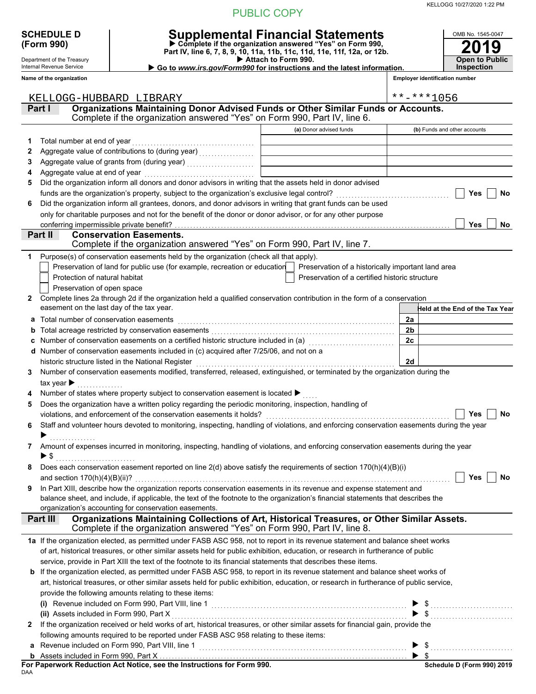KELLOGG 10/27/2020 1:22 PM

#### PUBLIC COPY

|    | <b>SCHEDULE D</b><br>(Form 990)                                                                                                                                                                                                                                    | <b>Supplemental Financial Statements</b><br>Complete if the organization answered "Yes" on Form 990,                                                                                                                      |                     |                                                                                                      |                                       | OMB No. 1545-0047                   |
|----|--------------------------------------------------------------------------------------------------------------------------------------------------------------------------------------------------------------------------------------------------------------------|---------------------------------------------------------------------------------------------------------------------------------------------------------------------------------------------------------------------------|---------------------|------------------------------------------------------------------------------------------------------|---------------------------------------|-------------------------------------|
|    |                                                                                                                                                                                                                                                                    | Part IV, line 6, 7, 8, 9, 10, 11a, 11b, 11c, 11d, 11e, 11f, 12a, or 12b.                                                                                                                                                  |                     |                                                                                                      |                                       |                                     |
|    | Department of the Treasury<br>Internal Revenue Service                                                                                                                                                                                                             | Go to www.irs.gov/Form990 for instructions and the latest information.                                                                                                                                                    | Attach to Form 990. |                                                                                                      |                                       | <b>Open to Public</b><br>Inspection |
|    | Name of the organization                                                                                                                                                                                                                                           |                                                                                                                                                                                                                           |                     |                                                                                                      | <b>Employer identification number</b> |                                     |
|    |                                                                                                                                                                                                                                                                    |                                                                                                                                                                                                                           |                     |                                                                                                      |                                       |                                     |
|    | KELLOGG-HUBBARD LIBRARY                                                                                                                                                                                                                                            |                                                                                                                                                                                                                           |                     |                                                                                                      | $***$ -***1056                        |                                     |
|    | Part I                                                                                                                                                                                                                                                             | Organizations Maintaining Donor Advised Funds or Other Similar Funds or Accounts.                                                                                                                                         |                     |                                                                                                      |                                       |                                     |
|    |                                                                                                                                                                                                                                                                    | Complete if the organization answered "Yes" on Form 990, Part IV, line 6.                                                                                                                                                 |                     |                                                                                                      |                                       |                                     |
|    |                                                                                                                                                                                                                                                                    |                                                                                                                                                                                                                           |                     | (a) Donor advised funds                                                                              |                                       | (b) Funds and other accounts        |
| 1. |                                                                                                                                                                                                                                                                    |                                                                                                                                                                                                                           |                     |                                                                                                      |                                       |                                     |
| 2  |                                                                                                                                                                                                                                                                    |                                                                                                                                                                                                                           |                     |                                                                                                      |                                       |                                     |
| 3  |                                                                                                                                                                                                                                                                    |                                                                                                                                                                                                                           |                     | the control of the control of the control of the control of the control of the control of            |                                       |                                     |
| 4  |                                                                                                                                                                                                                                                                    |                                                                                                                                                                                                                           |                     |                                                                                                      |                                       |                                     |
| 5  |                                                                                                                                                                                                                                                                    | Did the organization inform all donors and donor advisors in writing that the assets held in donor advised                                                                                                                |                     |                                                                                                      |                                       |                                     |
|    |                                                                                                                                                                                                                                                                    |                                                                                                                                                                                                                           |                     |                                                                                                      |                                       | Yes<br>No                           |
| 6  |                                                                                                                                                                                                                                                                    | Did the organization inform all grantees, donors, and donor advisors in writing that grant funds can be used                                                                                                              |                     |                                                                                                      |                                       |                                     |
|    |                                                                                                                                                                                                                                                                    | only for charitable purposes and not for the benefit of the donor or donor advisor, or for any other purpose                                                                                                              |                     |                                                                                                      |                                       |                                     |
|    |                                                                                                                                                                                                                                                                    |                                                                                                                                                                                                                           |                     |                                                                                                      |                                       | <b>Yes</b><br><b>No</b>             |
|    | Part II                                                                                                                                                                                                                                                            | <b>Conservation Easements.</b><br>Complete if the organization answered "Yes" on Form 990, Part IV, line 7.                                                                                                               |                     |                                                                                                      |                                       |                                     |
|    |                                                                                                                                                                                                                                                                    |                                                                                                                                                                                                                           |                     |                                                                                                      |                                       |                                     |
|    |                                                                                                                                                                                                                                                                    | Purpose(s) of conservation easements held by the organization (check all that apply).<br>Preservation of land for public use (for example, recreation or education                                                        |                     |                                                                                                      |                                       |                                     |
|    | Protection of natural habitat                                                                                                                                                                                                                                      |                                                                                                                                                                                                                           |                     | Preservation of a historically important land area<br>Preservation of a certified historic structure |                                       |                                     |
|    | Preservation of open space                                                                                                                                                                                                                                         |                                                                                                                                                                                                                           |                     |                                                                                                      |                                       |                                     |
| 2  |                                                                                                                                                                                                                                                                    | Complete lines 2a through 2d if the organization held a qualified conservation contribution in the form of a conservation                                                                                                 |                     |                                                                                                      |                                       |                                     |
|    | easement on the last day of the tax year.                                                                                                                                                                                                                          |                                                                                                                                                                                                                           |                     |                                                                                                      |                                       | Held at the End of the Tax Year     |
|    | a Total number of conservation easements                                                                                                                                                                                                                           |                                                                                                                                                                                                                           |                     |                                                                                                      | 2a                                    |                                     |
| b  |                                                                                                                                                                                                                                                                    |                                                                                                                                                                                                                           |                     |                                                                                                      | 2 <sub>b</sub>                        |                                     |
|    |                                                                                                                                                                                                                                                                    | Number of conservation easements on a certified historic structure included in (a) [11] Number of conservation easements on a certified historic structure included in (a)                                                |                     |                                                                                                      | 2c                                    |                                     |
|    |                                                                                                                                                                                                                                                                    | d Number of conservation easements included in (c) acquired after 7/25/06, and not on a                                                                                                                                   |                     |                                                                                                      |                                       |                                     |
|    |                                                                                                                                                                                                                                                                    |                                                                                                                                                                                                                           |                     |                                                                                                      | 2d                                    |                                     |
| 3  |                                                                                                                                                                                                                                                                    | Number of conservation easements modified, transferred, released, extinguished, or terminated by the organization during the                                                                                              |                     |                                                                                                      |                                       |                                     |
|    | tax year $\blacktriangleright$<br>an de la concerta de la concerta de la concerta de la concerta de la concerta de la concerta de la concerta de<br>La concerta de la concerta de la concerta de la concerta de la concerta de la concerta de la concerta de la co |                                                                                                                                                                                                                           |                     |                                                                                                      |                                       |                                     |
| 4  |                                                                                                                                                                                                                                                                    | Number of states where property subject to conservation easement is located ▶                                                                                                                                             |                     |                                                                                                      |                                       |                                     |
| 5  |                                                                                                                                                                                                                                                                    | Does the organization have a written policy regarding the periodic monitoring, inspection, handling of                                                                                                                    |                     |                                                                                                      |                                       |                                     |
|    |                                                                                                                                                                                                                                                                    |                                                                                                                                                                                                                           |                     |                                                                                                      |                                       | Yes<br>No                           |
| 6  |                                                                                                                                                                                                                                                                    | Staff and volunteer hours devoted to monitoring, inspecting, handling of violations, and enforcing conservation easements during the year                                                                                 |                     |                                                                                                      |                                       |                                     |
|    |                                                                                                                                                                                                                                                                    |                                                                                                                                                                                                                           |                     |                                                                                                      |                                       |                                     |
| 7  |                                                                                                                                                                                                                                                                    | Amount of expenses incurred in monitoring, inspecting, handling of violations, and enforcing conservation easements during the year                                                                                       |                     |                                                                                                      |                                       |                                     |
|    | $\triangleright$ \$ $\ldots$ $\ldots$ $\ldots$ $\ldots$ $\ldots$ $\ldots$ $\ldots$                                                                                                                                                                                 |                                                                                                                                                                                                                           |                     |                                                                                                      |                                       |                                     |
| 8  |                                                                                                                                                                                                                                                                    | Does each conservation easement reported on line 2(d) above satisfy the requirements of section 170(h)(4)(B)(i)                                                                                                           |                     |                                                                                                      |                                       |                                     |
|    |                                                                                                                                                                                                                                                                    |                                                                                                                                                                                                                           |                     |                                                                                                      |                                       | Yes<br>No                           |
| 9  |                                                                                                                                                                                                                                                                    | In Part XIII, describe how the organization reports conservation easements in its revenue and expense statement and                                                                                                       |                     |                                                                                                      |                                       |                                     |
|    |                                                                                                                                                                                                                                                                    | balance sheet, and include, if applicable, the text of the footnote to the organization's financial statements that describes the                                                                                         |                     |                                                                                                      |                                       |                                     |
|    |                                                                                                                                                                                                                                                                    | organization's accounting for conservation easements.                                                                                                                                                                     |                     |                                                                                                      |                                       |                                     |
|    | Part III                                                                                                                                                                                                                                                           | Organizations Maintaining Collections of Art, Historical Treasures, or Other Similar Assets.                                                                                                                              |                     |                                                                                                      |                                       |                                     |
|    |                                                                                                                                                                                                                                                                    | Complete if the organization answered "Yes" on Form 990, Part IV, line 8.                                                                                                                                                 |                     |                                                                                                      |                                       |                                     |
|    |                                                                                                                                                                                                                                                                    | 1a If the organization elected, as permitted under FASB ASC 958, not to report in its revenue statement and balance sheet works                                                                                           |                     |                                                                                                      |                                       |                                     |
|    |                                                                                                                                                                                                                                                                    | of art, historical treasures, or other similar assets held for public exhibition, education, or research in furtherance of public                                                                                         |                     |                                                                                                      |                                       |                                     |
|    |                                                                                                                                                                                                                                                                    | service, provide in Part XIII the text of the footnote to its financial statements that describes these items.                                                                                                            |                     |                                                                                                      |                                       |                                     |
|    |                                                                                                                                                                                                                                                                    | b If the organization elected, as permitted under FASB ASC 958, to report in its revenue statement and balance sheet works of                                                                                             |                     |                                                                                                      |                                       |                                     |
|    |                                                                                                                                                                                                                                                                    | art, historical treasures, or other similar assets held for public exhibition, education, or research in furtherance of public service,                                                                                   |                     |                                                                                                      |                                       |                                     |
|    |                                                                                                                                                                                                                                                                    | provide the following amounts relating to these items:                                                                                                                                                                    |                     |                                                                                                      |                                       |                                     |
|    |                                                                                                                                                                                                                                                                    | (i) Revenue included on Form 990, Part VIII, line 1<br>(i) Revenue included on Form 990, Part VIII, line 1<br>(i) Assets included in Form 990. Part X                                                                     |                     |                                                                                                      |                                       |                                     |
|    |                                                                                                                                                                                                                                                                    |                                                                                                                                                                                                                           |                     |                                                                                                      |                                       |                                     |
| 2  |                                                                                                                                                                                                                                                                    | If the organization received or held works of art, historical treasures, or other similar assets for financial gain, provide the<br>following amounts required to be reported under FASB ASC 958 relating to these items: |                     |                                                                                                      |                                       |                                     |

- Revenue included on Form 990, Part VIII, line 1 . . . . . . . . . . . . . . . . . . . . . . . . . . . . . . . . . . . . . . . . . . . . . . . . . . . . . . . . . . . . . . . . . . . . **a**
- Assets included in Form 990, Part X . . . . . . . . . . . . . . . . . . . . . . . . . . . . . . . . . . . . . . . . . . . . . . . . . . . . . . . . . . . . . . . . . . . . . . . . . . . . . . . . . **b**

DAA **For Paperwork Reduction Act Notice, see the Instructions for Form 990.** \$

 $\blacktriangleright$  $\blacktriangleright$  \$ . . . . . . . . . . . . . . . . . . . . . . . . . . .

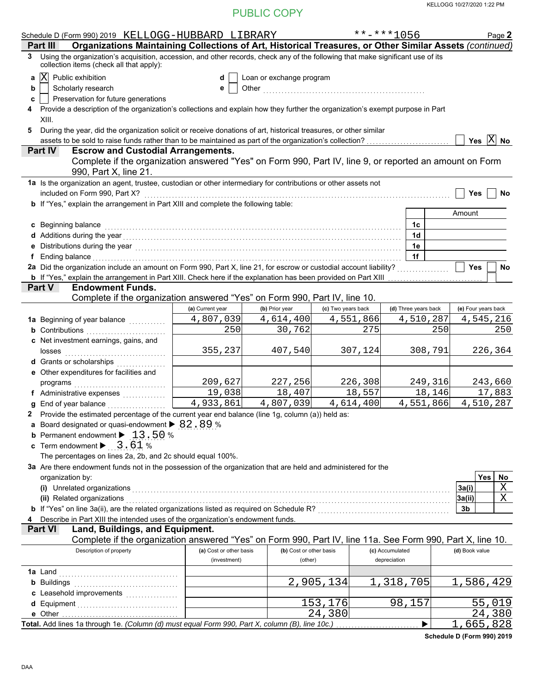|   | Schedule D (Form 990) 2019 KELLOGG-HUBBARD LIBRARY                                                                                                                                                                                                                                                                                                   |                           |                          |                    | $******1056$         | Page 2                   |  |  |  |
|---|------------------------------------------------------------------------------------------------------------------------------------------------------------------------------------------------------------------------------------------------------------------------------------------------------------------------------------------------------|---------------------------|--------------------------|--------------------|----------------------|--------------------------|--|--|--|
|   | Organizations Maintaining Collections of Art, Historical Treasures, or Other Similar Assets (continued)<br>Part III                                                                                                                                                                                                                                  |                           |                          |                    |                      |                          |  |  |  |
| 3 | Using the organization's acquisition, accession, and other records, check any of the following that make significant use of its<br>collection items (check all that apply):                                                                                                                                                                          |                           |                          |                    |                      |                          |  |  |  |
| a | $ {\rm X} $<br>Public exhibition                                                                                                                                                                                                                                                                                                                     | d                         | Loan or exchange program |                    |                      |                          |  |  |  |
| b | Scholarly research                                                                                                                                                                                                                                                                                                                                   | е                         |                          |                    |                      |                          |  |  |  |
| c | Preservation for future generations                                                                                                                                                                                                                                                                                                                  |                           |                          |                    |                      |                          |  |  |  |
|   | 4 Provide a description of the organization's collections and explain how they further the organization's exempt purpose in Part<br>XIII.                                                                                                                                                                                                            |                           |                          |                    |                      |                          |  |  |  |
| 5 | During the year, did the organization solicit or receive donations of art, historical treasures, or other similar                                                                                                                                                                                                                                    |                           |                          |                    |                      |                          |  |  |  |
|   | assets to be sold to raise funds rather than to be maintained as part of the organization's collection?                                                                                                                                                                                                                                              |                           |                          |                    |                      | Yes $ X $ No             |  |  |  |
|   | <b>Escrow and Custodial Arrangements.</b><br><b>Part IV</b>                                                                                                                                                                                                                                                                                          |                           |                          |                    |                      |                          |  |  |  |
|   | Complete if the organization answered "Yes" on Form 990, Part IV, line 9, or reported an amount on Form<br>990, Part X, line 21.                                                                                                                                                                                                                     |                           |                          |                    |                      |                          |  |  |  |
|   | 1a Is the organization an agent, trustee, custodian or other intermediary for contributions or other assets not                                                                                                                                                                                                                                      |                           |                          |                    |                      |                          |  |  |  |
|   | included on Form 990, Part X?                                                                                                                                                                                                                                                                                                                        |                           |                          |                    |                      | <b>Yes</b><br>No         |  |  |  |
|   | b If "Yes," explain the arrangement in Part XIII and complete the following table:                                                                                                                                                                                                                                                                   |                           |                          |                    |                      |                          |  |  |  |
|   |                                                                                                                                                                                                                                                                                                                                                      |                           |                          |                    |                      | Amount                   |  |  |  |
|   | c Beginning balance                                                                                                                                                                                                                                                                                                                                  |                           |                          |                    | 1c                   |                          |  |  |  |
|   |                                                                                                                                                                                                                                                                                                                                                      |                           |                          |                    | 1d                   |                          |  |  |  |
|   |                                                                                                                                                                                                                                                                                                                                                      |                           |                          |                    | 1е                   |                          |  |  |  |
|   | f Ending balance encourance and the contract of the contract of the contract of the contract of the contract of the contract of the contract of the contract of the contract of the contract of the contract of the contract o<br>2a Did the organization include an amount on Form 990, Part X, line 21, for escrow or custodial account liability? |                           |                          |                    | 1f                   | <b>Yes</b><br>No         |  |  |  |
|   | <b>b</b> If "Yes," explain the arrangement in Part XIII. Check here if the explanation has been provided on Part XIII                                                                                                                                                                                                                                |                           |                          |                    |                      |                          |  |  |  |
|   | <b>Endowment Funds.</b><br><b>Part V</b>                                                                                                                                                                                                                                                                                                             |                           |                          |                    |                      |                          |  |  |  |
|   | Complete if the organization answered "Yes" on Form 990, Part IV, line 10.                                                                                                                                                                                                                                                                           |                           |                          |                    |                      |                          |  |  |  |
|   |                                                                                                                                                                                                                                                                                                                                                      | (a) Current year          | (b) Prior year           | (c) Two years back | (d) Three years back | (e) Four years back      |  |  |  |
|   | 1a Beginning of year balance                                                                                                                                                                                                                                                                                                                         | 4,807,039                 | 4,614,400                | 4,551,866          | 4,510,287            | 4,545,216                |  |  |  |
|   | <b>b</b> Contributions <b>contributions</b>                                                                                                                                                                                                                                                                                                          | 250                       | 30,762                   | 275                |                      | 250<br>250               |  |  |  |
|   | c Net investment earnings, gains, and                                                                                                                                                                                                                                                                                                                |                           |                          |                    |                      |                          |  |  |  |
|   | losses                                                                                                                                                                                                                                                                                                                                               | 355,237                   | 407,540                  | 307,124            | 308,791              | 226,364                  |  |  |  |
|   | <b>d</b> Grants or scholarships                                                                                                                                                                                                                                                                                                                      |                           |                          |                    |                      |                          |  |  |  |
|   | e Other expenditures for facilities and                                                                                                                                                                                                                                                                                                              |                           |                          |                    |                      |                          |  |  |  |
|   |                                                                                                                                                                                                                                                                                                                                                      | 209,627                   | 227,256                  | 226,308            | 249,316              | 243,660                  |  |  |  |
|   | f Administrative expenses                                                                                                                                                                                                                                                                                                                            | 19,038                    | 18,407                   | 18,557             | 18,146               | 17,883                   |  |  |  |
|   |                                                                                                                                                                                                                                                                                                                                                      | $\overline{4}$ , 933, 861 | 4,807,039                | 4,614,400          | 4,551,866            | 4,510,287                |  |  |  |
|   | 2 Provide the estimated percentage of the current year end balance (line 1g, column (a)) held as:                                                                                                                                                                                                                                                    |                           |                          |                    |                      |                          |  |  |  |
|   | a Board designated or quasi-endowment > 82.89 %                                                                                                                                                                                                                                                                                                      |                           |                          |                    |                      |                          |  |  |  |
|   | <b>b</b> Permanent endowment $\blacktriangleright$ 13.50 %<br>c Term endowment $\blacktriangleright$ 3.61%                                                                                                                                                                                                                                           |                           |                          |                    |                      |                          |  |  |  |
|   | The percentages on lines 2a, 2b, and 2c should equal 100%.                                                                                                                                                                                                                                                                                           |                           |                          |                    |                      |                          |  |  |  |
|   | 3a Are there endowment funds not in the possession of the organization that are held and administered for the                                                                                                                                                                                                                                        |                           |                          |                    |                      |                          |  |  |  |
|   | organization by:                                                                                                                                                                                                                                                                                                                                     |                           |                          |                    |                      | <b>Yes</b><br>No         |  |  |  |
|   | (i) Unrelated organizations [11] March 2015 (12] March 2015 (12] March 2016 (12] March 2016 (12] March 2016 (1                                                                                                                                                                                                                                       |                           |                          |                    |                      | $\mathbf{X}$<br>3a(i)    |  |  |  |
|   | (ii) Related organizations                                                                                                                                                                                                                                                                                                                           |                           |                          |                    |                      | $\overline{X}$<br>3a(ii) |  |  |  |
|   | b If "Yes" on line 3a(ii), are the related organizations listed as required on Schedule R? [[[[[[[[[[[[[[[[[[[                                                                                                                                                                                                                                       |                           |                          |                    |                      | 3 <sub>b</sub>           |  |  |  |
| 4 | Describe in Part XIII the intended uses of the organization's endowment funds.                                                                                                                                                                                                                                                                       |                           |                          |                    |                      |                          |  |  |  |
|   | Land, Buildings, and Equipment.<br>Part VI                                                                                                                                                                                                                                                                                                           |                           |                          |                    |                      |                          |  |  |  |
|   | Complete if the organization answered "Yes" on Form 990, Part IV, line 11a. See Form 990, Part X, line 10.                                                                                                                                                                                                                                           |                           |                          |                    |                      |                          |  |  |  |
|   | Description of property                                                                                                                                                                                                                                                                                                                              | (a) Cost or other basis   | (b) Cost or other basis  |                    | (c) Accumulated      | (d) Book value           |  |  |  |
|   |                                                                                                                                                                                                                                                                                                                                                      | (investment)              | (other)                  |                    | depreciation         |                          |  |  |  |
|   |                                                                                                                                                                                                                                                                                                                                                      |                           |                          |                    |                      |                          |  |  |  |
|   | <b>b</b> Buildings                                                                                                                                                                                                                                                                                                                                   |                           |                          | 2,905,134          | 1,318,705            | 1,586,429                |  |  |  |
|   | c Leasehold improvements                                                                                                                                                                                                                                                                                                                             |                           |                          |                    |                      |                          |  |  |  |
|   |                                                                                                                                                                                                                                                                                                                                                      |                           |                          | 153,176            | 98,157               | 55,019                   |  |  |  |
|   | Total. Add lines 1a through 1e. (Column (d) must equal Form 990, Part X, column (B), line 10c.)                                                                                                                                                                                                                                                      |                           |                          | 24,380             | ▶                    | 24,380<br>1,665,828      |  |  |  |
|   |                                                                                                                                                                                                                                                                                                                                                      |                           |                          |                    |                      |                          |  |  |  |

**Schedule D (Form 990) 2019**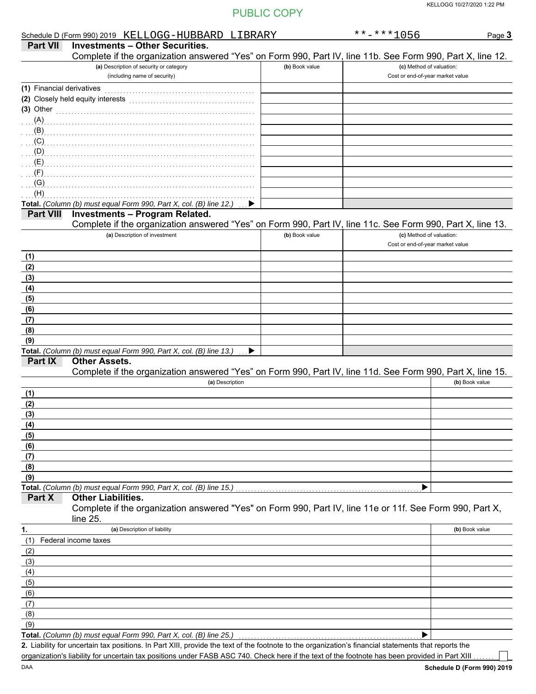|                           | Schedule D (Form 990) 2019 KELLOGG-HUBBARD LIBRARY                                                                                                   |                | $******1056$                     | Page 3         |
|---------------------------|------------------------------------------------------------------------------------------------------------------------------------------------------|----------------|----------------------------------|----------------|
| <b>Part VII</b>           | <b>Investments - Other Securities.</b>                                                                                                               |                |                                  |                |
|                           | Complete if the organization answered "Yes" on Form 990, Part IV, line 11b. See Form 990, Part X, line 12.                                           |                |                                  |                |
|                           | (a) Description of security or category                                                                                                              | (b) Book value | (c) Method of valuation:         |                |
|                           | (including name of security)                                                                                                                         |                | Cost or end-of-year market value |                |
| (1) Financial derivatives |                                                                                                                                                      |                |                                  |                |
|                           | (2) Closely held equity interests                                                                                                                    |                |                                  |                |
| $(3)$ Other               |                                                                                                                                                      |                |                                  |                |
|                           |                                                                                                                                                      |                |                                  |                |
|                           |                                                                                                                                                      |                |                                  |                |
|                           |                                                                                                                                                      |                |                                  |                |
|                           |                                                                                                                                                      |                |                                  |                |
|                           |                                                                                                                                                      |                |                                  |                |
|                           |                                                                                                                                                      |                |                                  |                |
| $(H)$ .                   |                                                                                                                                                      |                |                                  |                |
|                           | Total. (Column (b) must equal Form 990, Part X, col. (B) line 12.)                                                                                   |                |                                  |                |
| <b>Part VIII</b>          | <b>Investments - Program Related.</b>                                                                                                                |                |                                  |                |
|                           | Complete if the organization answered "Yes" on Form 990, Part IV, line 11c. See Form 990, Part X, line 13.                                           |                |                                  |                |
|                           | (a) Description of investment                                                                                                                        | (b) Book value | (c) Method of valuation:         |                |
|                           |                                                                                                                                                      |                | Cost or end-of-year market value |                |
| (1)                       |                                                                                                                                                      |                |                                  |                |
| (2)                       |                                                                                                                                                      |                |                                  |                |
| (3)                       |                                                                                                                                                      |                |                                  |                |
| (4)                       |                                                                                                                                                      |                |                                  |                |
| (5)                       |                                                                                                                                                      |                |                                  |                |
| (6)                       |                                                                                                                                                      |                |                                  |                |
| (7)                       |                                                                                                                                                      |                |                                  |                |
| (8)                       |                                                                                                                                                      |                |                                  |                |
| (9)                       |                                                                                                                                                      |                |                                  |                |
| Part IX                   | Total. (Column (b) must equal Form 990, Part X, col. (B) line 13.)<br><b>Other Assets.</b>                                                           |                |                                  |                |
|                           | Complete if the organization answered "Yes" on Form 990, Part IV, line 11d. See Form 990, Part X, line 15.                                           |                |                                  |                |
|                           | (a) Description                                                                                                                                      |                |                                  | (b) Book value |
| (1)                       |                                                                                                                                                      |                |                                  |                |
| (2)                       |                                                                                                                                                      |                |                                  |                |
| (3)                       |                                                                                                                                                      |                |                                  |                |
| (4)                       |                                                                                                                                                      |                |                                  |                |
| (5)                       |                                                                                                                                                      |                |                                  |                |
| (6)                       |                                                                                                                                                      |                |                                  |                |
| (7)                       |                                                                                                                                                      |                |                                  |                |
| (8)                       |                                                                                                                                                      |                |                                  |                |
| (9)                       |                                                                                                                                                      |                |                                  |                |
|                           | Total. (Column (b) must equal Form 990, Part X, col. (B) line 15.)                                                                                   |                |                                  |                |
| Part X                    | <b>Other Liabilities.</b>                                                                                                                            |                |                                  |                |
|                           | Complete if the organization answered "Yes" on Form 990, Part IV, line 11e or 11f. See Form 990, Part X,<br>line 25.                                 |                |                                  |                |
|                           | (a) Description of liability                                                                                                                         |                |                                  | (b) Book value |
| 1.<br>(1)                 | Federal income taxes                                                                                                                                 |                |                                  |                |
| (2)                       |                                                                                                                                                      |                |                                  |                |
| (3)                       |                                                                                                                                                      |                |                                  |                |
| (4)                       |                                                                                                                                                      |                |                                  |                |
| (5)                       |                                                                                                                                                      |                |                                  |                |
| (6)                       |                                                                                                                                                      |                |                                  |                |
| (7)                       |                                                                                                                                                      |                |                                  |                |
| (8)                       |                                                                                                                                                      |                |                                  |                |
| (9)                       |                                                                                                                                                      |                |                                  |                |
|                           | Total. (Column (b) must equal Form 990, Part X, col. (B) line 25.)                                                                                   |                |                                  |                |
|                           | 2. Liability for uncertain tax positions. In Part XIII, provide the text of the footnote to the organization's financial statements that reports the |                |                                  |                |
|                           | organization's liability for uncertain tax positions under FASB ASC 740. Check here if the text of the footnote has been provided in Part XIII       |                |                                  |                |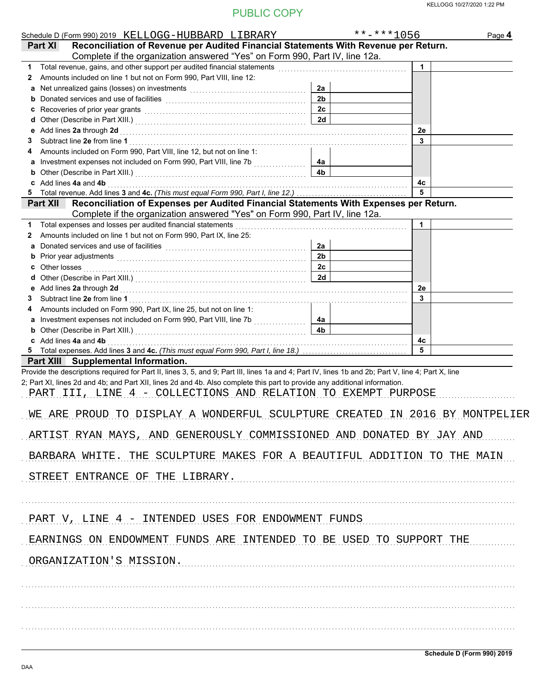| Schedule D (Form 990) 2019 KELLOGG-HUBBARD LIBRARY                                                                                                                                                                             |                | **-***1056   | Page 4 |
|--------------------------------------------------------------------------------------------------------------------------------------------------------------------------------------------------------------------------------|----------------|--------------|--------|
| Reconciliation of Revenue per Audited Financial Statements With Revenue per Return.<br><b>Part XI</b>                                                                                                                          |                |              |        |
| Complete if the organization answered "Yes" on Form 990, Part IV, line 12a.                                                                                                                                                    |                |              |        |
| 1 Total revenue, gains, and other support per audited financial statements                                                                                                                                                     |                | $\mathbf{1}$ |        |
| Amounts included on line 1 but not on Form 990, Part VIII, line 12:<br>2                                                                                                                                                       |                |              |        |
| а                                                                                                                                                                                                                              | 2a             |              |        |
|                                                                                                                                                                                                                                | 2 <sub>b</sub> |              |        |
| c Recoveries of prior year grants [11] Recovering the Recoveries of prior year grants [11] Recoveries [11] Recovering [11] Recovering [11] Recovering [11] Recovering [11] Recovering [11] Recovering [11] Recovering [11] Rec | 2c             |              |        |
|                                                                                                                                                                                                                                | 2d             |              |        |
| Add lines 2a through 2d [[[[[[[[[[[[[[[[[[[[[[[[]]]]]]]]]] Add lines 2a through 2d<br>е                                                                                                                                        |                | 2e           |        |
| 3                                                                                                                                                                                                                              |                | 3            |        |
| Amounts included on Form 990, Part VIII, line 12, but not on line 1:<br>4                                                                                                                                                      |                |              |        |
| а                                                                                                                                                                                                                              | 4a             |              |        |
| b                                                                                                                                                                                                                              | 4b             |              |        |
| c Add lines 4a and 4b                                                                                                                                                                                                          |                | 4c           |        |
|                                                                                                                                                                                                                                |                | 5            |        |
| Reconciliation of Expenses per Audited Financial Statements With Expenses per Return.<br><b>Part XII</b>                                                                                                                       |                |              |        |
| Complete if the organization answered "Yes" on Form 990, Part IV, line 12a.                                                                                                                                                    |                |              |        |
| 1 Total expenses and losses per audited financial statements                                                                                                                                                                   |                | $\mathbf 1$  |        |
| Amounts included on line 1 but not on Form 990, Part IX, line 25:<br>2                                                                                                                                                         |                |              |        |
| a                                                                                                                                                                                                                              | 2a             |              |        |
|                                                                                                                                                                                                                                | 2 <sub>b</sub> |              |        |
| c Other losses                                                                                                                                                                                                                 | 2c             |              |        |
|                                                                                                                                                                                                                                | 2d             |              |        |
|                                                                                                                                                                                                                                |                | 2e           |        |
| 3                                                                                                                                                                                                                              |                | 3            |        |
| Amounts included on Form 990, Part IX, line 25, but not on line 1:                                                                                                                                                             |                |              |        |
| a                                                                                                                                                                                                                              | 4a             |              |        |
|                                                                                                                                                                                                                                | 4b             |              |        |
| c Add lines 4a and 4b                                                                                                                                                                                                          |                | 4c           |        |
|                                                                                                                                                                                                                                |                | 5            |        |
| Part XIII Supplemental Information.                                                                                                                                                                                            |                |              |        |
| Provide the descriptions required for Part II, lines 3, 5, and 9; Part III, lines 1a and 4; Part IV, lines 1b and 2b; Part V, line 4; Part X, line                                                                             |                |              |        |
| 2; Part XI, lines 2d and 4b; and Part XII, lines 2d and 4b. Also complete this part to provide any additional information.                                                                                                     |                |              |        |
| PART III, LINE 4 - COLLECTIONS AND RELATION TO EXEMPT PURPOSE                                                                                                                                                                  |                |              |        |
|                                                                                                                                                                                                                                |                |              |        |
| WE ARE PROUD TO DISPLAY A WONDERFUL SCULPTURE CREATED IN 2016 BY MONTPELIER                                                                                                                                                    |                |              |        |
|                                                                                                                                                                                                                                |                |              |        |
| ARTIST RYAN MAYS, AND GENEROUSLY COMMISSIONED AND DONATED BY JAY AND                                                                                                                                                           |                |              |        |
|                                                                                                                                                                                                                                |                |              |        |
|                                                                                                                                                                                                                                |                |              |        |
| BARBARA WHITE. THE SCULPTURE MAKES FOR A BEAUTIFUL ADDITION TO THE MAIN                                                                                                                                                        |                |              |        |
|                                                                                                                                                                                                                                |                |              |        |
| STREET ENTRANCE OF THE LIBRARY.                                                                                                                                                                                                |                |              |        |
|                                                                                                                                                                                                                                |                |              |        |
|                                                                                                                                                                                                                                |                |              |        |
|                                                                                                                                                                                                                                |                |              |        |
| PART V, LINE 4 - INTENDED USES FOR ENDOWMENT FUNDS                                                                                                                                                                             |                |              |        |
|                                                                                                                                                                                                                                |                |              |        |
| EARNINGS ON ENDOWMENT FUNDS ARE INTENDED TO BE USED TO SUPPORT THE                                                                                                                                                             |                |              |        |
|                                                                                                                                                                                                                                |                |              |        |
| ORGANIZATION'S MISSION.                                                                                                                                                                                                        |                |              |        |
|                                                                                                                                                                                                                                |                |              |        |
|                                                                                                                                                                                                                                |                |              |        |
|                                                                                                                                                                                                                                |                |              |        |
|                                                                                                                                                                                                                                |                |              |        |
|                                                                                                                                                                                                                                |                |              |        |
|                                                                                                                                                                                                                                |                |              |        |
|                                                                                                                                                                                                                                |                |              |        |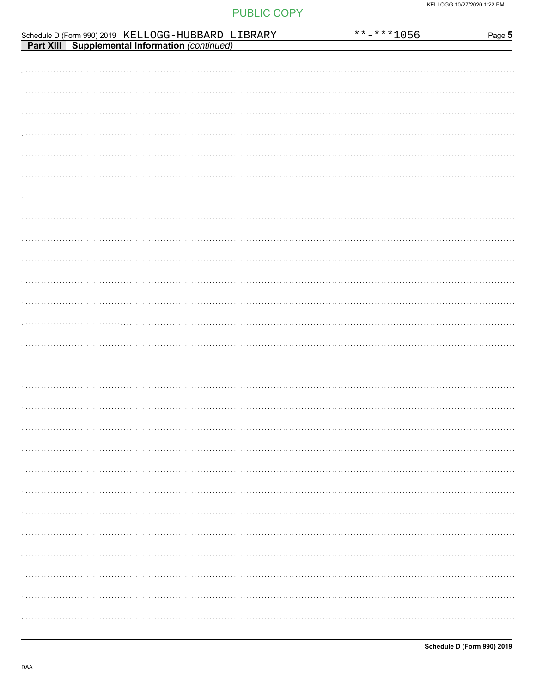|  | Schedule D (Form 990) 2019 KELLOGG-HUBBARD LIBRARY    |  | **-***1056 | Page 5 |
|--|-------------------------------------------------------|--|------------|--------|
|  | <b>Part XIII</b> Supplemental Information (continued) |  |            |        |
|  |                                                       |  |            |        |
|  |                                                       |  |            |        |
|  |                                                       |  |            |        |
|  |                                                       |  |            |        |
|  |                                                       |  |            |        |
|  |                                                       |  |            |        |
|  |                                                       |  |            |        |
|  |                                                       |  |            |        |
|  |                                                       |  |            |        |
|  |                                                       |  |            |        |
|  |                                                       |  |            |        |
|  |                                                       |  |            |        |
|  |                                                       |  |            |        |
|  |                                                       |  |            |        |
|  |                                                       |  |            |        |
|  |                                                       |  |            |        |
|  |                                                       |  |            |        |
|  |                                                       |  |            |        |
|  |                                                       |  |            |        |
|  |                                                       |  |            |        |
|  |                                                       |  |            |        |
|  |                                                       |  |            |        |
|  |                                                       |  |            |        |
|  |                                                       |  |            |        |
|  |                                                       |  |            |        |
|  |                                                       |  |            |        |
|  |                                                       |  |            |        |
|  |                                                       |  |            |        |
|  |                                                       |  |            |        |
|  |                                                       |  |            |        |
|  |                                                       |  |            |        |
|  |                                                       |  |            |        |
|  |                                                       |  |            |        |
|  |                                                       |  |            |        |
|  |                                                       |  |            |        |
|  |                                                       |  |            |        |
|  |                                                       |  |            |        |
|  |                                                       |  |            |        |
|  |                                                       |  |            |        |
|  |                                                       |  |            |        |
|  |                                                       |  |            |        |
|  |                                                       |  |            |        |
|  |                                                       |  |            |        |
|  |                                                       |  |            |        |
|  |                                                       |  |            |        |
|  |                                                       |  |            |        |
|  |                                                       |  |            |        |
|  |                                                       |  |            |        |
|  |                                                       |  |            |        |
|  |                                                       |  |            |        |
|  |                                                       |  |            |        |
|  |                                                       |  |            |        |
|  |                                                       |  |            |        |
|  |                                                       |  |            |        |
|  |                                                       |  |            |        |
|  |                                                       |  |            |        |
|  |                                                       |  |            |        |
|  |                                                       |  |            |        |
|  |                                                       |  |            |        |
|  |                                                       |  |            |        |
|  |                                                       |  |            |        |
|  |                                                       |  |            |        |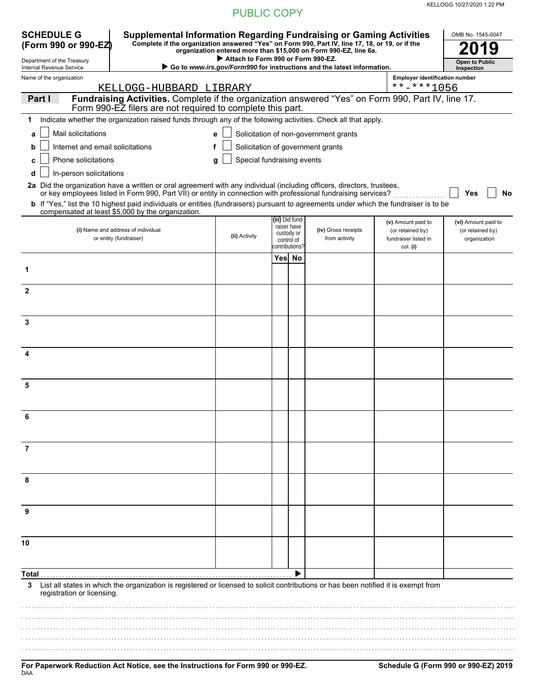| <b>SCHEDULE G</b><br><b>Supplemental Information Regarding Fundraising or Gaming Activities</b><br>OMB No. 1545-0047<br>Complete if the organization answered "Yes" on Form 990, Part IV, line 17, 18, or 19, or if the<br>(Form 990 or 990-EZ)<br>organization entered more than \$15,000 on Form 990-EZ, line 6a. |                                                                                                                                                                                                                                                                                                                     |                                    |                                                            |  |                                                                        |                                                                |                                                         |
|---------------------------------------------------------------------------------------------------------------------------------------------------------------------------------------------------------------------------------------------------------------------------------------------------------------------|---------------------------------------------------------------------------------------------------------------------------------------------------------------------------------------------------------------------------------------------------------------------------------------------------------------------|------------------------------------|------------------------------------------------------------|--|------------------------------------------------------------------------|----------------------------------------------------------------|---------------------------------------------------------|
| Department of the Treasury<br>Internal Revenue Service                                                                                                                                                                                                                                                              |                                                                                                                                                                                                                                                                                                                     | Attach to Form 990 or Form 990-EZ. |                                                            |  | Go to www.irs.gov/Form990 for instructions and the latest information. |                                                                | <b>Open to Public</b><br>Inspection                     |
| Name of the organization                                                                                                                                                                                                                                                                                            |                                                                                                                                                                                                                                                                                                                     |                                    |                                                            |  |                                                                        | <b>Employer identification number</b>                          |                                                         |
| Part I                                                                                                                                                                                                                                                                                                              | KELLOGG-HUBBARD LIBRARY<br>Fundraising Activities. Complete if the organization answered "Yes" on Form 990, Part IV, line 17.                                                                                                                                                                                       |                                    |                                                            |  |                                                                        | **-***1056                                                     |                                                         |
|                                                                                                                                                                                                                                                                                                                     | Form 990-EZ filers are not required to complete this part.                                                                                                                                                                                                                                                          |                                    |                                                            |  |                                                                        |                                                                |                                                         |
| 1.                                                                                                                                                                                                                                                                                                                  | Indicate whether the organization raised funds through any of the following activities. Check all that apply.                                                                                                                                                                                                       |                                    |                                                            |  |                                                                        |                                                                |                                                         |
| Mail solicitations<br>a                                                                                                                                                                                                                                                                                             |                                                                                                                                                                                                                                                                                                                     | e                                  |                                                            |  | Solicitation of non-government grants                                  |                                                                |                                                         |
| Internet and email solicitations<br>Solicitation of government grants<br>b                                                                                                                                                                                                                                          |                                                                                                                                                                                                                                                                                                                     |                                    |                                                            |  |                                                                        |                                                                |                                                         |
| Phone solicitations<br>c                                                                                                                                                                                                                                                                                            |                                                                                                                                                                                                                                                                                                                     | Special fundraising events<br>g    |                                                            |  |                                                                        |                                                                |                                                         |
| In-person solicitations<br>d                                                                                                                                                                                                                                                                                        | 2a Did the organization have a written or oral agreement with any individual (including officers, directors, trustees,                                                                                                                                                                                              |                                    |                                                            |  |                                                                        |                                                                |                                                         |
|                                                                                                                                                                                                                                                                                                                     | or key employees listed in Form 990, Part VII) or entity in connection with professional fundraising services?<br><b>b</b> If "Yes," list the 10 highest paid individuals or entities (fundraisers) pursuant to agreements under which the fundraiser is to be<br>compensated at least \$5,000 by the organization. |                                    |                                                            |  |                                                                        |                                                                | No<br>Yes                                               |
|                                                                                                                                                                                                                                                                                                                     | (i) Name and address of individual<br>or entity (fundraiser)                                                                                                                                                                                                                                                        | (ii) Activity                      | (iii) Did fund-<br>raiser have<br>custody or<br>control of |  | (iv) Gross receipts<br>from activity                                   | (v) Amount paid to<br>(or retained by)<br>fundraiser listed in | (vi) Amount paid to<br>(or retained by)<br>organization |
|                                                                                                                                                                                                                                                                                                                     |                                                                                                                                                                                                                                                                                                                     |                                    | contributions?<br>Yes No                                   |  |                                                                        | col. (i)                                                       |                                                         |
| 1                                                                                                                                                                                                                                                                                                                   |                                                                                                                                                                                                                                                                                                                     |                                    |                                                            |  |                                                                        |                                                                |                                                         |
| $\mathbf{2}$                                                                                                                                                                                                                                                                                                        |                                                                                                                                                                                                                                                                                                                     |                                    |                                                            |  |                                                                        |                                                                |                                                         |
| 3                                                                                                                                                                                                                                                                                                                   |                                                                                                                                                                                                                                                                                                                     |                                    |                                                            |  |                                                                        |                                                                |                                                         |
|                                                                                                                                                                                                                                                                                                                     |                                                                                                                                                                                                                                                                                                                     |                                    |                                                            |  |                                                                        |                                                                |                                                         |
| 4                                                                                                                                                                                                                                                                                                                   |                                                                                                                                                                                                                                                                                                                     |                                    |                                                            |  |                                                                        |                                                                |                                                         |
| 5                                                                                                                                                                                                                                                                                                                   |                                                                                                                                                                                                                                                                                                                     |                                    |                                                            |  |                                                                        |                                                                |                                                         |
| 6                                                                                                                                                                                                                                                                                                                   |                                                                                                                                                                                                                                                                                                                     |                                    |                                                            |  |                                                                        |                                                                |                                                         |
| 7                                                                                                                                                                                                                                                                                                                   |                                                                                                                                                                                                                                                                                                                     |                                    |                                                            |  |                                                                        |                                                                |                                                         |
|                                                                                                                                                                                                                                                                                                                     |                                                                                                                                                                                                                                                                                                                     |                                    |                                                            |  |                                                                        |                                                                |                                                         |
| 8                                                                                                                                                                                                                                                                                                                   |                                                                                                                                                                                                                                                                                                                     |                                    |                                                            |  |                                                                        |                                                                |                                                         |
| 9                                                                                                                                                                                                                                                                                                                   |                                                                                                                                                                                                                                                                                                                     |                                    |                                                            |  |                                                                        |                                                                |                                                         |
| 10                                                                                                                                                                                                                                                                                                                  |                                                                                                                                                                                                                                                                                                                     |                                    |                                                            |  |                                                                        |                                                                |                                                         |
|                                                                                                                                                                                                                                                                                                                     |                                                                                                                                                                                                                                                                                                                     |                                    |                                                            |  |                                                                        |                                                                |                                                         |
| 3<br>registration or licensing.                                                                                                                                                                                                                                                                                     | List all states in which the organization is registered or licensed to solicit contributions or has been notified it is exempt from                                                                                                                                                                                 |                                    |                                                            |  |                                                                        |                                                                |                                                         |
|                                                                                                                                                                                                                                                                                                                     |                                                                                                                                                                                                                                                                                                                     |                                    |                                                            |  |                                                                        |                                                                |                                                         |
|                                                                                                                                                                                                                                                                                                                     |                                                                                                                                                                                                                                                                                                                     |                                    |                                                            |  |                                                                        |                                                                |                                                         |
|                                                                                                                                                                                                                                                                                                                     |                                                                                                                                                                                                                                                                                                                     |                                    |                                                            |  |                                                                        |                                                                |                                                         |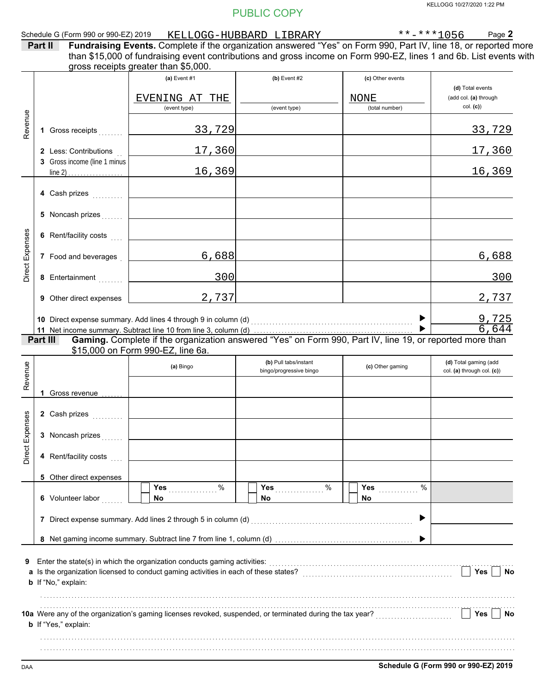| G (Form 990 or 990-EZ) 2019<br>Schedule G | KELLOGG-HUBBARD | LIBRARY | 056.<br>$***-$<br>الملد علم علم | $P$ aqe $\blacktriangle$<br>$\cdot$ |
|-------------------------------------------|-----------------|---------|---------------------------------|-------------------------------------|
|                                           |                 |         |                                 |                                     |

**Part II Fundraising Events.** Complete if the organization answered "Yes" on Form 990, Part IV, line 18, or reported more gross receipts greater than \$5,000. than \$15,000 of fundraising event contributions and gross income on Form 990-EZ, lines 1 and 6b. List events with

|                 |                                                       | (a) Event $#1$<br>EVENING AT THE<br>(event type)                                                                                                                   | $(b)$ Event #2<br>(event type)                   | (c) Other events<br><b>NONE</b><br>(total number) | (d) Total events<br>(add col. (a) through<br>col. (c) |
|-----------------|-------------------------------------------------------|--------------------------------------------------------------------------------------------------------------------------------------------------------------------|--------------------------------------------------|---------------------------------------------------|-------------------------------------------------------|
| Revenue         | 1 Gross receipts <b>1.1.1.1.1.1.1.</b>                | 33,729                                                                                                                                                             |                                                  |                                                   | 33,729                                                |
|                 | 2 Less: Contributions<br>3 Gross income (line 1 minus | 17,360                                                                                                                                                             |                                                  |                                                   | 17,360                                                |
|                 | line 2) $\ldots$ $\ldots$ $\ldots$ $\ldots$           | 16,369                                                                                                                                                             |                                                  |                                                   | 16,369                                                |
|                 | 4 Cash prizes                                         |                                                                                                                                                                    |                                                  |                                                   |                                                       |
|                 | 5 Noncash prizes                                      |                                                                                                                                                                    |                                                  |                                                   |                                                       |
|                 | 6 Rent/facility costs                                 |                                                                                                                                                                    |                                                  |                                                   |                                                       |
| Direct Expenses | 7 Food and beverages                                  | 6,688                                                                                                                                                              |                                                  |                                                   | 6,688                                                 |
|                 | 8 Entertainment                                       | 300                                                                                                                                                                |                                                  |                                                   | 300                                                   |
|                 | 9 Other direct expenses                               | 2,737                                                                                                                                                              |                                                  |                                                   | 2,737                                                 |
|                 |                                                       | 10 Direct expense summary. Add lines 4 through 9 in column (d) [11] column (d) [11] color expenses summary. Add lines 4 through 9 in column (d) [11] $\frac{1}{2}$ |                                                  |                                                   | 9,725<br>6,644                                        |
|                 | Part III                                              | Gaming. Complete if the organization answered "Yes" on Form 990, Part IV, line 19, or reported more than<br>\$15,000 on Form 990-EZ, line 6a.                      |                                                  |                                                   |                                                       |
| Revenue         |                                                       | (a) Bingo                                                                                                                                                          | (b) Pull tabs/instant<br>bingo/progressive bingo | (c) Other gaming                                  | (d) Total gaming (add<br>col. (a) through col. (c))   |
|                 | 1 Gross revenue                                       |                                                                                                                                                                    |                                                  |                                                   |                                                       |
|                 | 2 Cash prizes                                         |                                                                                                                                                                    |                                                  |                                                   |                                                       |
| Direct Expenses | 3 Noncash prizes                                      |                                                                                                                                                                    |                                                  |                                                   |                                                       |
|                 | 4 Rent/facility costs                                 |                                                                                                                                                                    |                                                  |                                                   |                                                       |
|                 | 5 Other direct expenses                               |                                                                                                                                                                    |                                                  |                                                   |                                                       |
|                 | 6 Volunteer labor                                     | $\%$<br><b>Yes</b><br>No                                                                                                                                           | %<br>Yes<br>No                                   | $\%$<br>Yes<br>No                                 |                                                       |
|                 |                                                       | 7 Direct expense summary. Add lines 2 through 5 in column (d)                                                                                                      |                                                  | ▶                                                 |                                                       |
|                 |                                                       |                                                                                                                                                                    |                                                  | ▶                                                 |                                                       |
| 9               | <b>b</b> If "No," explain:                            | Enter the state(s) in which the organization conducts gaming activities:                                                                                           |                                                  |                                                   | Yes<br>No                                             |
|                 | <b>b</b> If "Yes," explain:                           |                                                                                                                                                                    |                                                  |                                                   | Yes<br>No.                                            |
|                 |                                                       |                                                                                                                                                                    |                                                  |                                                   |                                                       |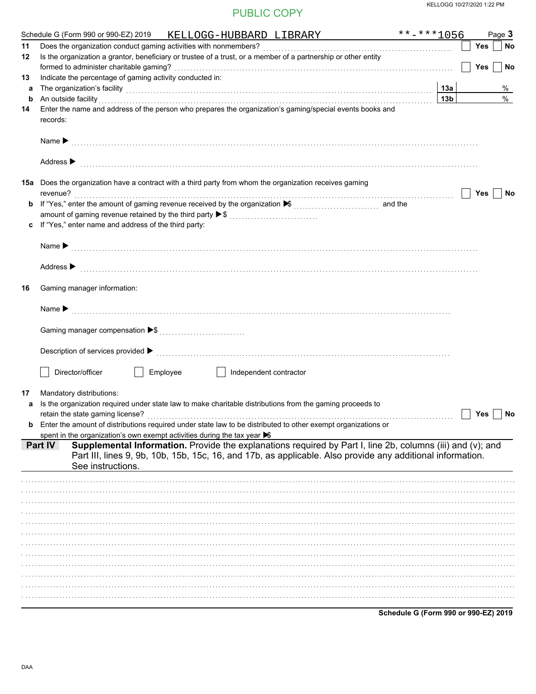|     | Schedule G (Form 990 or 990-EZ) 2019   KELLOGG-HUBBARD LIBRARY                                                                                                                                                                 |          |                        |  | $******1056$                                                                                                                                                                                                             |            | Page 3    |  |  |
|-----|--------------------------------------------------------------------------------------------------------------------------------------------------------------------------------------------------------------------------------|----------|------------------------|--|--------------------------------------------------------------------------------------------------------------------------------------------------------------------------------------------------------------------------|------------|-----------|--|--|
| 11  |                                                                                                                                                                                                                                |          |                        |  |                                                                                                                                                                                                                          | <b>Yes</b> | <b>No</b> |  |  |
| 12  | Is the organization a grantor, beneficiary or trustee of a trust, or a member of a partnership or other entity                                                                                                                 |          |                        |  |                                                                                                                                                                                                                          | <b>Yes</b> | No        |  |  |
| 13  | Indicate the percentage of gaming activity conducted in:                                                                                                                                                                       |          |                        |  |                                                                                                                                                                                                                          |            |           |  |  |
| a   | The organization's facility [1, 2003] The organization's facility [1, 2014] The organization's facility [1, 2014] The organization's facility [1, 2014] The organization's facility [1, 2014] The organization of the organiza |          |                        |  | 13а                                                                                                                                                                                                                      |            | %         |  |  |
| b   | An outside facility <b>contained a set of a set of a set of a set of a set of a set of a set of a set of a set of a</b>                                                                                                        |          |                        |  | 13 <sub>b</sub>                                                                                                                                                                                                          |            | $\%$      |  |  |
| 14  | Enter the name and address of the person who prepares the organization's gaming/special events books and<br>records:                                                                                                           |          |                        |  |                                                                                                                                                                                                                          |            |           |  |  |
|     | Name > contract and the contract of the contract of the contract of the contract of the contract of the contract of the contract of the contract of the contract of the contract of the contract of the contract of the contra |          |                        |  |                                                                                                                                                                                                                          |            |           |  |  |
|     | Address $\blacktriangleright$                                                                                                                                                                                                  |          |                        |  |                                                                                                                                                                                                                          |            |           |  |  |
| 15а | Does the organization have a contract with a third party from whom the organization receives gaming<br>revenue?                                                                                                                |          |                        |  |                                                                                                                                                                                                                          | Yes        | No        |  |  |
| b   |                                                                                                                                                                                                                                |          |                        |  |                                                                                                                                                                                                                          |            |           |  |  |
|     |                                                                                                                                                                                                                                |          |                        |  |                                                                                                                                                                                                                          |            |           |  |  |
| c   | If "Yes," enter name and address of the third party:                                                                                                                                                                           |          |                        |  |                                                                                                                                                                                                                          |            |           |  |  |
|     |                                                                                                                                                                                                                                |          |                        |  |                                                                                                                                                                                                                          |            |           |  |  |
|     | Address $\blacktriangleright$                                                                                                                                                                                                  |          |                        |  |                                                                                                                                                                                                                          |            |           |  |  |
| 16  | Gaming manager information:                                                                                                                                                                                                    |          |                        |  |                                                                                                                                                                                                                          |            |           |  |  |
|     |                                                                                                                                                                                                                                |          |                        |  |                                                                                                                                                                                                                          |            |           |  |  |
|     |                                                                                                                                                                                                                                |          |                        |  |                                                                                                                                                                                                                          |            |           |  |  |
|     |                                                                                                                                                                                                                                |          |                        |  |                                                                                                                                                                                                                          |            |           |  |  |
|     | Director/officer                                                                                                                                                                                                               | Employee | Independent contractor |  |                                                                                                                                                                                                                          |            |           |  |  |
|     |                                                                                                                                                                                                                                |          |                        |  |                                                                                                                                                                                                                          |            |           |  |  |
| 17  | Mandatory distributions:<br>Is the organization required under state law to make charitable distributions from the gaming proceeds to                                                                                          |          |                        |  |                                                                                                                                                                                                                          |            |           |  |  |
|     | <b>b</b> Enter the amount of distributions required under state law to be distributed to other exempt organizations or                                                                                                         |          |                        |  |                                                                                                                                                                                                                          | Yes        | No        |  |  |
|     | spent in the organization's own exempt activities during the tax year S                                                                                                                                                        |          |                        |  |                                                                                                                                                                                                                          |            |           |  |  |
|     | <b>Part IV</b><br>See instructions.                                                                                                                                                                                            |          |                        |  | Supplemental Information. Provide the explanations required by Part I, line 2b, columns (iii) and (v); and<br>Part III, lines 9, 9b, 10b, 15b, 15c, 16, and 17b, as applicable. Also provide any additional information. |            |           |  |  |
|     |                                                                                                                                                                                                                                |          |                        |  |                                                                                                                                                                                                                          |            |           |  |  |
|     |                                                                                                                                                                                                                                |          |                        |  |                                                                                                                                                                                                                          |            |           |  |  |
|     |                                                                                                                                                                                                                                |          |                        |  |                                                                                                                                                                                                                          |            |           |  |  |
|     |                                                                                                                                                                                                                                |          |                        |  |                                                                                                                                                                                                                          |            |           |  |  |
|     |                                                                                                                                                                                                                                |          |                        |  |                                                                                                                                                                                                                          |            |           |  |  |
|     |                                                                                                                                                                                                                                |          |                        |  |                                                                                                                                                                                                                          |            |           |  |  |
|     |                                                                                                                                                                                                                                |          |                        |  |                                                                                                                                                                                                                          |            |           |  |  |
|     |                                                                                                                                                                                                                                |          |                        |  |                                                                                                                                                                                                                          |            |           |  |  |
|     |                                                                                                                                                                                                                                |          |                        |  |                                                                                                                                                                                                                          |            |           |  |  |
|     |                                                                                                                                                                                                                                |          |                        |  |                                                                                                                                                                                                                          |            |           |  |  |
|     |                                                                                                                                                                                                                                |          |                        |  |                                                                                                                                                                                                                          |            |           |  |  |
|     |                                                                                                                                                                                                                                |          |                        |  | Schedule G (Form 990 or 990-EZ) 2019                                                                                                                                                                                     |            |           |  |  |

DAA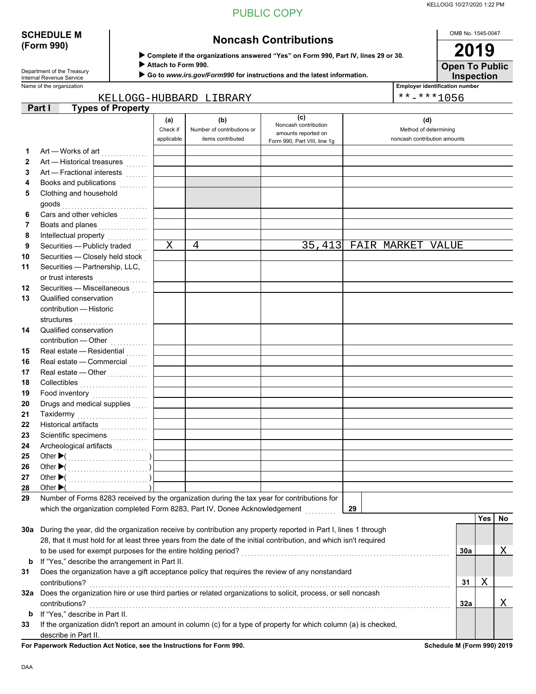OMB No. 1545-0047

**Inspection Open To Public 2019**

#### PUBLIC COPY

# **(Form 990)**

# **SCHEDULE M Noncash Contributions**

 **Complete if the organizations answered "Yes" on Form 990, Part IV, lines 29 or 30.**

 **Attach to Form 990.**

 **Go to** *www.irs.gov/Form990* **for instructions and the latest information.**

Name of the organization **Employer identification number Employer identification number** Department of the Treasury<br>Internal Revenue Service

#### KELLOGG-HUBBARD LIBRARY \*\*-\*\*\*1056

|              | <b>Types of Property</b><br>Part I                                                                                 |            |                            |                                             |                              |            |            |     |
|--------------|--------------------------------------------------------------------------------------------------------------------|------------|----------------------------|---------------------------------------------|------------------------------|------------|------------|-----|
|              |                                                                                                                    | (a)        | (b)                        | (c)                                         | (d)                          |            |            |     |
|              |                                                                                                                    | Check if   | Number of contributions or | Noncash contribution<br>amounts reported on | Method of determining        |            |            |     |
|              |                                                                                                                    | applicable | items contributed          | Form 990, Part VIII, line 1g                | noncash contribution amounts |            |            |     |
| 1            | Art - Works of art                                                                                                 |            |                            |                                             |                              |            |            |     |
| $\mathbf{2}$ | Art - Historical treasures                                                                                         |            |                            |                                             |                              |            |            |     |
| 3            | Art - Fractional interests                                                                                         |            |                            |                                             |                              |            |            |     |
| 4            | Books and publications<br>.                                                                                        |            |                            |                                             |                              |            |            |     |
| 5            | Clothing and household                                                                                             |            |                            |                                             |                              |            |            |     |
|              | goods                                                                                                              |            |                            |                                             |                              |            |            |     |
| 6            | Cars and other vehicles [1, 1, 1, 1, 1, 1]                                                                         |            |                            |                                             |                              |            |            |     |
| 7            | Boats and planes<br>.                                                                                              |            |                            |                                             |                              |            |            |     |
| 8            |                                                                                                                    |            |                            |                                             |                              |            |            |     |
| 9            | Securities - Publicly traded                                                                                       | X          | 4                          | 35,413                                      | FAIR MARKET VALUE            |            |            |     |
| 10           | Securities - Closely held stock                                                                                    |            |                            |                                             |                              |            |            |     |
| 11           | Securities - Partnership, LLC,                                                                                     |            |                            |                                             |                              |            |            |     |
|              | or trust interests                                                                                                 |            |                            |                                             |                              |            |            |     |
| 12           | Securities - Miscellaneous                                                                                         |            |                            |                                             |                              |            |            |     |
| 13           | Qualified conservation                                                                                             |            |                            |                                             |                              |            |            |     |
|              | contribution - Historic                                                                                            |            |                            |                                             |                              |            |            |     |
|              |                                                                                                                    |            |                            |                                             |                              |            |            |     |
| 14           | Qualified conservation                                                                                             |            |                            |                                             |                              |            |            |     |
|              | contribution - Other                                                                                               |            |                            |                                             |                              |            |            |     |
| 15           | Real estate - Residential                                                                                          |            |                            |                                             |                              |            |            |     |
| 16           | Real estate - Commercial                                                                                           |            |                            |                                             |                              |            |            |     |
| 17           | Real estate - Other                                                                                                |            |                            |                                             |                              |            |            |     |
| 18           | Collectibles                                                                                                       |            |                            |                                             |                              |            |            |     |
| 19           | Food inventory                                                                                                     |            |                            |                                             |                              |            |            |     |
| 20           | Drugs and medical supplies                                                                                         |            |                            |                                             |                              |            |            |     |
| 21           | Taxidermy<br>.                                                                                                     |            |                            |                                             |                              |            |            |     |
| 22           | Historical artifacts                                                                                               |            |                            |                                             |                              |            |            |     |
| 23           | Scientific specimens<br>                                                                                           |            |                            |                                             |                              |            |            |     |
| 24           | Archeological artifacts                                                                                            |            |                            |                                             |                              |            |            |     |
| 25           |                                                                                                                    |            |                            |                                             |                              |            |            |     |
| 26           |                                                                                                                    |            |                            |                                             |                              |            |            |     |
| 27           |                                                                                                                    |            |                            |                                             |                              |            |            |     |
| 28           | Other $\blacktriangleright$ (                                                                                      |            |                            |                                             |                              |            |            |     |
| 29           | Number of Forms 8283 received by the organization during the tax year for contributions for                        |            |                            |                                             |                              |            |            |     |
|              | which the organization completed Form 8283, Part IV, Donee Acknowledgement                                         |            |                            |                                             | 29                           |            |            |     |
|              |                                                                                                                    |            |                            |                                             |                              |            | <b>Yes</b> | No. |
|              | 30a During the year, did the organization receive by contribution any property reported in Part I, lines 1 through |            |                            |                                             |                              |            |            |     |
|              | 28, that it must hold for at least three years from the date of the initial contribution, and which isn't required |            |                            |                                             |                              |            |            |     |
|              | to be used for exempt purposes for the entire holding period?                                                      |            |                            |                                             |                              | <b>30a</b> |            | Χ   |
| b            | If "Yes," describe the arrangement in Part II.                                                                     |            |                            |                                             |                              |            |            |     |
| 31           | Does the organization have a gift acceptance policy that requires the review of any nonstandard                    |            |                            |                                             |                              |            |            |     |
|              | contributions?                                                                                                     |            |                            |                                             |                              | 31         | Χ          |     |
| 32a          | Does the organization hire or use third parties or related organizations to solicit, process, or sell noncash      |            |                            |                                             |                              |            |            |     |
|              | contributions?                                                                                                     |            |                            |                                             |                              | 32a        |            | Χ   |
| b            | If "Yes," describe in Part II.                                                                                     |            |                            |                                             |                              |            |            |     |
| 33           | If the organization didn't report an amount in column (c) for a type of property for which column (a) is checked,  |            |                            |                                             |                              |            |            |     |
|              | describe in Part II.                                                                                               |            |                            |                                             |                              |            |            |     |

**For Paperwork Reduction Act Notice, see the Instructions for Form 990. Schedule M (Form 990) 2019**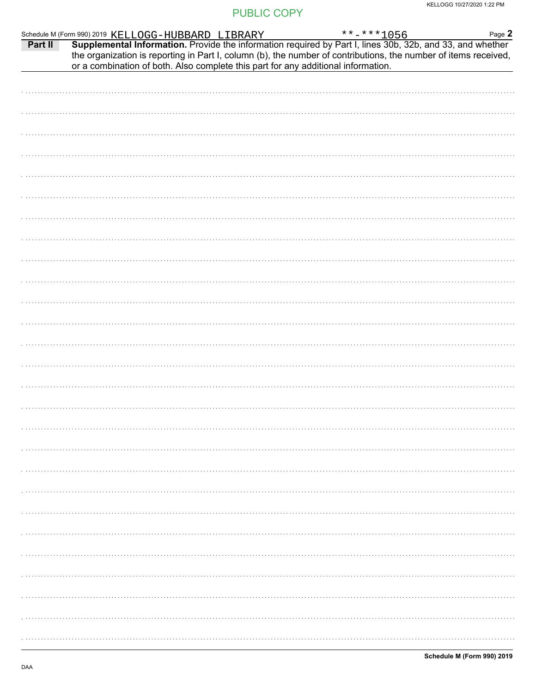|         | Schedule M (Form 990) 2019 KELLOGG-HUBBARD LIBRARY                                                                                                                                                                                                                                                                | $******1056$ | Page 2 |
|---------|-------------------------------------------------------------------------------------------------------------------------------------------------------------------------------------------------------------------------------------------------------------------------------------------------------------------|--------------|--------|
| Part II | Supplemental Information. Provide the information required by Part I, lines 30b, 32b, and 33, and whether<br>the organization is reporting in Part I, column (b), the number of contributions, the number of items received,<br>or a combination of both. Also complete this part for any additional information. |              |        |
|         |                                                                                                                                                                                                                                                                                                                   |              |        |
|         |                                                                                                                                                                                                                                                                                                                   |              |        |
|         |                                                                                                                                                                                                                                                                                                                   |              |        |
|         |                                                                                                                                                                                                                                                                                                                   |              |        |
|         |                                                                                                                                                                                                                                                                                                                   |              |        |
|         |                                                                                                                                                                                                                                                                                                                   |              |        |
|         |                                                                                                                                                                                                                                                                                                                   |              |        |
|         |                                                                                                                                                                                                                                                                                                                   |              |        |
|         |                                                                                                                                                                                                                                                                                                                   |              |        |
|         |                                                                                                                                                                                                                                                                                                                   |              |        |
|         |                                                                                                                                                                                                                                                                                                                   |              |        |
|         |                                                                                                                                                                                                                                                                                                                   |              |        |
|         |                                                                                                                                                                                                                                                                                                                   |              |        |
|         |                                                                                                                                                                                                                                                                                                                   |              |        |
|         |                                                                                                                                                                                                                                                                                                                   |              |        |
|         |                                                                                                                                                                                                                                                                                                                   |              |        |
|         |                                                                                                                                                                                                                                                                                                                   |              |        |
|         |                                                                                                                                                                                                                                                                                                                   |              |        |
|         |                                                                                                                                                                                                                                                                                                                   |              |        |
|         |                                                                                                                                                                                                                                                                                                                   |              |        |
|         |                                                                                                                                                                                                                                                                                                                   |              |        |
|         |                                                                                                                                                                                                                                                                                                                   |              |        |
|         |                                                                                                                                                                                                                                                                                                                   |              |        |
|         |                                                                                                                                                                                                                                                                                                                   |              |        |
|         |                                                                                                                                                                                                                                                                                                                   |              |        |
|         |                                                                                                                                                                                                                                                                                                                   |              |        |
|         |                                                                                                                                                                                                                                                                                                                   |              |        |
|         |                                                                                                                                                                                                                                                                                                                   |              |        |
|         |                                                                                                                                                                                                                                                                                                                   |              |        |
|         |                                                                                                                                                                                                                                                                                                                   |              |        |
|         |                                                                                                                                                                                                                                                                                                                   |              |        |
|         |                                                                                                                                                                                                                                                                                                                   |              |        |
|         |                                                                                                                                                                                                                                                                                                                   |              |        |
|         |                                                                                                                                                                                                                                                                                                                   |              |        |
|         |                                                                                                                                                                                                                                                                                                                   |              |        |
|         |                                                                                                                                                                                                                                                                                                                   |              |        |
|         |                                                                                                                                                                                                                                                                                                                   |              |        |
|         |                                                                                                                                                                                                                                                                                                                   |              |        |
|         |                                                                                                                                                                                                                                                                                                                   |              |        |
|         |                                                                                                                                                                                                                                                                                                                   |              |        |
|         |                                                                                                                                                                                                                                                                                                                   |              |        |
|         |                                                                                                                                                                                                                                                                                                                   |              |        |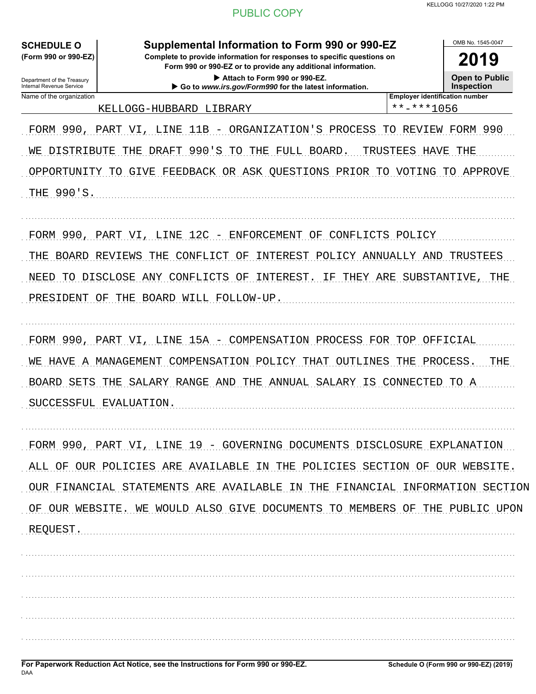**SCHEDULE O** (Form 990 or 990-EZ)

Department of the Treasury

Name of the organization

Internal Revenue Service

Supplemental Information to Form 990 or 990-EZ

Complete to provide information for responses to specific questions on Form 990 or 990-EZ or to provide any additional information.

2019 **Open to Public Inspection** 

OMB No. 1545-0047

Attach to Form 990 or 990-EZ. Go to www.irs.gov/Form990 for the latest information.

**Employer identification number**  $***$  -\*\*\*1056

FORM 990, PART VI, LINE 11B - ORGANIZATION'S PROCESS TO REVIEW FORM 990 WE DISTRIBUTE THE DRAFT 990'S TO THE FULL BOARD. TRUSTEES HAVE THE OPPORTUNITY TO GIVE FEEDBACK OR ASK QUESTIONS PRIOR TO VOTING TO APPROVE THE 990'S.

FORM 990, PART VI, LINE 12C - ENFORCEMENT OF CONFLICTS POLICY

KELLOGG-HUBBARD LIBRARY

THE BOARD REVIEWS THE CONFLICT OF INTEREST POLICY ANNUALLY AND TRUSTEES NEED TO DISCLOSE ANY CONFLICTS OF INTEREST. IF THEY ARE SUBSTANTIVE, THE PRESIDENT OF THE BOARD WILL FOLLOW-UP.

FORM 990, PART VI, LINE 15A - COMPENSATION PROCESS FOR TOP OFFICIAL WE HAVE A MANAGEMENT COMPENSATION POLICY THAT OUTLINES THE PROCESS. THE BOARD SETS THE SALARY RANGE AND THE ANNUAL SALARY IS CONNECTED TO A SUCCESSFUL EVALUATION.

FORM 990, PART VI, LINE 19 - GOVERNING DOCUMENTS DISCLOSURE EXPLANATION ALL OF OUR POLICIES ARE AVAILABLE IN THE POLICIES SECTION OF OUR WEBSITE. OUR FINANCIAL STATEMENTS ARE AVAILABLE IN THE FINANCIAL INFORMATION SECTION OF OUR WEBSITE. WE WOULD ALSO GIVE DOCUMENTS TO MEMBERS OF THE PUBLIC UPON REQUEST.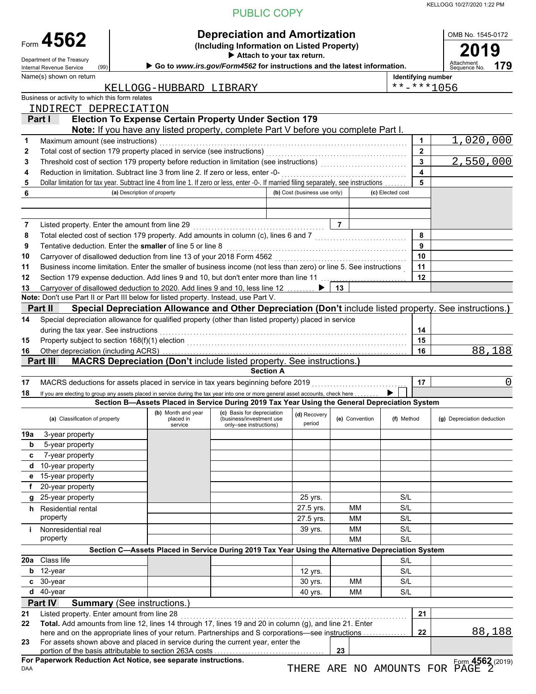KELLOGG 10/27/2020 1:22 PM

# PUBLIC COPY

|        | <b>Depreciation and Amortization</b><br>Form 4562<br>(Including Information on Listed Property)<br>Attach to your tax return.<br>Department of the Treasury                           |                             |                                                                                                                     |                            |                  |                              |                | OMB No. 1545-0172<br>9 |                  |                    |                                                                                                          |
|--------|---------------------------------------------------------------------------------------------------------------------------------------------------------------------------------------|-----------------------------|---------------------------------------------------------------------------------------------------------------------|----------------------------|------------------|------------------------------|----------------|------------------------|------------------|--------------------|----------------------------------------------------------------------------------------------------------|
|        | (99)<br>Internal Revenue Service                                                                                                                                                      |                             | Go to www.irs.gov/Form4562 for instructions and the latest information.                                             |                            |                  |                              |                |                        |                  |                    | Attachment<br>179<br>Sequence No.                                                                        |
|        | Name(s) shown on return                                                                                                                                                               |                             |                                                                                                                     |                            |                  |                              |                |                        |                  | Identifying number |                                                                                                          |
|        |                                                                                                                                                                                       |                             | KELLOGG-HUBBARD LIBRARY                                                                                             |                            |                  |                              |                |                        |                  |                    | **-***1056                                                                                               |
|        | Business or activity to which this form relates                                                                                                                                       |                             |                                                                                                                     |                            |                  |                              |                |                        |                  |                    |                                                                                                          |
|        | INDIRECT DEPRECIATION                                                                                                                                                                 |                             |                                                                                                                     |                            |                  |                              |                |                        |                  |                    |                                                                                                          |
|        | Part I                                                                                                                                                                                |                             | <b>Election To Expense Certain Property Under Section 179</b>                                                       |                            |                  |                              |                |                        |                  |                    |                                                                                                          |
|        |                                                                                                                                                                                       |                             | Note: If you have any listed property, complete Part V before you complete Part I.                                  |                            |                  |                              |                |                        |                  |                    |                                                                                                          |
| 1      | Maximum amount (see instructions)                                                                                                                                                     |                             |                                                                                                                     |                            |                  |                              |                |                        |                  | 1                  | 1,020,000                                                                                                |
| 2      | Total cost of section 179 property placed in service (see instructions)<br>Threshold cost of section 179 property before reduction in limitation (see instructions)                   |                             |                                                                                                                     |                            |                  |                              |                |                        |                  | 2                  |                                                                                                          |
| 3<br>4 | Reduction in limitation. Subtract line 3 from line 2. If zero or less, enter -0-                                                                                                      |                             |                                                                                                                     |                            |                  |                              |                |                        |                  | 3<br>4             | 2,550,000                                                                                                |
| 5      | Dollar limitation for tax year. Subtract line 4 from line 1. If zero or less, enter -0-. If married filing separately, see instructions                                               |                             |                                                                                                                     |                            |                  |                              |                |                        |                  | 5                  |                                                                                                          |
| 6      |                                                                                                                                                                                       | (a) Description of property |                                                                                                                     |                            |                  | (b) Cost (business use only) |                |                        | (c) Elected cost |                    |                                                                                                          |
|        |                                                                                                                                                                                       |                             |                                                                                                                     |                            |                  |                              |                |                        |                  |                    |                                                                                                          |
|        |                                                                                                                                                                                       |                             |                                                                                                                     |                            |                  |                              |                |                        |                  |                    |                                                                                                          |
| 7      | Listed property. Enter the amount from line 29                                                                                                                                        |                             |                                                                                                                     |                            |                  |                              | $\overline{7}$ |                        |                  |                    |                                                                                                          |
| 8      | Total elected cost of section 179 property. Add amounts in column (c), lines 6 and 7                                                                                                  |                             |                                                                                                                     |                            |                  |                              |                |                        |                  | 8                  |                                                                                                          |
| 9      | Tentative deduction. Enter the smaller of line 5 or line 8                                                                                                                            |                             |                                                                                                                     |                            |                  |                              |                |                        |                  | 9                  |                                                                                                          |
| 10     | Carryover of disallowed deduction from line 13 of your 2018 Form 4562                                                                                                                 |                             |                                                                                                                     |                            |                  |                              |                |                        |                  | 10                 |                                                                                                          |
| 11     | Business income limitation. Enter the smaller of business income (not less than zero) or line 5. See instructions                                                                     |                             |                                                                                                                     |                            |                  |                              |                |                        |                  | 11                 |                                                                                                          |
| 12     | Section 179 expense deduction. Add lines 9 and 10, but don't enter more than line 11                                                                                                  |                             |                                                                                                                     |                            |                  |                              |                |                        |                  | 12                 |                                                                                                          |
| 13     | Carryover of disallowed deduction to 2020. Add lines 9 and 10, less line 12                                                                                                           |                             |                                                                                                                     |                            |                  |                              | 13             |                        |                  |                    |                                                                                                          |
|        | Note: Don't use Part II or Part III below for listed property. Instead, use Part V.                                                                                                   |                             |                                                                                                                     |                            |                  |                              |                |                        |                  |                    |                                                                                                          |
|        | Part II                                                                                                                                                                               |                             |                                                                                                                     |                            |                  |                              |                |                        |                  |                    | Special Depreciation Allowance and Other Depreciation (Don't include listed property. See instructions.) |
| 14     | Special depreciation allowance for qualified property (other than listed property) placed in service                                                                                  |                             |                                                                                                                     |                            |                  |                              |                |                        |                  |                    |                                                                                                          |
|        | during the tax year. See instructions                                                                                                                                                 |                             |                                                                                                                     |                            |                  |                              |                |                        |                  | 14                 |                                                                                                          |
| 15     | Property subject to section 168(f)(1) election                                                                                                                                        |                             |                                                                                                                     |                            |                  |                              |                |                        |                  | 15                 |                                                                                                          |
| 16     | Other depreciation (including ACRS)                                                                                                                                                   |                             |                                                                                                                     |                            |                  |                              |                |                        |                  | 16                 | 88,188                                                                                                   |
|        | Part III                                                                                                                                                                              |                             | MACRS Depreciation (Don't include listed property. See instructions.)                                               |                            |                  |                              |                |                        |                  |                    |                                                                                                          |
|        |                                                                                                                                                                                       |                             |                                                                                                                     |                            | <b>Section A</b> |                              |                |                        |                  |                    |                                                                                                          |
| 17     | MACRS deductions for assets placed in service in tax years beginning before 2019                                                                                                      |                             |                                                                                                                     |                            |                  |                              |                |                        |                  | 17                 | 0                                                                                                        |
| 18     | If you are electing to group any assets placed in service during the tax year into one or more general asset accounts, check here .                                                   |                             |                                                                                                                     |                            |                  |                              |                |                        |                  |                    |                                                                                                          |
|        |                                                                                                                                                                                       |                             | Section B—Assets Placed in Service During 2019 Tax Year Using the General Depreciation System<br>(b) Month and year | (c) Basis for depreciation |                  |                              |                |                        |                  |                    |                                                                                                          |
|        | (a) Classification of property                                                                                                                                                        |                             | placed in                                                                                                           | (business/investment use   |                  | (d) Recovery<br>period       |                | (e) Convention         | (f) Method       |                    | (g) Depreciation deduction                                                                               |
| 19a    | 3-year property                                                                                                                                                                       |                             | service                                                                                                             | only-see instructions)     |                  |                              |                |                        |                  |                    |                                                                                                          |
| b      | 5-year property                                                                                                                                                                       |                             |                                                                                                                     |                            |                  |                              |                |                        |                  |                    |                                                                                                          |
| c      | 7-year property                                                                                                                                                                       |                             |                                                                                                                     |                            |                  |                              |                |                        |                  |                    |                                                                                                          |
| d      | 10-year property                                                                                                                                                                      |                             |                                                                                                                     |                            |                  |                              |                |                        |                  |                    |                                                                                                          |
| е      | 15-year property                                                                                                                                                                      |                             |                                                                                                                     |                            |                  |                              |                |                        |                  |                    |                                                                                                          |
| f      | 20-year property                                                                                                                                                                      |                             |                                                                                                                     |                            |                  |                              |                |                        |                  |                    |                                                                                                          |
| g      | 25-year property                                                                                                                                                                      |                             |                                                                                                                     |                            |                  | 25 yrs.                      |                |                        | S/L              |                    |                                                                                                          |
|        | h Residential rental                                                                                                                                                                  |                             |                                                                                                                     |                            |                  | 27.5 yrs.                    |                | <b>MM</b>              | S/L              |                    |                                                                                                          |
|        | property                                                                                                                                                                              |                             |                                                                                                                     |                            |                  | 27.5 yrs.                    |                | MМ                     | S/L              |                    |                                                                                                          |
| j.     | Nonresidential real                                                                                                                                                                   |                             |                                                                                                                     |                            |                  | 39 yrs.                      |                | MМ                     | S/L              |                    |                                                                                                          |
|        | property                                                                                                                                                                              |                             |                                                                                                                     |                            |                  |                              |                | <b>MM</b>              | S/L              |                    |                                                                                                          |
|        | Section C-Assets Placed in Service During 2019 Tax Year Using the Alternative Depreciation System                                                                                     |                             |                                                                                                                     |                            |                  |                              |                |                        |                  |                    |                                                                                                          |
| 20a    | Class life                                                                                                                                                                            |                             |                                                                                                                     |                            |                  |                              |                |                        | S/L              |                    |                                                                                                          |
| b      | 12-year                                                                                                                                                                               |                             |                                                                                                                     |                            |                  | 12 yrs.                      |                |                        | S/L              |                    |                                                                                                          |
| c      | 30-year                                                                                                                                                                               |                             |                                                                                                                     |                            |                  | 30 yrs.                      |                | MМ                     | S/L              |                    |                                                                                                          |
|        | d 40-year                                                                                                                                                                             |                             |                                                                                                                     |                            |                  | 40 yrs.                      |                | MМ                     | S/L              |                    |                                                                                                          |
|        | Part IV<br><b>Summary (See instructions.)</b>                                                                                                                                         |                             |                                                                                                                     |                            |                  |                              |                |                        |                  |                    |                                                                                                          |
| 21     | Listed property. Enter amount from line 28                                                                                                                                            |                             |                                                                                                                     |                            |                  |                              |                |                        |                  | 21                 |                                                                                                          |
| 22     | Total. Add amounts from line 12, lines 14 through 17, lines 19 and 20 in column (g), and line 21. Enter                                                                               |                             |                                                                                                                     |                            |                  |                              |                |                        |                  |                    |                                                                                                          |
| 23     | here and on the appropriate lines of your return. Partnerships and S corporations—see instructions<br>For assets shown above and placed in service during the current year, enter the |                             |                                                                                                                     |                            |                  |                              |                |                        |                  | 22                 | 88,188                                                                                                   |
|        |                                                                                                                                                                                       |                             |                                                                                                                     |                            |                  |                              | 23             |                        |                  |                    |                                                                                                          |
| DAA    | For Paperwork Reduction Act Notice, see separate instructions.                                                                                                                        |                             |                                                                                                                     |                            |                  |                              |                |                        |                  |                    | Form 4562 (2019)<br>THERE ARE NO AMOUNTS FOR PAGE 2                                                      |

THERE ARE NO AMOUNTS FOR PAGE 2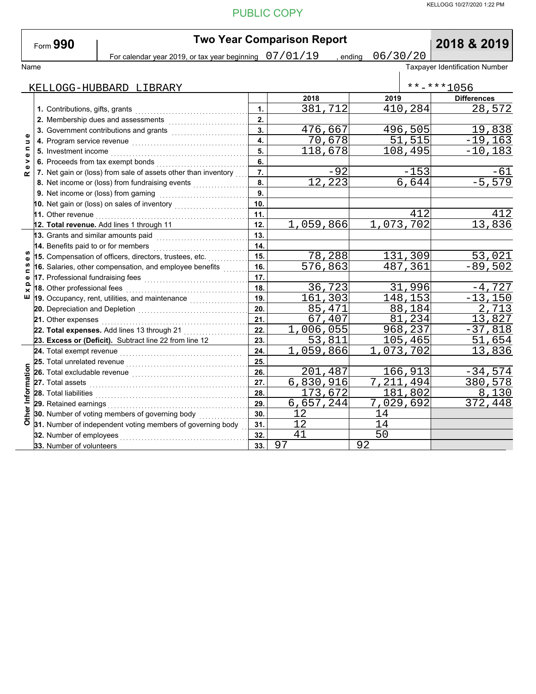# **Two Year Comparison Report**<br> **Drips are and AU 2018 & 2019**<br> **2018 & 2019**<br> **2018 & 2019**

For calendar year 2019, or tax year beginning  $\left(07/01/19\right)$  , ending  $\left[06/30/20\right]$ 

Name Taxpayer Identification Number

 $\overline{\phantom{a}}$ 

|                    | KELLOGG-HUBBARD LIBRARY                                        |                  |           |                     | $******1056$       |
|--------------------|----------------------------------------------------------------|------------------|-----------|---------------------|--------------------|
|                    |                                                                |                  | 2018      | 2019                | <b>Differences</b> |
|                    | 1. Contributions, gifts, grants                                | 1.               | 381,712   | 410,284             | 28,572             |
|                    | 2. Membership dues and assessments                             | 2.               |           |                     |                    |
|                    | 3. Government contributions and grants                         | 3.               | 476,667   | 496,505             | <u>19,838</u>      |
| Φ<br>$\Rightarrow$ |                                                                | 4.               | 70,678    | $\overline{51,515}$ | $-19,163$          |
| c<br>$\bullet$     | 5. Investment income                                           | 5.               | 118,678   | 108,495             | $-10, 183$         |
| >                  | 6. Proceeds from tax exempt bonds                              | 6.               |           |                     |                    |
| Φ<br>œ             | 7. Net gain or (loss) from sale of assets other than inventory | $\overline{7}$ . | $-92$     | $-153$              | -61                |
|                    | 8. Net income or (loss) from fundraising events                | 8.               | 12,223    | 6,644               | $-5,579$           |
|                    | 9. Net income or (loss) from gaming                            | 9.               |           |                     |                    |
|                    | 10. Net gain or (loss) on sales of inventory                   | 10.              |           |                     |                    |
|                    | 11. Other revenue                                              | 11.              |           | 412                 | 412                |
|                    | 12. Total revenue. Add lines 1 through 11                      | 12.              | 1,059,866 | 1,073,702           | 13,836             |
|                    | 13. Grants and similar amounts paid                            | 13.              |           |                     |                    |
|                    | 14. Benefits paid to or for members                            | 14.              |           |                     |                    |
| ဖာ                 | 15. Compensation of officers, directors, trustees, etc.        | 15.              | 78,288    | 131,309             | 53,021             |
| $\mathbf{C}$       | 16. Salaries, other compensation, and employee benefits        | 16.              | 576,863   | 487,361             | $-89,502$          |
| $\mathbf{a}$       | 17. Professional fundraising fees                              | 17.              |           |                     |                    |
|                    | 18. Other professional fees                                    | 18.              | 36,723    | 31,996              | $-4,727$           |
| ш                  | 19. Occupancy, rent, utilities, and maintenance                | 19.              | 161,303   | 148,153             | $-13,150$          |
|                    | 20. Depreciation and Depletion                                 | 20.              | 85,471    | 88,184              | 2,713              |
|                    | 21. Other expenses                                             | 21.              | 67,407    | 81,234              | 13,827             |
|                    | 22. Total expenses. Add lines 13 through 21                    | 22.              | 1,006,055 | 968, 237            | $-37,818$          |
|                    | 23. Excess or (Deficit). Subtract line 22 from line 12         | 23.              | 53,811    | 105,465             | 51,654             |
|                    |                                                                | 24.              | 1,059,866 | 1,073,702           | 13,836             |
|                    | 25. Total unrelated revenue                                    | 25.              |           |                     |                    |
|                    | 26. Total excludable revenue                                   | 26.              | 201,487   | 166,913             | $-34,574$          |
|                    | 27. Total assets                                               | 27.              | 6,830,916 | 7,211,494           | 380,578            |
|                    | 28. Total liabilities                                          | 28.              | 173,672   | 181,802             | 8,130              |
|                    | 29. Retained earnings<br>.                                     | 29.              | 6,657,244 | 7,029,692           | 372,448            |
| Other Information  | 30. Number of voting members of governing body                 | 30.              | 12        | 14                  |                    |
|                    | 31. Number of independent voting members of governing body     | 31.              | 12        | 14                  |                    |
|                    | 32. Number of employees                                        | 32.              | 41        | 50                  |                    |
|                    | 33. Number of volunteers                                       | 33.              | 97        | 92                  |                    |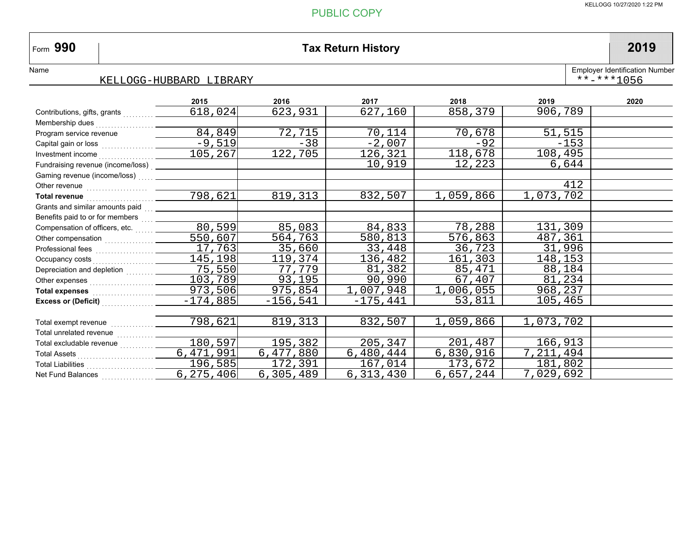#### KELLOGG 10/27/2020 1:22 PM

Form 990

Name

# **990 Tax Return History 2019**

\*\*-\*\*\*1056

#### Employer Identification Number KELLOGG-HUBBARD LIBRARY

|                                                                                                                      | 2015        | 2016       | 2017       | 2018      | 2019      | 2020 |
|----------------------------------------------------------------------------------------------------------------------|-------------|------------|------------|-----------|-----------|------|
| Contributions, gifts, grants                                                                                         | 618,024     | 623,931    | 627,160    | 858,379   | 906,789   |      |
| Membership dues                                                                                                      |             |            |            |           |           |      |
| Program service revenue                                                                                              | 84,849      | 72,715     | 70,114     | 70,678    | 51,515    |      |
|                                                                                                                      | $-9,519$    | $-38$      | $-2,007$   | $-92$     | $-153$    |      |
|                                                                                                                      | 105,267     | 122,705    | 126,321    | 118,678   | 108,495   |      |
|                                                                                                                      |             |            | 10,919     | 12,223    | 6,644     |      |
| Gaming revenue (income/loss)  _______________                                                                        |             |            |            |           |           |      |
| Other revenue <b>contained contained contained contained contained contained </b>                                    |             |            |            |           | 412       |      |
| Total revenue manual contracts and the contracts of the contracts of the contracts of the contracts of the contracts | 798,621     | 819, 313   | 832,507    | 1,059,866 | 1,073,702 |      |
|                                                                                                                      |             |            |            |           |           |      |
| Benefits paid to or for members  _____                                                                               |             |            |            |           |           |      |
|                                                                                                                      | 80,599      | 85,083     | 84,833     | 78,288    | 131,309   |      |
|                                                                                                                      | 550,607     | 564,763    | 580,813    | 576,863   | 487,361   |      |
|                                                                                                                      | 17,763      | 35,660     | 33,448     | 36,723    | 31,996    |      |
|                                                                                                                      | 145,198     | 119,374    | 136,482    | 161,303   | 148,153   |      |
| Depreciation and depletion                                                                                           | 75,550      | 77,779     | 81,382     | 85,471    | 88,184    |      |
|                                                                                                                      | 103,789     | 93,195     | 90,990     | 67,407    | 81,234    |      |
|                                                                                                                      | 973,506     | 975,854    | 1,007,948  | 1,006,055 | 968,237   |      |
| Excess or (Deficit)<br><br><br><br><br><br><br><br><br><br><br><br><br><br><br><br><br><br><br><br><br>              | $-174,885$  | $-156,541$ | $-175,441$ | 53,811    | 105,465   |      |
|                                                                                                                      |             |            |            |           |           |      |
|                                                                                                                      | 798,621     | 819,313    | 832,507    | 1,059,866 | 1,073,702 |      |
| Total unrelated revenue                                                                                              |             |            |            |           |           |      |
| Total excludable revenue                                                                                             | 180,597     | 195,382    | 205,347    | 201,487   | 166,913   |      |
|                                                                                                                      | 6,471,991   | 6,477,880  | 6,480,444  | 6,830,916 | 7,211,494 |      |
|                                                                                                                      | 196,585     | 172,391    | 167,014    | 173,672   | 181,802   |      |
| Net Fund Balances                                                                                                    | 6, 275, 406 | 6,305,489  | 6,313,430  | 6,657,244 | 7,029,692 |      |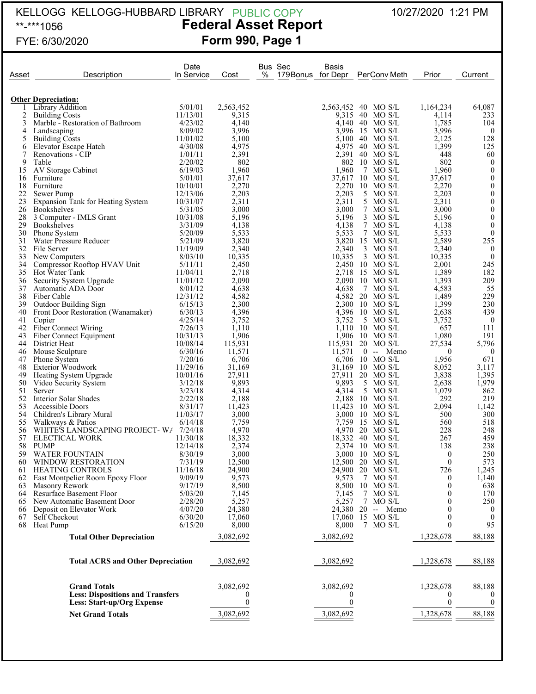# \*\*-\*\*\*1056 **Federal Asset Report** FYE: 6/30/2020 **Form 990, Page 1**

KELLOGG KELLOGG-HUBBARD LIBRARY 10/27/2020 1:21 PM PUBLIC COPY

| Asset          | Description                            | Date<br>In Service | Cost      | % | Bus Sec<br>179Bonus for Depr | <b>Basis</b> | PerConv Meth      | Prior     | Current  |
|----------------|----------------------------------------|--------------------|-----------|---|------------------------------|--------------|-------------------|-----------|----------|
|                | <b>Other Depreciation:</b>             |                    |           |   |                              |              |                   |           |          |
|                | Library Addition                       | 5/01/01            | 2,563,452 |   |                              | 2,563,452    | 40 MO S/L         | 1,164,234 | 64,087   |
| $\overline{2}$ | <b>Building Costs</b>                  | 11/13/01           | 9,315     |   |                              | 9.315        | 40 MO S/L         | 4,114     | 233      |
| 3              | Marble - Restoration of Bathroom       | 4/23/02            | 4,140     |   |                              | 4.140        | 40 MO S/L         | 1,785     | 104      |
| 4              | Landscaping                            | 8/09/02            | 3,996     |   |                              | 3.996        | 15 MO S/L         | 3,996     | $\theta$ |
| 5              | <b>Building Costs</b>                  | 11/01/02           | 5,100     |   |                              | 5.100        | 40 MO S/L         | 2,125     | 128      |
| 6              | Elevator Escape Hatch                  | 4/30/08            | 4,975     |   |                              | 4,975        | 40 MO S/L         | 1,399     | 125      |
| $\overline{7}$ | Renovations - CIP                      | 1/01/11            | 2,391     |   |                              | 2.391        | 40 MO S/L         | 448       | 60       |
| 9              | Table                                  | 2/20/02            | 802       |   |                              | 802          | 10 MO S/L         | 802       | $\theta$ |
|                |                                        | 6/19/03            | 1,960     |   |                              | 1,960        | 7 MO S/L          | 1,960     | $\theta$ |
| 15<br>16       | AV Storage Cabinet                     | 5/01/01            | 37,617    |   |                              | 37,617       | 10 MO S/L         | 37,617    | $\theta$ |
|                | Furniture                              |                    |           |   |                              |              |                   |           | $\theta$ |
| 18             | Furniture                              | 10/10/01           | 2,270     |   |                              | 2.270        | $10$ MO S/L       | 2,270     |          |
| 22             | Sewer Pump                             | 12/13/06           | 2,203     |   |                              | 2,203        | 5 MO S/L          | 2,203     | $\theta$ |
| 23             | Expansion Tank for Heating System      | 10/31/07           | 2,311     |   |                              | 2,311        | 5 MO S/L          | 2,311     | $\theta$ |
| 26             | <b>Bookshelves</b>                     | 5/31/05            | 3,000     |   |                              | 3.000        | 7 MO S/L          | 3,000     | $\theta$ |
| 28             | 3 Computer - IMLS Grant                | 10/31/08           | 5.196     |   |                              | 5.196        | $3$ MO S/L        | 5.196     | $\theta$ |
| 29             | <b>Bookshelves</b>                     | 3/31/09            | 4,138     |   |                              | 4,138        | 7 MO S/L          | 4,138     | $\theta$ |
| 30             | Phone System                           | 5/20/09            | 5,533     |   |                              | 5,533        | 7 MO S/L          | 5,533     | $\theta$ |
| 31             | Water Pressure Reducer                 | 5/21/09            | 3,820     |   |                              | 3,820        | 15 MO S/L         | 2,589     | 255      |
| 32             | File Server                            | 11/19/09           | 2,340     |   |                              | 2,340        | $3$ MO S/L        | 2,340     | $\theta$ |
| 33             | New Computers                          | 8/03/10            | 10,335    |   |                              | 10,335       | $3$ MO S/L        | 10,335    | $\theta$ |
| 34             | Compressor Rooftop HVAV Unit           | 5/11/11            | 2,450     |   |                              | 2,450        | 10 MO S/L         | 2,001     | 245      |
| 35             | Hot Water Tank                         | 11/04/11           | 2,718     |   |                              | 2,718        | 15 MO S/L         | 1,389     | 182      |
| 36             | Security System Upgrade                | 11/01/12           | 2,090     |   |                              | 2,090        | $10$ MO S/L       | 1,393     | 209      |
| 37             | Automatic ADA Door                     | 8/01/12            | 4,638     |   |                              | 4,638        | 7 MO S/L          | 4,583     | 55       |
| 38             | Fiber Cable                            | 12/31/12           | 4,582     |   |                              | 4,582        | 20 MO S/L         | 1,489     | 229      |
| 39             | Outdoor Building Sign                  | 6/15/13            | 2,300     |   |                              | 2,300        | $10$ MO S/L       | 1,399     | 230      |
| 40             | Front Door Restoration (Wanamaker)     | 6/30/13            | 4,396     |   |                              | 4,396        | $10$ MO S/L       | 2,638     | 439      |
| 41             | Copier                                 | 4/25/14            | 3,752     |   |                              | 3,752        | 5 MO S/L          | 3,752     | $\theta$ |
| 42             | <b>Fiber Connect Wiring</b>            | 7/26/13            | 1,110     |   |                              | 1.110        | 10 MO S/L         | 657       | 111      |
| 43             | Fiber Connect Equipment                | 10/31/13           | 1,906     |   |                              | 1.906        | $10$ MO S/L       | 1,080     | 191      |
| 44             | District Heat                          | 10/08/14           | 115,931   |   |                              | 115,931      | 20 MO S/L         | 27,534    | 5,796    |
| 46             | Mouse Sculpture                        | 6/30/16            | 11,571    |   |                              | 11,571       | Memo<br>$0 -$     | $\theta$  | $\theta$ |
| 47             | Phone System                           | 7/20/16            | 6,706     |   |                              | 6,706        | $10$ MO S/L       | 1,956     | 671      |
| 48             | <b>Exterior Woodwork</b>               | 11/29/16           | 31,169    |   |                              | 31.169       | $10$ MO S/L       | 8,052     | 3,117    |
| 49             | Heating System Upgrade                 | 10/01/16           | 27,911    |   |                              | 27,911       | 20 MO S/L         | 3,838     | 1,395    |
| 50             | Video Security System                  | 3/12/18            | 9,893     |   |                              | 9,893        | 5 MO S/L          | 2,638     | 1,979    |
| 51             | Server                                 | 3/23/18            | 4,314     |   |                              | 4,314        | 5 MO S/L          | 1,079     | 862      |
| 52             | Interior Solar Shades                  | 2/22/18            | 2,188     |   |                              | 2.188        | $10$ MO S/L       | 292       | 219      |
| 53             | Accessible Doors                       | 8/31/17            | 11,423    |   |                              | 11,423       | $10$ MO S/L       | 2,094     | 1,142    |
| 54             | Children's Library Mural               | 11/03/17           | 3,000     |   |                              | 3,000        | 10 MO S/L         | 500       | 300      |
| 55             | Walkways & Patios                      | 6/14/18            | 7,759     |   |                              | 7.759        | 15 MO S/L         | 560       | 518      |
| 56             | WHITE'S LANDSCAPING PROJECT-WA 7/24/18 |                    | 4,970     |   |                              | 4.970        | 20 MO S/L         | 228       | 248      |
| 57             | ELECTICAL WORK                         | 11/30/18           | 18,332    |   |                              | 18.332       | 40 MO S/L         | 267       | 459      |
| 58             | <b>PUMP</b>                            | 12/14/18           | 2,374     |   |                              | 2.374        | $10$ MO S/L       | 138       | 238      |
| 59             | <b>WATER FOUNTAIN</b>                  | 8/30/19            | 3.000     |   |                              |              | $3.000$ 10 MO S/L | $\theta$  | 250      |

| 62 | East Montpelier Room Epoxy Floor                                                             | 9/09/19 | 9,573     | 9,573     | MO S/L                    | 0         | 1,140  |
|----|----------------------------------------------------------------------------------------------|---------|-----------|-----------|---------------------------|-----------|--------|
| 63 | <b>Masonry Rework</b>                                                                        | 9/17/19 | 8,500     | 8,500     | MO S/L<br>10              |           | 638    |
| 64 | Resurface Basement Floor                                                                     | 5/03/20 | 7,145     | 7.145     | MO S/L                    |           | 170    |
| 65 | New Automatic Basement Door                                                                  | 2/28/20 | 5,257     | 5,257     | MO S/L                    |           | 250    |
| 66 | Deposit on Elevator Work                                                                     | 4/07/20 | 24,380    | 24,380    | Memo<br>20<br>$- -$       |           |        |
| 67 | Self Checkout                                                                                | 6/30/20 | 17,060    | 17.060    | MO S/L<br>$\overline{15}$ |           |        |
| 68 | Heat Pump                                                                                    | 6/15/20 | 8,000     | 8,000     | 7 MO S/L                  |           | 95     |
|    | <b>Total Other Depreciation</b>                                                              |         | 3,082,692 | 3,082,692 |                           | 1,328,678 | 88,188 |
|    | <b>Total ACRS and Other Depreciation</b>                                                     |         | 3,082,692 | 3,082,692 |                           | 1,328,678 | 88,188 |
|    | <b>Grand Totals</b><br><b>Less: Dispositions and Transfers</b><br>Less: Start-up/Org Expense |         | 3,082,692 | 3,082,692 |                           | 1,328,678 | 88,188 |
|    | <b>Net Grand Totals</b>                                                                      |         | 3,082,692 | 3,082,692 |                           | 1,328,678 | 88,188 |
|    |                                                                                              |         |           |           |                           |           |        |

59 WATER FOUNTAIN 8/30/19 3,000 3,000 3,000 10 MO S/L 0 250<br>
60 WINDOW RESTORATION 7/31/19 12,500 12,500 12,500 20 MO S/L 0 573 60 WINDOW RESTORATION 7/31/19 12,500 12,500 12,500 20 MO S/L 0 573<br>61 HEATING CONTROLS 11/16/18 24,900 20 20 MO S/L 726 1,245 61 HEATING CONTROLS 11/16/18 24,900 24,900 20 MO S/L 726 1,245<br>62 East Montpelier Room Epoxy Floor 9/09/19 9,573 3 9,573 7 MO S/L 0 1,140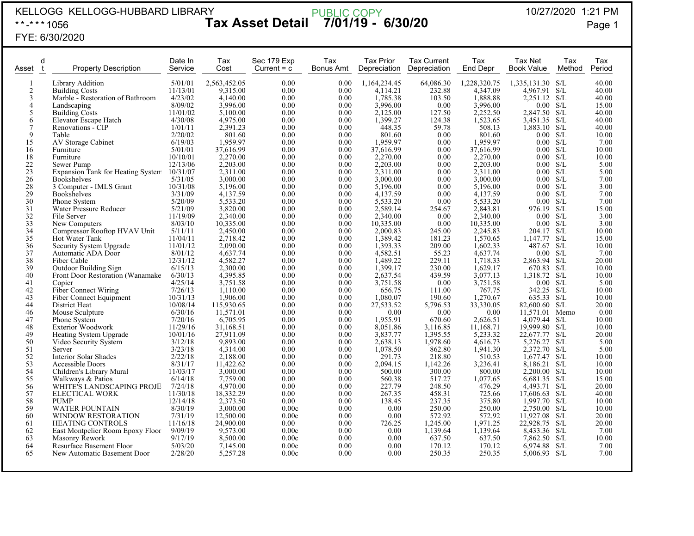|                     | KELLOGG KELLOGG-HUBBARD LIBRARY                           |                     |                      |                              |                         | <b>PUBLIC COPY</b>               |                                    |                      |                                     |               | 1:21 PM        |  |
|---------------------|-----------------------------------------------------------|---------------------|----------------------|------------------------------|-------------------------|----------------------------------|------------------------------------|----------------------|-------------------------------------|---------------|----------------|--|
| **-*** 1056         |                                                           |                     |                      | <b>Tax Asset Detail</b>      |                         | 7/01/19 - 6/30/20                |                                    |                      |                                     |               | Page 1         |  |
|                     | FYE: 6/30/2020                                            |                     |                      |                              |                         |                                  |                                    |                      |                                     |               |                |  |
|                     |                                                           |                     |                      |                              |                         |                                  |                                    |                      |                                     |               |                |  |
|                     |                                                           |                     |                      |                              |                         |                                  |                                    |                      |                                     |               |                |  |
| d<br>Asset          | <b>Property Description</b>                               | Date In<br>Service  | Tax<br>Cost          | Sec 179 Exp<br>Current = $c$ | Tax<br><b>Bonus Amt</b> | <b>Tax Prior</b><br>Depreciation | <b>Tax Current</b><br>Depreciation | Tax<br>End Depr      | <b>Tax Net</b><br><b>Book Value</b> | Tax<br>Method | Tax<br>Period  |  |
|                     |                                                           |                     |                      |                              |                         |                                  |                                    |                      |                                     |               |                |  |
|                     | Library Addition                                          | 5/01/01             | 2,563,452.05         | 0.00                         | 0.00                    | 1,164,234.45                     | 64,086.30                          | 1,228,320.75         | 1,335,131.30 S/L                    |               | 40.00          |  |
| $\overline{c}$      | <b>Building Costs</b>                                     | 11/13/01            | 9,315.00             | 0.00                         | 0.00                    | 4,114.21                         | 232.88                             | 4,347.09             | 4,967.91 S/L                        |               | 40.00          |  |
| 3                   | Marble - Restoration of Bathroom                          | 4/23/02             | 4,140.00             | 0.00                         | 0.00                    | 1,785.38                         | 103.50                             | 1,888.88             | 2,251.12 S/L                        |               | 40.00          |  |
| $\overline{4}$<br>5 | Landscaping<br><b>Building Costs</b>                      | 8/09/02<br>11/01/02 | 3,996.00<br>5,100.00 | 0.00<br>0.00                 | 0.00<br>0.00            | 3,996.00<br>2,125.00             | 0.00<br>127.50                     | 3,996.00<br>2,252.50 | 0.00 S/L<br>2,847.50 S/L            |               | 15.00<br>40.00 |  |
| 6                   | Elevator Escape Hatch                                     | 4/30/08             | 4,975.00             | 0.00                         | 0.00                    | 1,399.27                         | 124.38                             | 1,523.65             | 3,451.35 S/L                        |               | 40.00          |  |
| $\overline{7}$      | Renovations - CIP                                         | 1/01/11             | 2,391.23             | 0.00                         | 0.00                    | 448.35                           | 59.78                              | 508.13               | 1,883.10 S/L                        |               | 40.00          |  |
| 9                   | Table                                                     | 2/20/02             | 801.60               | 0.00                         | 0.00                    | 801.60                           | 0.00                               | 801.60               | 0.00 S/L                            |               | 10.00          |  |
| 15                  | AV Storage Cabinet                                        | 6/19/03             | 1,959.97             | 0.00                         | 0.00                    | 1,959.97                         | 0.00                               | 1,959.97             | 0.00 S/L                            |               | 7.00           |  |
| 16                  | Furniture                                                 | 5/01/01             | 37,616.99            | 0.00                         | 0.00                    | 37,616.99                        | 0.00                               | 37,616.99            | 0.00 S/L                            |               | 10.00          |  |
| 18                  | Furniture                                                 | 10/10/01            | 2,270.00             | 0.00                         | 0.00                    | 2,270.00                         | 0.00                               | 2,270.00             | 0.00 S/L                            |               | 10.00          |  |
| 22                  | Sewer Pump                                                | 12/13/06            | 2,203.00             | 0.00                         | 0.00                    | 2,203.00                         | 0.00                               | 2,203.00             | 0.00 S/L                            |               | 5.00           |  |
| 23                  | Expansion Tank for Heating System                         | 10/31/07            | 2,311.00             | 0.00                         | 0.00                    | 2,311.00                         | 0.00                               | 2.311.00             | 0.00 S/L                            |               | 5.00           |  |
| 26<br>28            | <b>Bookshelves</b><br>3 Computer - IMLS Grant             | 5/31/05<br>10/31/08 | 3,000.00<br>5,196.00 | 0.00<br>0.00                 | 0.00<br>0.00            | 3,000.00<br>5,196.00             | 0.00<br>0.00                       | 3,000.00<br>5,196.00 | 0.00 S/L<br>0.00 S/L                |               | 7.00<br>3.00   |  |
| 29                  | <b>Bookshelves</b>                                        | 3/31/09             | 4,137.59             | 0.00                         | 0.00                    | 4,137.59                         | 0.00                               | 4,137.59             | 0.00 S/L                            |               | 7.00           |  |
| 30                  | Phone System                                              | 5/20/09             | 5,533.20             | 0.00                         | 0.00                    | 5,533.20                         | 0.00                               | 5,533.20             | 0.00 S/L                            |               | 7.00           |  |
| 31                  | Water Pressure Reducer                                    | 5/21/09             | 3,820.00             | 0.00                         | 0.00                    | 2,589.14                         | 254.67                             | 2,843.81             | 976.19 S/L                          |               | 15.00          |  |
| $32\,$              | File Server                                               | 11/19/09            | 2,340.00             | 0.00                         | 0.00                    | 2,340.00                         | 0.00                               | 2,340.00             | 0.00 S/L                            |               | 3.00           |  |
| 33                  | New Computers                                             | 8/03/10             | 10,335.00            | 0.00                         | 0.00                    | 10,335.00                        | 0.00                               | 10,335.00            | 0.00 S/L                            |               | 3.00           |  |
| 34                  | Compressor Rooftop HVAV Unit                              | 5/11/11             | 2,450.00             | 0.00                         | 0.00                    | 2,000.83                         | 245.00                             | 2,245.83             | 204.17 S/L                          |               | 10.00          |  |
| 35                  | Hot Water Tank                                            | 11/04/11            | 2,718.42             | 0.00                         | 0.00                    | 1,389.42                         | 181.23                             | 1,570.65             | 1,147.77 S/L                        |               | 15.00          |  |
| 36                  | Security System Upgrade                                   | 11/01/12            | 2,090.00             | 0.00                         | 0.00                    | 1,393.33                         | 209.00                             | 1,602.33             | 487.67 S/L                          |               | 10.00          |  |
| 37                  | Automatic ADA Door                                        | 8/01/12             | 4,637.74             | 0.00                         | 0.00                    | 4,582.51                         | 55.23                              | 4,637.74             | 0.00 S/L                            |               | 7.00           |  |
| 38<br>39            | Fiber Cable                                               | 12/31/12<br>6/15/13 | 4,582.27<br>2,300.00 | 0.00<br>0.00                 | 0.00<br>0.00            | 1,489.22<br>1,399.17             | 229.11<br>230.00                   | 1,718.33<br>1,629.17 | 2,863.94 S/L<br>670.83 S/L          |               | 20.00<br>10.00 |  |
| 40                  | Outdoor Building Sign<br>Front Door Restoration (Wanamake | 6/30/13             | 4,395.85             | 0.00                         | 0.00                    | 2,637.54                         | 439.59                             | 3,077.13             | 1,318.72 S/L                        |               | 10.00          |  |
| 41                  | Copier                                                    | 4/25/14             | 3,751.58             | 0.00                         | 0.00                    | 3,751.58                         | 0.00                               | 3,751.58             | 0.00 S/L                            |               | 5.00           |  |
| 42                  | Fiber Connect Wiring                                      | 7/26/13             | 1,110.00             | 0.00                         | 0.00                    | 656.75                           | 111.00                             | 767.75               | 342.25 S/L                          |               | 10.00          |  |
| 43                  | Fiber Connect Equipment                                   | 10/31/13            | 1,906.00             | 0.00                         | 0.00                    | 1,080.07                         | 190.60                             | 1,270.67             | 635.33 S/L                          |               | 10.00          |  |
| 44                  | District Heat                                             | 10/08/14            | 115,930.65           | 0.00                         | 0.00                    | 27,533.52                        | 5,796.53                           | 33,330.05            | 82,600.60 S/L                       |               | 20.00          |  |
| 46                  | Mouse Sculpture                                           | 6/30/16             | 11,571.01            | 0.00                         | 0.00                    | 0.00                             | 0.00                               | 0.00                 | 11,571.01 Memo                      |               | 0.00           |  |
| 47                  | Phone System                                              | 7/20/16             | 6,705.95             | 0.00                         | 0.00                    | 1,955.91                         | 670.60                             | 2,626.51             | 4,079.44 S/L                        |               | 10.00          |  |
| 48                  | <b>Exterior Woodwork</b>                                  | 11/29/16            | 31,168.51            | 0.00                         | 0.00                    | 8,051.86                         | 3,116.85                           | 11,168.71            | 19,999.80 S/L                       |               | 10.00          |  |
| 49                  | Heating System Upgrade                                    | 10/01/16            | 27,911.09            | 0.00                         | 0.00                    | 3,837.77                         | 1,395.55                           | 5,233.32             | 22,677.77 S/L                       |               | 20.00          |  |
| 50                  | Video Security System                                     | 3/12/18             | 9,893.00             | 0.00                         | 0.00                    | 2,638.13                         | 1,978.60                           | 4,616.73             | 5,276.27 S/L                        |               | 5.00           |  |

50 Video Security System 3/12/18 9,893.00 0.00 0.00 2,638.13 1,978.60 4,616.73 5,276.27 S/L 5.00<br>51 Server 3/23/18 4,314.00 0.00 0.00 1,078.50 862.80 1,941.30 2,372.70 S/L 5.00 Server 3/23/18 4,314.00 0.00 0.00 1,078.50 862.80 1,941.30 2,372.70 S/L 5.00 Interior Solar Shades 2/22/18 2,188.00 0.00 0.00 291.73 218.80 510.53 1,677.47 S/L 10.00 Accessible Doors 8/31/17 11,422.62 0.00 0.00 2,094.15 1,142.26 3,236.41 8,186.21 S/L 10.00 54 Children's Library Mural 11/03/17 11,422.62 0.00 0.00 0.00 500.00 300.00 300.00 300.00 300.00 300.00 300.00<br>54 Children's Library Mural 11/03/17 3,000.00 0.00 0.00 500.00 300.00 300.00 2,200.00 S/L 10.00<br>55 Walkways & P Walkways & Patios 6/14/18 7,759.00 0.00 0.00 560.38 517.27 1,077.65 6,681.35 S/L 15.00

57 ELECTICAL WORK 11/30/18 18,332.29 0.00 0.00 267.35 458.31 725.66 17,606.63 S/L 40.00<br>58 PUMP 12/14/18 2,373.50 0.00 0.00 138.45 237.35 375.80 1,997.70 S/L 10.00 PUMP 12/14/18 2,373.50 0.00 0.00 138.45 237.35 375.80 1,997.70 S/L 10.00 WATER FOUNTAIN 8/30/19 3,000.00 0.00c 0.00 0.00 250.00 250.00 2,750.00 S/L 10.00 WINDOW RESTORATION 7/31/19 12,500.00 0.00c 0.00 0.00 572.92 572.92 11,927.08 S/L 20.00 61 HEATING CONTROLS 11/16/18 24,900.00 0.00 0.00 726.25 1,245.00 1,971.25 22,928.75 S/L 20.00<br>62 East Montpelier Room Epoxy Floor 9/09/19 9.573.00 0.00c 0.00 0.00 0.00 1.139.64 1.139.64 8.433.36 S/L 7.00 62 East Montpelier Room Epoxy Floor 9/09/19 9,573.00 0.00c 0.00 0.00 0.00 1,139.64 1,139.64 8,433.36 S/L 7.00<br>63 Masonry Rework 9/17/19 8,500.00 0.00c 0.00 0.00 637.50 637.50 7,862.50 S/L 10.00 Masonry Rework 9/17/19 8,500.00 0.00c 0.00 0.00 637.50 637.50 7,862.50 S/L 10.00 64 Resurface Basement Floor 5/03/20 7,145.00 0.00c 0.00 0.00 170.12 170.12 6,974.88 S/L 7.00<br>65 New Automatic Basement Door 2/28/20 5,257.28 0.00c 0.00 0.00 0.00 250.35 250.35 5,006.93 S/L 7.00

E 7/24/18 4,970.00 0.00 0.00 227.79 248.50 476.29 4,493.71 S/L 20.00

56 WHITE'S LANDSCAPING PROJE<br>57 ELECTICAL WORK

New Automatic Basement Door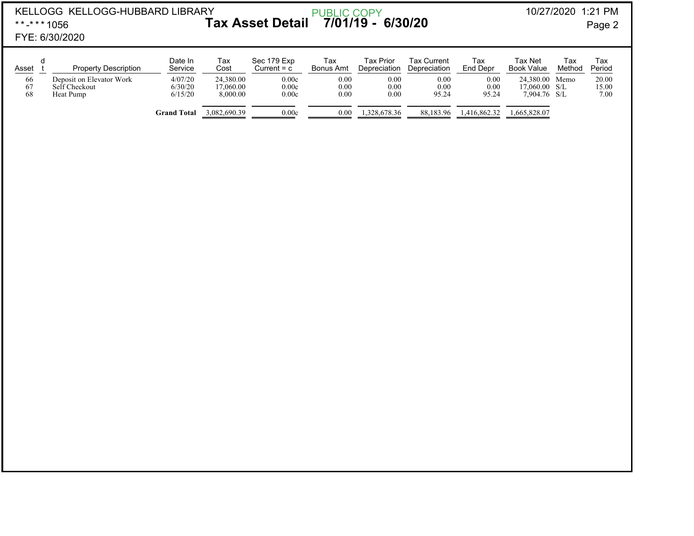| KELLOGG KELLOGG-HUBBARD LIBRARY<br><b>Tax Asset Detail</b><br>**-*** 1056<br>FYE: 6/30/2020 |                                                                                       |                                                                           |                                                                   |                                                                  | <b>PUBLIC COPY</b>                               | 7/01/19 - 6/30/20                                                       |                                                                          |                                                          |                                                                                          | 10/27/2020 1:21 PM | Page 2                                  |
|---------------------------------------------------------------------------------------------|---------------------------------------------------------------------------------------|---------------------------------------------------------------------------|-------------------------------------------------------------------|------------------------------------------------------------------|--------------------------------------------------|-------------------------------------------------------------------------|--------------------------------------------------------------------------|----------------------------------------------------------|------------------------------------------------------------------------------------------|--------------------|-----------------------------------------|
| d<br>Asset<br>66<br>67<br>68                                                                | <b>Property Description</b><br>Deposit on Elevator Work<br>Self Checkout<br>Heat Pump | Date In<br>Service<br>4/07/20<br>6/30/20<br>6/15/20<br><b>Grand Total</b> | Tax<br>Cost<br>24,380.00<br>17,060.00<br>8,000.00<br>3,082,690.39 | Sec 179 Exp<br>$Current = c$<br>0.00c<br>0.00c<br>0.00c<br>0.00c | Tax<br>Bonus Amt<br>0.00<br>0.00<br>0.00<br>0.00 | <b>Tax Prior</b><br>Depreciation<br>0.00<br>0.00<br>0.00<br>.328,678.36 | <b>Tax Current</b><br>Depreciation<br>0.00<br>0.00<br>95.24<br>88,183.96 | Tax<br>End Depr<br>0.00<br>0.00<br>95.24<br>1,416,862.32 | Tax Net<br>Book Value<br>24,380.00 Memo<br>17.060.00 S/L<br>7.904.76 S/L<br>1,665,828.07 | Tax<br>Method      | Tax<br>Period<br>20.00<br>15.00<br>7.00 |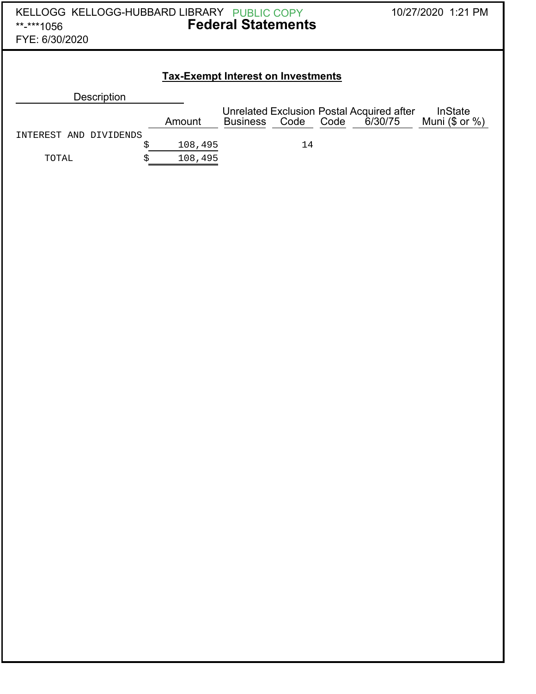| KELLOGG KELLOGG-HUBBARD LIBRARY PUBLIC COPY<br>**-***1056<br>FYE: 6/30/2020 |               | <b>Federal Statements</b>                 |                                                              | 10/27/2020 1:21 PM                 |
|-----------------------------------------------------------------------------|---------------|-------------------------------------------|--------------------------------------------------------------|------------------------------------|
|                                                                             |               | <b>Tax-Exempt Interest on Investments</b> |                                                              |                                    |
| Description                                                                 |               |                                           |                                                              |                                    |
|                                                                             | Amount        | Business Code                             | Unrelated Exclusion Postal Acquired after<br>Code<br>6/30/75 | <b>InState</b><br>Muni $($ or  %)$ |
| INTEREST AND DIVIDENDS                                                      |               |                                           |                                                              |                                    |
|                                                                             | \$<br>108,495 | 14                                        |                                                              |                                    |
| TOTAL                                                                       | 108,495       |                                           |                                                              |                                    |
|                                                                             |               |                                           |                                                              |                                    |